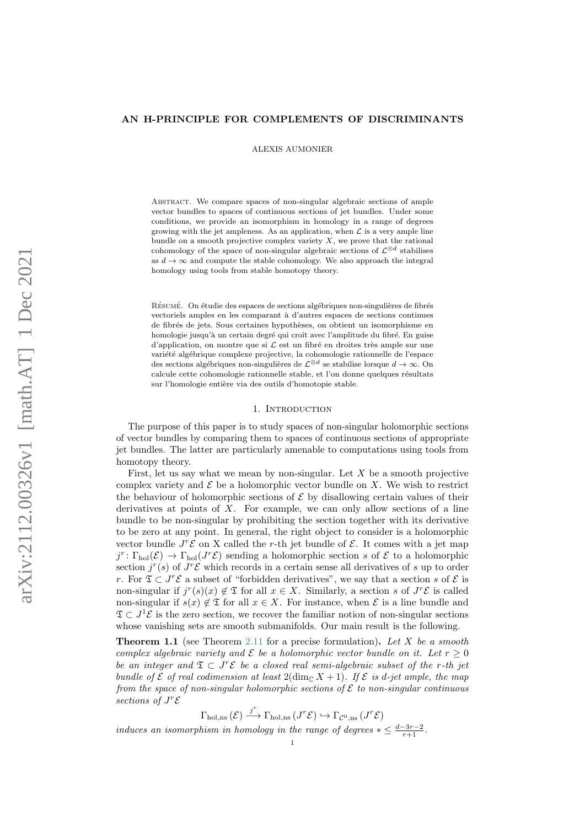# AN H-PRINCIPLE FOR COMPLEMENTS OF DISCRIMINANTS

ALEXIS AUMONIER

Abstract. We compare spaces of non-singular algebraic sections of ample vector bundles to spaces of continuous sections of jet bundles. Under some conditions, we provide an isomorphism in homology in a range of degrees growing with the jet ampleness. As an application, when  $\mathcal L$  is a very ample line bundle on a smooth projective complex variety  $X$ , we prove that the rational cohomology of the space of non-singular algebraic sections of  $\mathcal{L}^{\otimes d}$  stabilises as  $d\to\infty$  and compute the stable cohomology. We also approach the integral homology using tools from stable homotopy theory.

RÉSUMÉ. On étudie des espaces de sections algébriques non-singulières de fibrés vectoriels amples en les comparant `a d'autres espaces de sections continues de fibrés de jets. Sous certaines hypothèses, on obtient un isomorphisme en homologie jusqu'à un certain degré qui croît avec l'amplitude du fibré. En guise d'application, on montre que si  $\mathcal L$  est un fibré en droites très ample sur une variété algébrique complexe projective, la cohomologie rationnelle de l'espace des sections algébriques non-singulières de  $\mathcal{L}^{\otimes d}$  se stabilise lorsque  $d \to \infty$ . On calcule cette cohomologie rationnelle stable, et l'on donne quelques résultats sur l'homologie entière via des outils d'homotopie stable.

# 1. INTRODUCTION

The purpose of this paper is to study spaces of non-singular holomorphic sections of vector bundles by comparing them to spaces of continuous sections of appropriate jet bundles. The latter are particularly amenable to computations using tools from homotopy theory.

First, let us say what we mean by non-singular. Let  $X$  be a smooth projective complex variety and  $\mathcal E$  be a holomorphic vector bundle on X. We wish to restrict the behaviour of holomorphic sections of  $\mathcal E$  by disallowing certain values of their derivatives at points of  $X$ . For example, we can only allow sections of a line bundle to be non-singular by prohibiting the section together with its derivative to be zero at any point. In general, the right object to consider is a holomorphic vector bundle  $J^r\mathcal{E}$  on X called the r-th jet bundle of  $\mathcal{E}$ . It comes with a jet map  $j^r \colon \Gamma_{hol}(\mathcal{E}) \to \Gamma_{hol}(J^r\mathcal{E})$  sending a holomorphic section s of  $\mathcal E$  to a holomorphic section  $j^{r}(s)$  of  $J^{r}\mathcal{E}$  which records in a certain sense all derivatives of s up to order r. For  $\mathfrak{T} \subset J^r \mathcal{E}$  a subset of "forbidden derivatives", we say that a section s of  $\mathcal{E}$  is non-singular if  $j^r(s)(x) \notin \mathfrak{T}$  for all  $x \in X$ . Similarly, a section s of  $J^r\mathcal{E}$  is called non-singular if  $s(x) \notin \mathfrak{T}$  for all  $x \in X$ . For instance, when  $\mathcal{E}$  is a line bundle and  $\mathfrak{T} \subset J^1 \mathcal{E}$  is the zero section, we recover the familiar notion of non-singular sections whose vanishing sets are smooth submanifolds. Our main result is the following.

**Theorem 1.1** (see Theorem [2.11](#page-5-0) for a precise formulation). Let X be a smooth complex algebraic variety and  $\mathcal E$  be a holomorphic vector bundle on it. Let  $r > 0$ be an integer and  $\mathfrak{T} \subset J^r \mathcal{E}$  be a closed real semi-algebraic subset of the r-th jet bundle of  $\mathcal E$  of real codimension at least  $2(\dim_{\mathbb C} X + 1)$ . If  $\mathcal E$  is d-jet ample, the map from the space of non-singular holomorphic sections of  $\mathcal E$  to non-singular continuous sections of  $J^r$  $\varepsilon$ 

 $\Gamma_{\text{hol,ns}}(\mathcal{E}) \stackrel{j^r}{\longrightarrow} \Gamma_{\text{hol,ns}}(J^r\mathcal{E}) \hookrightarrow \Gamma_{\mathcal{C}^0,\text{ns}}(J^r\mathcal{E})$ induces an isomorphism in homology in the range of degrees  $*\leq \frac{d-3r-2}{r+1}$ .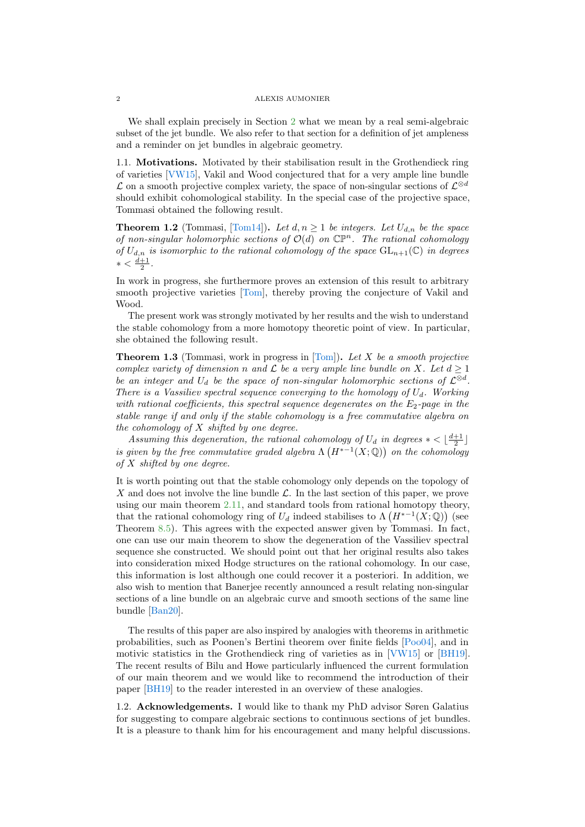<span id="page-1-0"></span>We shall explain precisely in Section [2](#page-2-0) what we mean by a real semi-algebraic subset of the jet bundle. We also refer to that section for a definition of jet ampleness and a reminder on jet bundles in algebraic geometry.

1.1. Motivations. Motivated by their stabilisation result in the Grothendieck ring of varieties [\[VW15\]](#page-37-0), Vakil and Wood conjectured that for a very ample line bundle  $\mathcal L$  on a smooth projective complex variety, the space of non-singular sections of  $\mathcal L^{\otimes d}$ should exhibit cohomological stability. In the special case of the projective space, Tommasi obtained the following result.

**Theorem 1.2** (Tommasi, [\[Tom14\]](#page-37-1)). Let  $d, n \ge 1$  be integers. Let  $U_{d,n}$  be the space of non-singular holomorphic sections of  $\mathcal{O}(d)$  on  $\mathbb{CP}^n$ . The rational cohomology of  $U_{d,n}$  is isomorphic to the rational cohomology of the space  $GL_{n+1}(\mathbb{C})$  in degrees  $* < \frac{d+1}{2}$ .

In work in progress, she furthermore proves an extension of this result to arbitrary smooth projective varieties [\[Tom\]](#page-37-2), thereby proving the conjecture of Vakil and Wood.

The present work was strongly motivated by her results and the wish to understand the stable cohomology from a more homotopy theoretic point of view. In particular, she obtained the following result.

**Theorem 1.3** (Tommasi, work in progress in [\[Tom\]](#page-37-2)). Let X be a smooth projective complex variety of dimension n and  $\mathcal L$  be a very ample line bundle on X. Let  $d \geq 1$ be an integer and  $U_d$  be the space of non-singular holomorphic sections of  $\mathcal{L}^{\otimes d}$ . There is a Vassiliev spectral sequence converging to the homology of  $U_d$ . Working with rational coefficients, this spectral sequence degenerates on the  $E_2$ -page in the stable range if and only if the stable cohomology is a free commutative algebra on the cohomology of  $X$  shifted by one degree.

Assuming this degeneration, the rational cohomology of  $U_d$  in degrees  $* < \lfloor \frac{d+1}{2} \rfloor$ is given by the free commutative graded algebra  $\Lambda(H^{*-1}(X;\mathbb{Q}))$  on the cohomology of  $X$  shifted by one degree.

It is worth pointing out that the stable cohomology only depends on the topology of X and does not involve the line bundle  $\mathcal{L}$ . In the last section of this paper, we prove using our main theorem [2.11,](#page-5-0) and standard tools from rational homotopy theory, that the rational cohomology ring of  $U_d$  indeed stabilises to  $\Lambda\left(H^{*-1}(X;\mathbb{Q})\right)$  (see Theorem [8.5\)](#page-30-0). This agrees with the expected answer given by Tommasi. In fact, one can use our main theorem to show the degeneration of the Vassiliev spectral sequence she constructed. We should point out that her original results also takes into consideration mixed Hodge structures on the rational cohomology. In our case, this information is lost although one could recover it a posteriori. In addition, we also wish to mention that Banerjee recently announced a result relating non-singular sections of a line bundle on an algebraic curve and smooth sections of the same line bundle [\[Ban20\]](#page-36-0).

The results of this paper are also inspired by analogies with theorems in arithmetic probabilities, such as Poonen's Bertini theorem over finite fields [\[Poo04\]](#page-36-1), and in motivic statistics in the Grothendieck ring of varieties as in [\[VW15\]](#page-37-0) or [\[BH19\]](#page-36-2). The recent results of Bilu and Howe particularly influenced the current formulation of our main theorem and we would like to recommend the introduction of their paper [\[BH19\]](#page-36-2) to the reader interested in an overview of these analogies.

1.2. Acknowledgements. I would like to thank my PhD advisor Søren Galatius for suggesting to compare algebraic sections to continuous sections of jet bundles. It is a pleasure to thank him for his encouragement and many helpful discussions.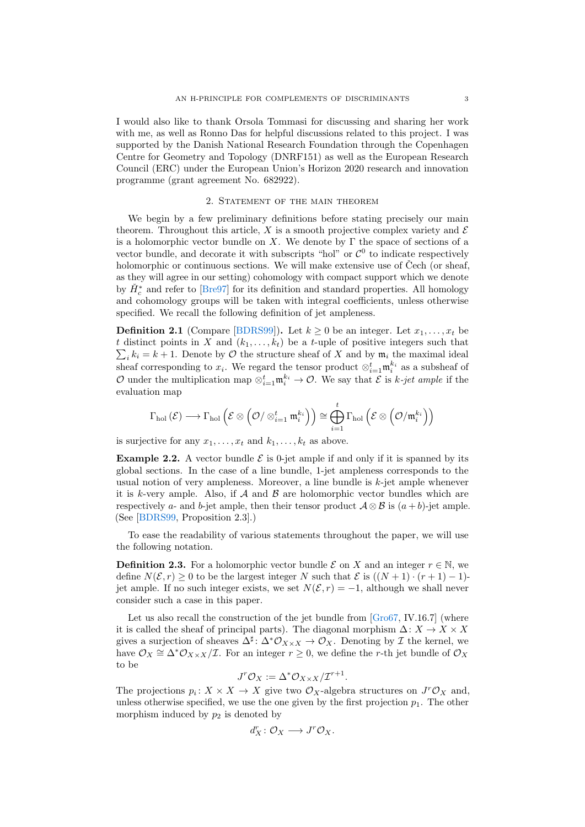<span id="page-2-3"></span>I would also like to thank Orsola Tommasi for discussing and sharing her work with me, as well as Ronno Das for helpful discussions related to this project. I was supported by the Danish National Research Foundation through the Copenhagen Centre for Geometry and Topology (DNRF151) as well as the European Research Council (ERC) under the European Union's Horizon 2020 research and innovation programme (grant agreement No. 682922).

# 2. Statement of the main theorem

<span id="page-2-0"></span>We begin by a few preliminary definitions before stating precisely our main theorem. Throughout this article, X is a smooth projective complex variety and  $\mathcal E$ is a holomorphic vector bundle on X. We denote by  $\Gamma$  the space of sections of a vector bundle, and decorate it with subscripts "hol" or  $\mathcal{C}^0$  to indicate respectively holomorphic or continuous sections. We will make extensive use of  $\check{C}$ ech (or sheaf, as they will agree in our setting) cohomology with compact support which we denote by  $\check{H}_c^*$  and refer to [\[Bre97\]](#page-36-3) for its definition and standard properties. All homology and cohomology groups will be taken with integral coefficients, unless otherwise specified. We recall the following definition of jet ampleness.

**Definition 2.1** (Compare [\[BDRS99\]](#page-36-4)). Let  $k > 0$  be an integer. Let  $x_1, \ldots, x_t$  be t distinct points in X and  $(k_1, \ldots, k_t)$  be a t-uple of positive integers such that  $\sum_i k_i = k + 1$ . Denote by O the structure sheaf of X and by  $\mathfrak{m}_i$  the maximal ideal sheaf corresponding to  $x_i$ . We regard the tensor product  $\otimes_{i=1}^t \mathfrak{m}_i^{k_i}$  as a subsheaf of O under the multiplication map  $\otimes_{i=1}^t \mathfrak{m}_i^{k_i} \to \mathcal{O}$ . We say that  $\mathcal E$  is k-jet ample if the evaluation map

$$
\Gamma_{\mathrm{hol}}\left(\mathcal{E}\right)\longrightarrow\Gamma_{\mathrm{hol}}\left(\mathcal{E}\otimes\left(\mathcal{O}/\otimes_{i=1}^{t}\mathfrak{m}_{i}^{k_{i}}\right)\right)\cong\bigoplus_{i=1}^{t}\Gamma_{\mathrm{hol}}\left(\mathcal{E}\otimes\left(\mathcal{O}/\mathfrak{m}_{i}^{k_{i}}\right)\right)
$$

is surjective for any  $x_1, \ldots, x_t$  and  $k_1, \ldots, k_t$  as above.

<span id="page-2-2"></span>**Example 2.2.** A vector bundle  $\mathcal{E}$  is 0-jet ample if and only if it is spanned by its global sections. In the case of a line bundle, 1-jet ampleness corresponds to the usual notion of very ampleness. Moreover, a line bundle is  $k$ -jet ample whenever it is k-very ample. Also, if  $A$  and  $B$  are holomorphic vector bundles which are respectively a- and b-jet ample, then their tensor product  $\mathcal{A} \otimes \mathcal{B}$  is  $(a + b)$ -jet ample. (See [\[BDRS99,](#page-36-4) Proposition 2.3].)

To ease the readability of various statements throughout the paper, we will use the following notation.

<span id="page-2-1"></span>**Definition 2.3.** For a holomorphic vector bundle  $\mathcal{E}$  on X and an integer  $r \in \mathbb{N}$ , we define  $N(\mathcal{E}, r) \geq 0$  to be the largest integer N such that  $\mathcal{E}$  is  $((N + 1) \cdot (r + 1) - 1)$ jet ample. If no such integer exists, we set  $N(\mathcal{E}, r) = -1$ , although we shall never consider such a case in this paper.

Let us also recall the construction of the jet bundle from [\[Gro67,](#page-36-5) IV.16.7] (where it is called the sheaf of principal parts). The diagonal morphism  $\Delta: X \to X \times X$ gives a surjection of sheaves  $\Delta^{\sharp} \colon \Delta^* \mathcal{O}_{X \times X} \to \mathcal{O}_X$ . Denoting by  $\mathcal I$  the kernel, we have  $\mathcal{O}_X \cong \Delta^* \mathcal{O}_{X \times X}/\mathcal{I}$ . For an integer  $r \geq 0$ , we define the r-th jet bundle of  $\mathcal{O}_X$ to be

$$
J^r \mathcal{O}_X := \Delta^* \mathcal{O}_{X \times X} / \mathcal{I}^{r+1}.
$$

The projections  $p_i: X \times X \to X$  give two  $\mathcal{O}_X$ -algebra structures on  $J^r \mathcal{O}_X$  and, unless otherwise specified, we use the one given by the first projection  $p_1$ . The other morphism induced by  $p_2$  is denoted by

$$
d^r_X\colon \mathcal O_X\longrightarrow J^r\mathcal O_X.
$$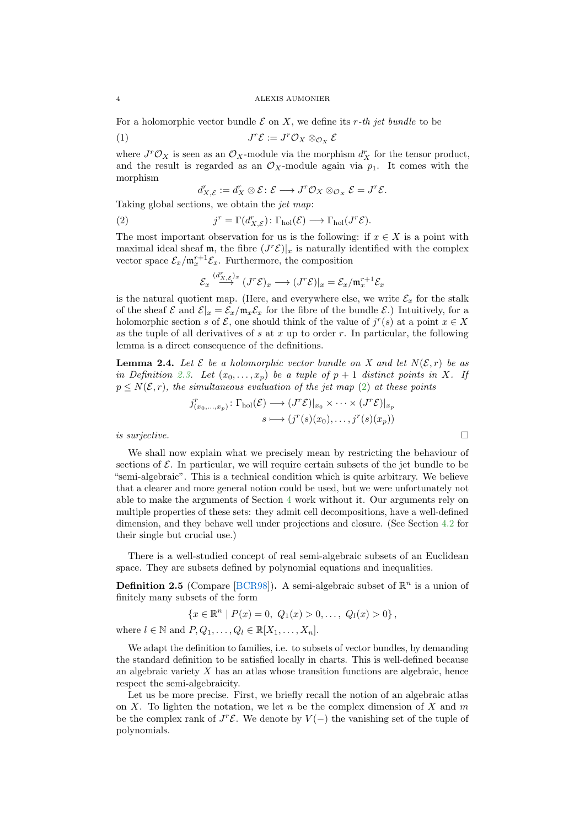<span id="page-3-3"></span>For a holomorphic vector bundle  $\mathcal E$  on X, we define its r-th jet bundle to be

$$
(1) \t\t J^r \mathcal{E} := J^r \mathcal{O}_X \otimes_{\mathcal{O}_X} \mathcal{E}
$$

where  $J^r \mathcal{O}_X$  is seen as an  $\mathcal{O}_X$ -module via the morphism  $d^r_X$  for the tensor product, and the result is regarded as an  $\mathcal{O}_X$ -module again via  $p_1$ . It comes with the morphism

$$
d^r_{X,\mathcal E}:=d^r_X\otimes \mathcal E\colon \mathcal E\longrightarrow J^r\mathcal O_X\otimes_{\mathcal O_X}\mathcal E=J^r\mathcal E.
$$

Taking global sections, we obtain the jet map:

<span id="page-3-0"></span>(2)  $j^r = \Gamma(d_{X,\mathcal{E}}^r) \colon \Gamma_{hol}(\mathcal{E}) \longrightarrow \Gamma_{hol}(J^r\mathcal{E}).$ 

The most important observation for us is the following: if  $x \in X$  is a point with maximal ideal sheaf m, the fibre  $(J^r\mathcal{E})|_x$  is naturally identified with the complex vector space  $\mathcal{E}_x / \mathfrak{m}_x^{r+1} \mathcal{E}_x$ . Furthermore, the composition

$$
\mathcal{E}_x \stackrel{(d^r_{X,\mathcal{E}})_x}{\longrightarrow} (J^r\mathcal{E})_x \longrightarrow (J^r\mathcal{E})|_x = \mathcal{E}_x/\mathfrak{m}_x^{r+1}\mathcal{E}_x
$$

is the natural quotient map. (Here, and everywhere else, we write  $\mathcal{E}_x$  for the stalk of the sheaf  $\mathcal{E}$  and  $\mathcal{E}|_x = \mathcal{E}_x/\mathfrak{m}_x \mathcal{E}_x$  for the fibre of the bundle  $\mathcal{E}$ .) Intuitively, for a holomorphic section s of  $\mathcal{E}$ , one should think of the value of  $j^r(s)$  at a point  $x \in X$ as the tuple of all derivatives of s at x up to order r. In particular, the following lemma is a direct consequence of the definitions.

<span id="page-3-1"></span>**Lemma 2.4.** Let  $\mathcal{E}$  be a holomorphic vector bundle on X and let  $N(\mathcal{E}, r)$  be as in Definition [2.3.](#page-2-1) Let  $(x_0, \ldots, x_p)$  be a tuple of  $p + 1$  distinct points in X. If  $p \leq N(\mathcal{E}, r)$ , the simultaneous evaluation of the jet map [\(2\)](#page-3-0) at these points

$$
j_{(x_0,\ldots,x_p)}^r \colon \Gamma_{hol}(\mathcal{E}) \longrightarrow (J^r\mathcal{E})|_{x_0} \times \cdots \times (J^r\mathcal{E})|_{x_p}
$$

$$
s \longmapsto (j^r(s)(x_0),\ldots,j^r(s)(x_p))
$$
 is surjective.

We shall now explain what we precisely mean by restricting the behaviour of sections of  $\mathcal E$ . In particular, we will require certain subsets of the jet bundle to be "semi-algebraic". This is a technical condition which is quite arbitrary. We believe that a clearer and more general notion could be used, but we were unfortunately not able to make the arguments of Section [4](#page-10-0) work without it. Our arguments rely on multiple properties of these sets: they admit cell decompositions, have a well-defined dimension, and they behave well under projections and closure. (See Section [4.2](#page-12-0) for their single but crucial use.)

There is a well-studied concept of real semi-algebraic subsets of an Euclidean space. They are subsets defined by polynomial equations and inequalities.

<span id="page-3-2"></span>**Definition 2.5** (Compare [\[BCR98\]](#page-36-6)). A semi-algebraic subset of  $\mathbb{R}^n$  is a union of finitely many subsets of the form

$$
\{x \in \mathbb{R}^n \mid P(x) = 0, \ Q_1(x) > 0, \ldots, \ Q_l(x) > 0\},\
$$

where  $l \in \mathbb{N}$  and  $P, Q_1, \ldots, Q_l \in \mathbb{R}[X_1, \ldots, X_n].$ 

We adapt the definition to families, i.e. to subsets of vector bundles, by demanding the standard definition to be satisfied locally in charts. This is well-defined because an algebraic variety  $X$  has an atlas whose transition functions are algebraic, hence respect the semi-algebraicity.

Let us be more precise. First, we briefly recall the notion of an algebraic atlas on X. To lighten the notation, we let n be the complex dimension of X and  $m$ be the complex rank of  $J^r\mathcal{E}$ . We denote by  $V(-)$  the vanishing set of the tuple of polynomials.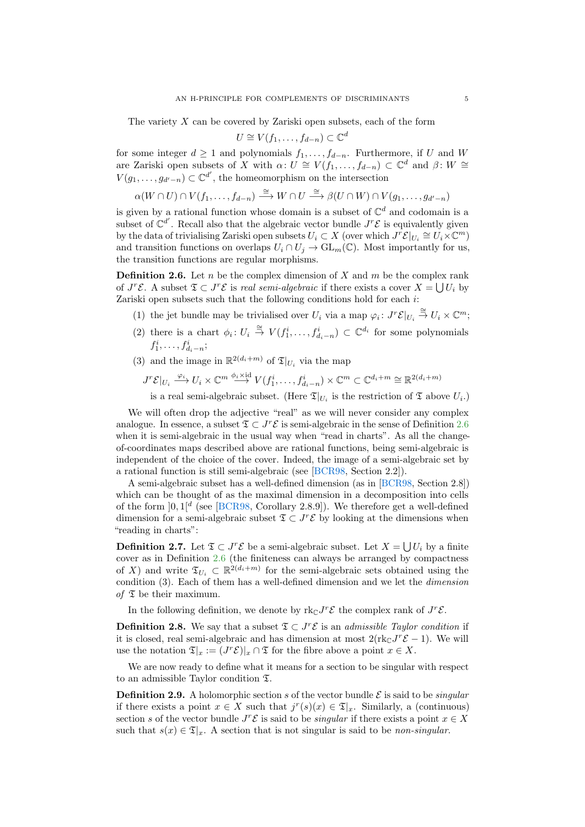<span id="page-4-3"></span>The variety  $X$  can be covered by Zariski open subsets, each of the form

$$
U \cong V(f_1, \ldots, f_{d-n}) \subset \mathbb{C}^d
$$

for some integer  $d \geq 1$  and polynomials  $f_1, \ldots, f_{d-n}$ . Furthermore, if U and W are Zariski open subsets of X with  $\alpha: U \cong V(f_1,\ldots,f_{d-n}) \subset \mathbb{C}^d$  and  $\beta: W \cong$  $V(g_1, \ldots, g_{d'-n}) \subset \mathbb{C}^{d'}$ , the homeomorphism on the intersection

$$
\alpha(W\cap U)\cap V(f_1,\ldots,f_{d-n})\stackrel{\cong}{\longrightarrow} W\cap U\stackrel{\cong}{\longrightarrow}\beta(U\cap W)\cap V(g_1,\ldots,g_{d'-n})
$$

is given by a rational function whose domain is a subset of  $\mathbb{C}^d$  and codomain is a subset of  $\mathbb{C}^{d'}$ . Recall also that the algebraic vector bundle  $J^r\mathcal{E}$  is equivalently given by the data of trivialising Zariski open subsets  $U_i \subset X$  (over which  $J^r \mathcal{E}|_{U_i} \cong U_i \times \mathbb{C}^m$ ) and transition functions on overlaps  $U_i \cap U_j \to GL_m(\mathbb{C})$ . Most importantly for us, the transition functions are regular morphisms.

<span id="page-4-0"></span>**Definition 2.6.** Let n be the complex dimension of X and  $m$  be the complex rank of  $J^r\mathcal{E}$ . A subset  $\mathfrak{T} \subset J^r\mathcal{E}$  is real semi-algebraic if there exists a cover  $X = \bigcup U_i$  by Zariski open subsets such that the following conditions hold for each i:

- (1) the jet bundle may be trivialised over  $U_i$  via a map  $\varphi_i: J^r \mathcal{E}|_{U_i} \stackrel{\cong}{\to} U_i \times \mathbb{C}^m$ ;
- (2) there is a chart  $\phi_i: U_i \stackrel{\cong}{\to} V(f_1^i, \ldots, f_{d_i-n}^i) \subset \mathbb{C}^{d_i}$  for some polynomials  $f_1^i, \ldots, f_{d_i-n}^i;$
- (3) and the image in  $\mathbb{R}^{2(d_i+m)}$  of  $\mathfrak{T}|_{U_i}$  via the map
	- $J^r \mathcal{E}|_{U_i} \xrightarrow{\varphi_i} U_i \times \mathbb{C}^m \xrightarrow{\phi_i \times \mathrm{id}} V(f_1^i, \ldots, f_{d_i-n}^i) \times \mathbb{C}^m \subset \mathbb{C}^{d_i+m} \cong \mathbb{R}^{2(d_i+m)}$

is a real semi-algebraic subset. (Here  $\mathfrak{T}|_{U_i}$  is the restriction of  $\mathfrak T$  above  $U_i$ .)

We will often drop the adjective "real" as we will never consider any complex analogue. In essence, a subset  $\mathfrak{T} \subset J^r \mathcal{E}$  is semi-algebraic in the sense of Definition [2.6](#page-4-0) when it is semi-algebraic in the usual way when "read in charts". As all the changeof-coordinates maps described above are rational functions, being semi-algebraic is independent of the choice of the cover. Indeed, the image of a semi-algebraic set by a rational function is still semi-algebraic (see [\[BCR98,](#page-36-6) Section 2.2]).

A semi-algebraic subset has a well-defined dimension (as in [\[BCR98,](#page-36-6) Section 2.8]) which can be thought of as the maximal dimension in a decomposition into cells of the form  $]0,1]^d$  (see [\[BCR98,](#page-36-6) Corollary 2.8.9]). We therefore get a well-defined dimension for a semi-algebraic subset  $\mathfrak{T} \subset J^r \mathcal{E}$  by looking at the dimensions when "reading in charts":

**Definition 2.7.** Let  $\mathfrak{T} \subset J^r \mathcal{E}$  be a semi-algebraic subset. Let  $X = \bigcup U_i$  by a finite cover as in Definition [2.6](#page-4-0) (the finiteness can always be arranged by compactness of X) and write  $\mathfrak{T}_{U_i} \subset \mathbb{R}^{2(d_i+m)}$  for the semi-algebraic sets obtained using the condition (3). Each of them has a well-defined dimension and we let the dimension of  $\mathfrak T$  be their maximum.

In the following definition, we denote by  $\text{rk}_{\mathbb{C}}J^r\mathcal{E}$  the complex rank of  $J^r\mathcal{E}$ .

<span id="page-4-2"></span>**Definition 2.8.** We say that a subset  $\mathfrak{T} \subset J^r\mathcal{E}$  is an *admissible Taylor condition* if it is closed, real semi-algebraic and has dimension at most  $2(\text{rk}_{\mathbb{C}}J^{r}\mathcal{E}-1)$ . We will use the notation  $\mathfrak{T}|_x := (J^r \mathcal{E})|_x \cap \mathfrak{T}$  for the fibre above a point  $x \in X$ .

We are now ready to define what it means for a section to be singular with respect to an admissible Taylor condition T.

<span id="page-4-1"></span>**Definition 2.9.** A holomorphic section s of the vector bundle  $\mathcal{E}$  is said to be *singular* if there exists a point  $x \in X$  such that  $j^r(s)(x) \in \mathfrak{T}|_x$ . Similarly, a (continuous) section s of the vector bundle  $J^r\mathcal{E}$  is said to be *singular* if there exists a point  $x \in X$ such that  $s(x) \in \mathfrak{T}|_x$ . A section that is not singular is said to be non-singular.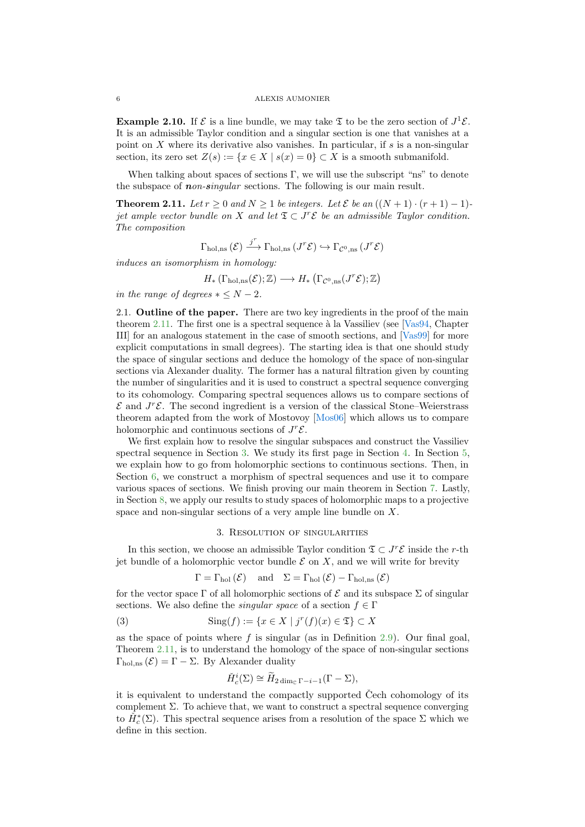<span id="page-5-3"></span>**Example 2.10.** If  $\mathcal{E}$  is a line bundle, we may take  $\mathfrak{T}$  to be the zero section of  $J^1\mathcal{E}$ . It is an admissible Taylor condition and a singular section is one that vanishes at a point on  $X$  where its derivative also vanishes. In particular, if  $s$  is a non-singular section, its zero set  $Z(s) := \{x \in X \mid s(x) = 0\} \subset X$  is a smooth submanifold.

When talking about spaces of sections  $\Gamma$ , we will use the subscript "ns" to denote the subspace of *non-singular* sections. The following is our main result.

<span id="page-5-0"></span>**Theorem 2.11.** Let  $r > 0$  and  $N > 1$  be integers. Let  $\mathcal{E}$  be an  $((N+1) \cdot (r+1) - 1)$ jet ample vector bundle on X and let  $\mathfrak{T} \subset J^r \mathcal{E}$  be an admissible Taylor condition. The composition

$$
\Gamma_{\text{hol,ns}}\left(\mathcal{E}\right)\overset{j^{r}}{\longrightarrow}\Gamma_{\text{hol,ns}}\left(J^{r}\mathcal{E}\right)\hookrightarrow\Gamma_{\mathcal{C}^{0},\text{ns}}\left(J^{r}\mathcal{E}\right)
$$

induces an isomorphism in homology:

$$
H_*\left(\Gamma_{\text{hol},\text{ns}}(\mathcal{E});\mathbb{Z}\right) \longrightarrow H_*\left(\Gamma_{\mathcal{C}^0,\text{ns}}(J^r\mathcal{E});\mathbb{Z}\right)
$$

in the range of degrees  $* \leq N - 2$ .

2.1. Outline of the paper. There are two key ingredients in the proof of the main theorem [2.11.](#page-5-0) The first one is a spectral sequence à la Vassiliev (see [\[Vas94,](#page-37-3) Chapter III] for an analogous statement in the case of smooth sections, and [\[Vas99\]](#page-37-4) for more explicit computations in small degrees). The starting idea is that one should study the space of singular sections and deduce the homology of the space of non-singular sections via Alexander duality. The former has a natural filtration given by counting the number of singularities and it is used to construct a spectral sequence converging to its cohomology. Comparing spectral sequences allows us to compare sections of  $\mathcal E$  and  $J^r\mathcal E$ . The second ingredient is a version of the classical Stone–Weierstrass theorem adapted from the work of Mostovoy [\[Mos06\]](#page-36-7) which allows us to compare holomorphic and continuous sections of  $J^r\mathcal{E}$ .

We first explain how to resolve the singular subspaces and construct the Vassiliev spectral sequence in Section [3.](#page-5-1) We study its first page in Section [4.](#page-10-0) In Section [5,](#page-17-0) we explain how to go from holomorphic sections to continuous sections. Then, in Section [6,](#page-20-0) we construct a morphism of spectral sequences and use it to compare various spaces of sections. We finish proving our main theorem in Section [7.](#page-27-0) Lastly, in Section [8,](#page-28-0) we apply our results to study spaces of holomorphic maps to a projective space and non-singular sections of a very ample line bundle on X.

# 3. Resolution of singularities

<span id="page-5-1"></span>In this section, we choose an admissible Taylor condition  $\mathfrak{T} \subset J^r\mathcal{E}$  inside the r-th jet bundle of a holomorphic vector bundle  $\mathcal E$  on X, and we will write for brevity

$$
\Gamma = \Gamma_{\text{hol}}(\mathcal{E})
$$
 and  $\Sigma = \Gamma_{\text{hol}}(\mathcal{E}) - \Gamma_{\text{hol,ns}}(\mathcal{E})$ 

for the vector space  $\Gamma$  of all holomorphic sections of  $\mathcal E$  and its subspace  $\Sigma$  of singular sections. We also define the *singular space* of a section  $f \in \Gamma$ 

<span id="page-5-2"></span>
$$
(3) \qquad \text{Sing}(f) := \{ x \in X \mid j^r(f)(x) \in \mathfrak{T} \} \subset X
$$

as the space of points where  $f$  is singular (as in Definition [2.9\)](#page-4-1). Our final goal, Theorem [2.11,](#page-5-0) is to understand the homology of the space of non-singular sections  $\Gamma_{hol,ns}(\mathcal{E}) = \Gamma - \Sigma$ . By Alexander duality

$$
\check{H}_c^i(\Sigma) \cong \widetilde{H}_{2\dim_{\mathbb{C}}\Gamma - i - 1}(\Gamma - \Sigma),
$$

it is equivalent to understand the compactly supported  $\check{C}$ ech cohomology of its complement  $\Sigma$ . To achieve that, we want to construct a spectral sequence converging to  $\check{H}_c^*(\Sigma)$ . This spectral sequence arises from a resolution of the space  $\Sigma$  which we define in this section.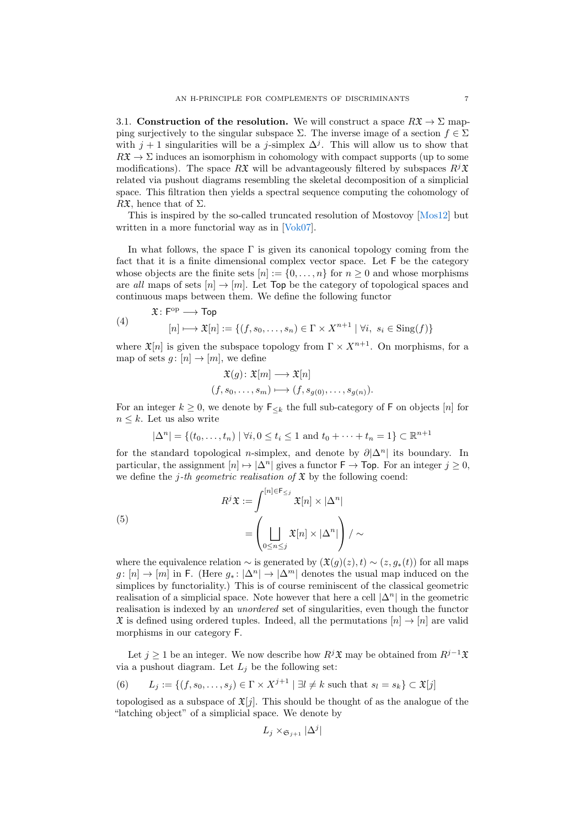<span id="page-6-2"></span>3.1. Construction of the resolution. We will construct a space  $R\mathfrak{X} \to \Sigma$  mapping surjectively to the singular subspace  $\Sigma$ . The inverse image of a section  $f \in \Sigma$ with  $j + 1$  singularities will be a j-simplex  $\Delta^{j}$ . This will allow us to show that  $R\mathfrak{X} \to \Sigma$  induces an isomorphism in cohomology with compact supports (up to some modifications). The space RX will be advantageously filtered by subspaces  $R^{j}X$ related via pushout diagrams resembling the skeletal decomposition of a simplicial space. This filtration then yields a spectral sequence computing the cohomology of R $\mathfrak{X}$ , hence that of  $\Sigma$ .

This is inspired by the so-called truncated resolution of Mostovoy [\[Mos12\]](#page-36-8) but written in a more functorial way as in [\[Vok07\]](#page-37-5).

In what follows, the space  $\Gamma$  is given its canonical topology coming from the fact that it is a finite dimensional complex vector space. Let F be the category whose objects are the finite sets  $[n] := \{0, \ldots, n\}$  for  $n \geq 0$  and whose morphisms are all maps of sets  $[n] \to [m]$ . Let Top be the category of topological spaces and continuous maps between them. We define the following functor

<span id="page-6-1"></span>(4) 
$$
\mathfrak{X} : \mathsf{F}^{\mathrm{op}} \longrightarrow \mathsf{Top} \qquad [n] \longmapsto \mathfrak{X}[n] := \{ (f, s_0, \dots, s_n) \in \Gamma \times X^{n+1} \mid \forall i, s_i \in \mathrm{Sing}(f) \}
$$

where  $\mathfrak{X}[n]$  is given the subspace topology from  $\Gamma \times X^{n+1}$ . On morphisms, for a map of sets  $g: [n] \to [m]$ , we define

$$
\mathfrak{X}(g) \colon \mathfrak{X}[m] \longrightarrow \mathfrak{X}[n] (f, s_0, \dots, s_m) \longmapsto (f, s_{g(0)}, \dots, s_{g(n)})
$$

For an integer  $k \geq 0$ , we denote by  $\mathsf{F}_{\leq k}$  the full sub-category of F on objects [n] for  $n \leq k$ . Let us also write

$$
|\Delta^n|
$$
 = { $(t_0,...,t_n)$  |  $\forall i, 0 \le t_i \le 1$  and  $t_0 + \cdots + t_n = 1$ }  $\subset \mathbb{R}^{n+1}$ 

for the standard topological n-simplex, and denote by  $\partial |\Delta^n|$  its boundary. In particular, the assignment  $|n| \mapsto |\Delta^n|$  gives a functor  $\mathsf{F} \to \mathsf{Top}$ . For an integer  $j \geq 0$ , we define the j-th geometric realisation of  $\mathfrak X$  by the following coend:

<span id="page-6-0"></span>(5)  

$$
R^{j} \mathfrak{X} := \int_{0}^{\lfloor n \rfloor \in \mathsf{F}_{\leq j}} \mathfrak{X}[n] \times |\Delta^{n}|
$$

$$
= \left( \bigsqcup_{0 \leq n \leq j} \mathfrak{X}[n] \times |\Delta^{n}| \right) / \sim
$$

where the equivalence relation  $\sim$  is generated by  $(\mathfrak{X}(g)(z), t) \sim (z, g_*(t))$  for all maps  $g: [n] \to [m]$  in F. (Here  $g_*: |\Delta^n| \to |\Delta^m|$  denotes the usual map induced on the simplices by functoriality.) This is of course reminiscent of the classical geometric realisation of a simplicial space. Note however that here a cell  $|\Delta^n|$  in the geometric realisation is indexed by an unordered set of singularities, even though the functor  $\mathfrak X$  is defined using ordered tuples. Indeed, all the permutations  $[n] \to [n]$  are valid morphisms in our category F.

Let  $j \geq 1$  be an integer. We now describe how  $R<sup>j</sup>\mathfrak{X}$  may be obtained from  $R<sup>j-1</sup>\mathfrak{X}$ via a pushout diagram. Let  $L_j$  be the following set:

(6) 
$$
L_j := \{(f, s_0, \dots, s_j) \in \Gamma \times X^{j+1} \mid \exists l \neq k \text{ such that } s_l = s_k\} \subset \mathfrak{X}[j]
$$

topologised as a subspace of  $\mathfrak{X}[j]$ . This should be thought of as the analogue of the "latching object" of a simplicial space. We denote by

$$
L_j\times_{\mathfrak{S}_{j+1}}|\Delta^j|
$$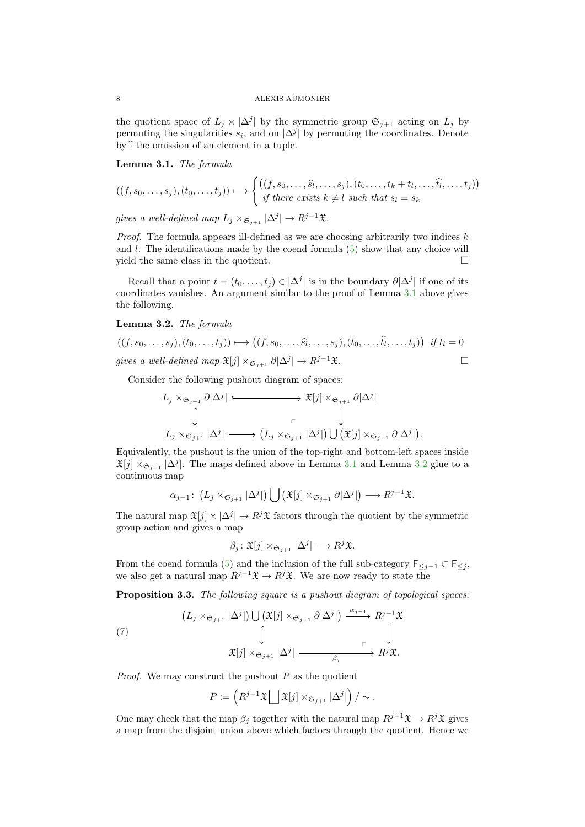the quotient space of  $L_j \times |\Delta^j|$  by the symmetric group  $\mathfrak{S}_{j+1}$  acting on  $L_j$  by permuting the singularities  $s_i$ , and on  $|\Delta^j|$  by permuting the coordinates. Denote by  $\hat{\cdot}$  the omission of an element in a tuple.

<span id="page-7-0"></span>Lemma 3.1. The formula

$$
((f, s_0, \ldots, s_j), (t_0, \ldots, t_j)) \mapsto \begin{cases} ((f, s_0, \ldots, \widehat{s_l}, \ldots, s_j), (t_0, \ldots, t_k + t_l, \ldots, \widehat{t_l}, \ldots, t_j)) \\ \text{if there exists } k \neq l \text{ such that } s_l = s_k \end{cases}
$$

gives a well-defined map  $L_j \times_{\mathfrak{S}_{j+1}} |\Delta^j| \to R^{j-1}\mathfrak{X}$ .

*Proof.* The formula appears ill-defined as we are choosing arbitrarily two indices  $k$ and  $l$ . The identifications made by the coend formula  $(5)$  show that any choice will yield the same class in the quotient.

Recall that a point  $t = (t_0, \ldots, t_j) \in |\Delta^j|$  is in the boundary  $\partial |\Delta^j|$  if one of its coordinates vanishes. An argument similar to the proof of Lemma [3.1](#page-7-0) above gives the following.

## <span id="page-7-1"></span>Lemma 3.2. The formula

$$
((f, s_0, \ldots, s_j), (t_0, \ldots, t_j)) \mapsto ((f, s_0, \ldots, \widehat{s_l}, \ldots, s_j), (t_0, \ldots, \widehat{t_l}, \ldots, t_j)) \text{ if } t_l = 0
$$
  
gives a well-defined map  $\mathfrak{X}[j] \times_{\mathfrak{S}_{j+1}} \partial[\Delta^j] \to R^{j-1}\mathfrak{X}$ .

Consider the following pushout diagram of spaces:

$$
L_j \times_{\mathfrak{S}_{j+1}} \partial |\Delta^j| \xrightarrow{\qquad} \mathfrak{X}[j] \times_{\mathfrak{S}_{j+1}} \partial |\Delta^j|
$$
  

$$
\downarrow \qquad \qquad \downarrow
$$
  

$$
L_j \times_{\mathfrak{S}_{j+1}} |\Delta^j| \longrightarrow (L_j \times_{\mathfrak{S}_{j+1}} |\Delta^j|) \cup (\mathfrak{X}[j] \times_{\mathfrak{S}_{j+1}} \partial |\Delta^j|).
$$

Equivalently, the pushout is the union of the top-right and bottom-left spaces inside  $\mathfrak{X}[j] \times_{\mathfrak{S}_{j+1}} |\Delta^j|$ . The maps defined above in Lemma [3.1](#page-7-0) and Lemma [3.2](#page-7-1) glue to a continuous map

$$
\alpha_{j-1}\colon (L_j\times_{\mathfrak{S}_{j+1}}|\Delta^j|)\bigcup(\mathfrak{X}[j]\times_{\mathfrak{S}_{j+1}}\partial|\Delta^j|)\longrightarrow R^{j-1}\mathfrak{X}.
$$

The natural map  $\mathfrak{X}[j] \times |\Delta^j| \to R^j \mathfrak{X}$  factors through the quotient by the symmetric group action and gives a map

$$
\beta_j \colon \mathfrak{X}[j] \times_{\mathfrak{S}_{j+1}} |\Delta^j| \longrightarrow R^j \mathfrak{X}.
$$

From the coend formula [\(5\)](#page-6-0) and the inclusion of the full sub-category  $\mathsf{F}_{\leq i-1} \subset \mathsf{F}_{\leq i}$ , we also get a natural map  $R^{j-1}\mathfrak{X} \to R^j\mathfrak{X}$ . We are now ready to state the

Proposition 3.3. The following square is a pushout diagram of topological spaces:

<span id="page-7-2"></span>(7) 
$$
\begin{array}{ccc}\n(L_j \times_{\mathfrak{S}_{j+1}} |\Delta^j|) \bigcup (\mathfrak{X}[j] \times_{\mathfrak{S}_{j+1}} \partial |\Delta^j|) & \xrightarrow{\alpha_{j-1}} R^{j-1} \mathfrak{X} \\
& \bigcup_{\mathfrak{X}[j] \times_{\mathfrak{S}_{j+1}} |\Delta^j| & \xrightarrow{\rho_j} R^j \mathfrak{X}.\n\end{array}
$$

*Proof.* We may construct the pushout  $P$  as the quotient

$$
P := \left( R^{j-1} \mathfrak{X} \bigsqcup \mathfrak{X}[j] \times_{\mathfrak{S}_{j+1}} |\Delta^j| \right) / \sim.
$$

One may check that the map  $\beta_i$  together with the natural map  $R^{j-1}\mathfrak{X} \to R^j\mathfrak{X}$  gives a map from the disjoint union above which factors through the quotient. Hence we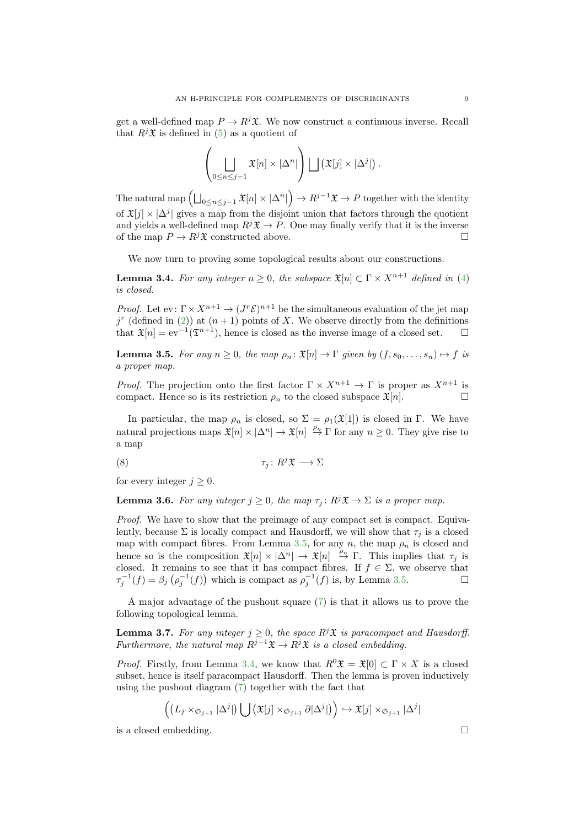get a well-defined map  $P \to R^j \mathfrak{X}$ . We now construct a continuous inverse. Recall that  $R^{j} \mathfrak{X}$  is defined in [\(5\)](#page-6-0) as a quotient of

$$
\left(\bigsqcup_{0\leq n\leq j-1}\mathfrak{X}[n]\times|\Delta^n|\right)\bigsqcup\left(\mathfrak{X}[j]\times|\Delta^j|\right).
$$

The natural map  $\left(\bigsqcup_{0\le n\le j-1}\mathfrak X[n]\times|\Delta^n|\right)\to R^{j-1}\mathfrak X\to P$  together with the identity of  $\mathfrak{X}[j] \times |\Delta^j|$  gives a map from the disjoint union that factors through the quotient and yields a well-defined map  $R<sup>j</sup>\mathfrak{X} \to P$ . One may finally verify that it is the inverse of the map  $P \to R^j \mathfrak{X}$  constructed above.

We now turn to proving some topological results about our constructions.

<span id="page-8-1"></span>**Lemma 3.4.** For any integer  $n \geq 0$ , the subspace  $\mathfrak{X}[n] \subset \Gamma \times X^{n+1}$  defined in [\(4\)](#page-6-1) is closed.

*Proof.* Let  $ev: \Gamma \times X^{n+1} \to (J^r \mathcal{E})^{n+1}$  be the simultaneous evaluation of the jet map  $j^{r}$  (defined in [\(2\)](#page-3-0)) at  $(n+1)$  points of X. We observe directly from the definitions that  $\mathfrak{X}[n] = \text{ev}^{-1}(\mathfrak{T}^{n+1}),$  hence is closed as the inverse image of a closed set.  $\square$ 

<span id="page-8-0"></span>**Lemma 3.5.** For any  $n \geq 0$ , the map  $\rho_n : \mathfrak{X}[n] \to \Gamma$  given by  $(f, s_0, \ldots, s_n) \mapsto f$  is a proper map.

*Proof.* The projection onto the first factor  $\Gamma \times X^{n+1} \to \Gamma$  is proper as  $X^{n+1}$  is compact. Hence so is its restriction  $\rho_n$  to the closed subspace  $\mathfrak{X}[n]$ .

In particular, the map  $\rho_n$  is closed, so  $\Sigma = \rho_1(\mathfrak{X}[1])$  is closed in Γ. We have natural projections maps  $\mathfrak{X}[n] \times |\Delta^n| \to \mathfrak{X}[n] \stackrel{\rho_n}{\to} \Gamma$  for any  $n \geq 0$ . They give rise to a map

<span id="page-8-4"></span>(8) τ<sup>j</sup> : R <sup>j</sup>X −→ Σ

for every integer  $j \geq 0$ .

<span id="page-8-3"></span>**Lemma 3.6.** For any integer  $j \geq 0$ , the map  $\tau_j : R^j \mathfrak{X} \to \Sigma$  is a proper map.

Proof. We have to show that the preimage of any compact set is compact. Equivalently, because  $\Sigma$  is locally compact and Hausdorff, we will show that  $\tau_i$  is a closed map with compact fibres. From Lemma [3.5,](#page-8-0) for any n, the map  $\rho_n$  is closed and hence so is the composition  $\mathfrak{X}[n] \times |\Delta^n| \to \mathfrak{X}[n] \stackrel{\rho_n}{\to} \Gamma$ . This implies that  $\tau_j$  is closed. It remains to see that it has compact fibres. If  $f \in \Sigma$ , we observe that  $\tau_j^{-1}(f) = \beta_j \left( \rho_j^{-1}(f) \right)$  which is compact as  $\rho_j^{-1}(f)$  is, by Lemma [3.5.](#page-8-0)

A major advantage of the pushout square [\(7\)](#page-7-2) is that it allows us to prove the following topological lemma.

<span id="page-8-2"></span>**Lemma 3.7.** For any integer  $j \geq 0$ , the space  $R^j \mathfrak{X}$  is paracompact and Hausdorff. Furthermore, the natural map  $R^{j-1}\mathfrak{X} \to R^j\mathfrak{X}$  is a closed embedding.

*Proof.* Firstly, from Lemma [3.4,](#page-8-1) we know that  $R^0\mathfrak{X} = \mathfrak{X}[0] \subset \Gamma \times X$  is a closed subset, hence is itself paracompact Hausdorff. Then the lemma is proven inductively using the pushout diagram [\(7\)](#page-7-2) together with the fact that

$$
((L_j \times_{\mathfrak{S}_{j+1}} |\Delta^j|) \bigcup (\mathfrak{X}[j] \times_{\mathfrak{S}_{j+1}} \partial |\Delta^j|)) \hookrightarrow \mathfrak{X}[j] \times_{\mathfrak{S}_{j+1}} |\Delta^j|
$$

is a closed embedding.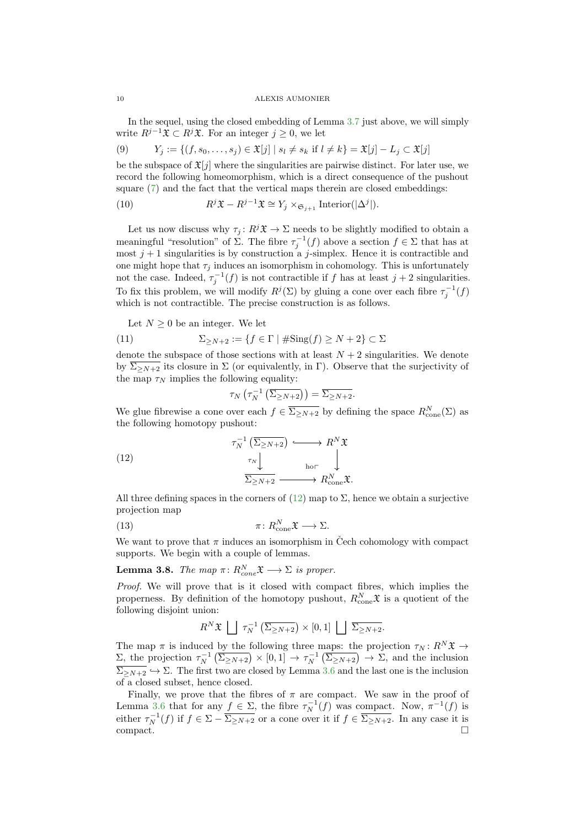In the sequel, using the closed embedding of Lemma [3.7](#page-8-2) just above, we will simply write  $R^{j-1}\mathfrak{X} \subset R^j\mathfrak{X}$ . For an integer  $j \geq 0$ , we let

<span id="page-9-2"></span>(9) 
$$
Y_j := \{(f, s_0, \dots, s_j) \in \mathfrak{X}[j] \mid s_l \neq s_k \text{ if } l \neq k\} = \mathfrak{X}[j] - L_j \subset \mathfrak{X}[j]
$$

be the subspace of  $\mathfrak{X}[j]$  where the singularities are pairwise distinct. For later use, we record the following homeomorphism, which is a direct consequence of the pushout square [\(7\)](#page-7-2) and the fact that the vertical maps therein are closed embeddings:

<span id="page-9-3"></span>(10) 
$$
R^{j} \mathfrak{X} - R^{j-1} \mathfrak{X} \cong Y_{j} \times_{\mathfrak{S}_{j+1}} \text{Interior}(|\Delta^{j}|).
$$

Let us now discuss why  $\tau_j: R^j \mathfrak{X} \to \Sigma$  needs to be slightly modified to obtain a meaningful "resolution" of  $\Sigma$ . The fibre  $\tau_j^{-1}(f)$  above a section  $f \in \Sigma$  that has at most  $j + 1$  singularities is by construction a j-simplex. Hence it is contractible and one might hope that  $\tau_j$  induces an isomorphism in cohomology. This is unfortunately not the case. Indeed,  $\tau_j^{-1}(f)$  is not contractible if f has at least  $j+2$  singularities. To fix this problem, we will modify  $R^j(\Sigma)$  by gluing a cone over each fibre  $\tau_j^{-1}(f)$ which is not contractible. The precise construction is as follows.

Let  $N \geq 0$  be an integer. We let

(11) 
$$
\Sigma_{\geq N+2} := \{ f \in \Gamma \mid \# \text{Sing}(f) \geq N+2 \} \subset \Sigma
$$

denote the subspace of those sections with at least  $N + 2$  singularities. We denote by  $\overline{\Sigma_{\geq N+2}}$  its closure in  $\Sigma$  (or equivalently, in Γ). Observe that the surjectivity of the map  $\tau_N$  implies the following equality:

<span id="page-9-0"></span>
$$
\tau_N\left(\tau_N^{-1}\left(\overline{\Sigma_{\geq N+2}}\right)\right)=\overline{\Sigma_{\geq N+2}}.
$$

We glue fibrewise a cone over each  $f \in \overline{\Sigma_{\geq N+2}}$  by defining the space  $R_{\text{cone}}^N(\Sigma)$  as the following homotopy pushout:

(12) 
$$
\begin{array}{c}\n\tau_N^{-1} \left( \overline{\Sigma}_{\geq N+2} \right) & \longrightarrow R^N \mathfrak{X} \\
\downarrow^{\tau_N} & \downarrow^{\text{hor}} \\
\overline{\Sigma}_{\geq N+2} & \longrightarrow R^N_{\text{cone}} \mathfrak{X}.\n\end{array}
$$

All three defining spaces in the corners of  $(12)$  map to  $\Sigma$ , hence we obtain a surjective projection map

(13) 
$$
\pi \colon R^N_{\text{cone}} \mathfrak{X} \longrightarrow \Sigma.
$$

We want to prove that  $\pi$  induces an isomorphism in Čech cohomology with compact supports. We begin with a couple of lemmas.

<span id="page-9-1"></span>**Lemma 3.8.** The map  $\pi: R_{cone}^N \mathfrak{X} \longrightarrow \Sigma$  is proper.

Proof. We will prove that is it closed with compact fibres, which implies the properness. By definition of the homotopy pushout,  $R_{\text{cone}}^N \mathfrak{X}$  is a quotient of the following disjoint union:

$$
R^{N} \mathfrak{X} \bigsqcup \tau_N^{-1} \left( \overline{\Sigma_{\geq N+2}} \right) \times [0,1] \bigsqcup \overline{\Sigma_{\geq N+2}}.
$$

The map  $\pi$  is induced by the following three maps: the projection  $\tau_N : R^N \mathfrak{X} \to$  $\Sigma$ , the projection  $\tau_N^{-1}(\overline{\Sigma_{\geq N+2}}) \times [0,1] \to \tau_N^{-1}(\overline{\Sigma_{\geq N+2}}) \to \Sigma$ , and the inclusion  $\overline{\Sigma_{\geq N+2}} \hookrightarrow \Sigma$ . The first two are closed by Lemma [3.6](#page-8-3) and the last one is the inclusion of a closed subset, hence closed.

Finally, we prove that the fibres of  $\pi$  are compact. We saw in the proof of Lemma [3.6](#page-8-3) that for any  $f \in \Sigma$ , the fibre  $\tau_N^{-1}(f)$  was compact. Now,  $\pi^{-1}(f)$  is either  $\tau_N^{-1}(f)$  if  $f \in \Sigma - \overline{\Sigma_{\geq N+2}}$  or a cone over it if  $f \in \overline{\Sigma_{\geq N+2}}$ . In any case it is  $\Box$ compact.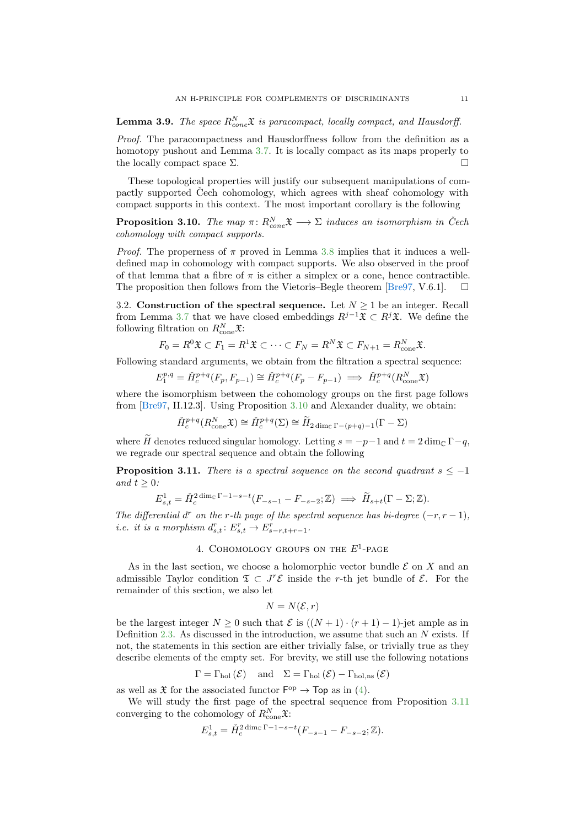<span id="page-10-3"></span>**Lemma 3.9.** The space  $R_{cone}^N \mathfrak{X}$  is paracompact, locally compact, and Hausdorff.

Proof. The paracompactness and Hausdorffness follow from the definition as a homotopy pushout and Lemma [3.7.](#page-8-2) It is locally compact as its maps properly to the locally compact space  $\Sigma$ .

These topological properties will justify our subsequent manipulations of compactly supported Čech cohomology, which agrees with sheaf cohomology with compact supports in this context. The most important corollary is the following

<span id="page-10-1"></span>**Proposition 3.10.** The map  $\pi: R_{cone}^N \mathfrak{X} \longrightarrow \Sigma$  induces an isomorphism in Čech cohomology with compact supports.

*Proof.* The properness of  $\pi$  proved in Lemma [3.8](#page-9-1) implies that it induces a welldefined map in cohomology with compact supports. We also observed in the proof of that lemma that a fibre of  $\pi$  is either a simplex or a cone, hence contractible. The proposition then follows from the Vietoris–Begle theorem [\[Bre97,](#page-36-3) V.6.1].

3.2. Construction of the spectral sequence. Let  $N \geq 1$  be an integer. Recall from Lemma [3.7](#page-8-2) that we have closed embeddings  $R^{j-1}\mathfrak{X} \subset R^j\mathfrak{X}$ . We define the following filtration on  $R_{\text{cone}}^N \mathfrak{X}$ :

$$
F_0 = R^0 \mathfrak{X} \subset F_1 = R^1 \mathfrak{X} \subset \cdots \subset F_N = R^N \mathfrak{X} \subset F_{N+1} = R^N_{\text{cone}} \mathfrak{X}.
$$

Following standard arguments, we obtain from the filtration a spectral sequence:

$$
E_1^{p,q} = \check{H}_c^{p+q}(F_p, F_{p-1}) \cong \check{H}_c^{p+q}(F_p - F_{p-1}) \implies \check{H}_c^{p+q}(R_{\text{cone}}^N, \mathfrak{X})
$$

where the isomorphism between the cohomology groups on the first page follows from [\[Bre97,](#page-36-3) II.12.3]. Using Proposition [3.10](#page-10-1) and Alexander duality, we obtain:

$$
\check{H}_c^{p+q}(R^N_{\text{cone}}\mathfrak{X}) \cong \check{H}_c^{p+q}(\Sigma) \cong \widetilde{H}_{2\dim_{\mathbb{C}}\Gamma - (p+q)-1}(\Gamma - \Sigma)
$$

where  $\widetilde{H}$  denotes reduced singular homology. Letting  $s = -p-1$  and  $t = 2 \dim_{\mathbb{C}} \Gamma - q$ , we regrade our spectral sequence and obtain the following

<span id="page-10-2"></span>**Proposition 3.11.** There is a spectral sequence on the second quadrant  $s \leq -1$ and  $t > 0$ :

$$
E_{s,t}^1 = \tilde{H}_c^{2 \dim_{\mathbb{C}} \Gamma - 1 - s - t} (F_{-s-1} - F_{-s-2}; \mathbb{Z}) \implies \tilde{H}_{s+t} (\Gamma - \Sigma; \mathbb{Z}).
$$

The differential d<sup>r</sup> on the r-th page of the spectral sequence has bi-degree  $(-r, r - 1)$ , i.e. it is a morphism  $d_{s,t}^r: E_{s,t}^r \to E_{s-r,t+r-1}^r$ .

# 4. COHOMOLOGY GROUPS ON THE  $E^1$ -PAGE

<span id="page-10-0"></span>As in the last section, we choose a holomorphic vector bundle  $\mathcal E$  on X and an admissible Taylor condition  $\mathfrak{T} \subset J^r\mathcal{E}$  inside the r-th jet bundle of  $\mathcal{E}$ . For the remainder of this section, we also let

$$
N = N(\mathcal{E}, r)
$$

be the largest integer  $N \geq 0$  such that  $\mathcal E$  is  $((N+1)\cdot (r+1)-1)$ -jet ample as in Definition [2.3.](#page-2-1) As discussed in the introduction, we assume that such an  $N$  exists. If not, the statements in this section are either trivially false, or trivially true as they describe elements of the empty set. For brevity, we still use the following notations

$$
\Gamma = \Gamma_{\text{hol}}(\mathcal{E})
$$
 and  $\Sigma = \Gamma_{\text{hol}}(\mathcal{E}) - \Gamma_{\text{hol,ns}}(\mathcal{E})$ 

as well as  $\mathfrak X$  for the associated functor  $\mathsf F^{op} \to \mathsf{Top}$  as in [\(4\)](#page-6-1).

We will study the first page of the spectral sequence from Proposition [3.11](#page-10-2) converging to the cohomology of  $R_{\text{cone}}^N \mathfrak{X}$ :

$$
E_{s,t}^1 = \check{H}_c^{2 \dim_{\mathbb{C}} \Gamma - 1 - s - t} (F_{-s-1} - F_{-s-2}; \mathbb{Z}).
$$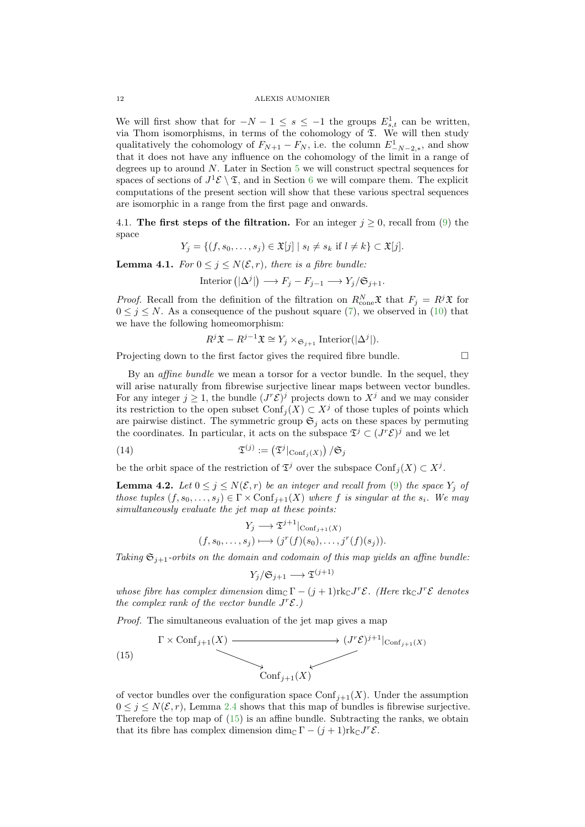We will first show that for  $-N-1 \leq s \leq -1$  the groups  $E_{s,t}^1$  can be written, via Thom isomorphisms, in terms of the cohomology of  $\Sigma$ . We will then study qualitatively the cohomology of  $F_{N+1} - F_N$ , i.e. the column  $E^1_{-N-2,*}$ , and show that it does not have any influence on the cohomology of the limit in a range of degrees up to around  $N$ . Later in Section [5](#page-17-0) we will construct spectral sequences for spaces of sections of  $J^1 \mathcal{E} \setminus \mathfrak{T}$ , and in Section [6](#page-20-0) we will compare them. The explicit computations of the present section will show that these various spectral sequences are isomorphic in a range from the first page and onwards.

4.1. The first steps of the filtration. For an integer  $j \geq 0$ , recall from [\(9\)](#page-9-2) the space

$$
Y_j = \{ (f, s_0, \dots, s_j) \in \mathfrak{X}[j] \mid s_l \neq s_k \text{ if } l \neq k \} \subset \mathfrak{X}[j].
$$

<span id="page-11-2"></span>**Lemma 4.1.** For  $0 \leq i \leq N(\mathcal{E}, r)$ , there is a fibre bundle:

$$
Interior\left(|\Delta^j|\right) \longrightarrow F_j - F_{j-1} \longrightarrow Y_j/\mathfrak{S}_{j+1}.
$$

*Proof.* Recall from the definition of the filtration on  $R_{\text{cone}}^N \mathfrak{X}$  that  $F_j = R^j \mathfrak{X}$  for  $0 \leq j \leq N$ . As a consequence of the pushout square [\(7\)](#page-7-2), we observed in [\(10\)](#page-9-3) that we have the following homeomorphism:

$$
R^{j} \mathfrak{X} - R^{j-1} \mathfrak{X} \cong Y_j \times_{\mathfrak{S}_{j+1}} \text{Interior}(|\Delta^{j}|).
$$

Projecting down to the first factor gives the required fibre bundle.  $\Box$ 

By an affine bundle we mean a torsor for a vector bundle. In the sequel, they will arise naturally from fibrewise surjective linear maps between vector bundles. For any integer  $j \geq 1$ , the bundle  $(J^r\mathcal{E})^j$  projects down to  $X^j$  and we may consider its restriction to the open subset Conf<sub>j</sub>(X) ⊂  $X^j$  of those tuples of points which are pairwise distinct. The symmetric group  $\mathfrak{S}_j$  acts on these spaces by permuting the coordinates. In particular, it acts on the subspace  $\mathfrak{T}^j \subset (J^r\mathcal{E})^j$  and we let

(14) 
$$
\mathfrak{T}^{(j)} := (\mathfrak{T}^j|_{\mathrm{Conf}_j(X)}) / \mathfrak{S}_j
$$

be the orbit space of the restriction of  $\mathfrak{T}^j$  over the subspace  $\mathrm{Conf}_j(X) \subset X^j$ .

<span id="page-11-3"></span>**Lemma 4.2.** Let  $0 \leq j \leq N(\mathcal{E}, r)$  be an integer and recall from [\(9\)](#page-9-2) the space  $Y_i$  of those tuples  $(f, s_0, \ldots, s_i) \in \Gamma \times \text{Conf}_{i+1}(X)$  where f is singular at the  $s_i$ . We may simultaneously evaluate the jet map at these points:

<span id="page-11-1"></span>
$$
Y_j \longrightarrow \mathfrak{T}^{j+1} |_{\text{Conf}_{j+1}(X)}
$$

$$
(f, s_0, \dots, s_j) \longmapsto (j^r(f)(s_0), \dots, j^r(f)(s_j)).
$$

Taking  $\mathfrak{S}_{i+1}$ -orbits on the domain and codomain of this map yields an affine bundle:

$$
Y_j/\mathfrak{S}_{j+1} \longrightarrow \mathfrak{T}^{(j+1)}
$$

whose fibre has complex dimension  $\dim_{\mathbb{C}} \Gamma - (j+1) \text{rk}_{\mathbb{C}} J^r \mathcal{E}$ . (Here  $\text{rk}_{\mathbb{C}} J^r \mathcal{E}$  denotes the complex rank of the vector bundle  $J^r\mathcal{E}$ .

Proof. The simultaneous evaluation of the jet map gives a map

<span id="page-11-0"></span>(15) 
$$
\xrightarrow{\Gamma \times \text{Conf}_{j+1}(X)} \xrightarrow{\text{Conf}_{j+1}(X)}
$$

of vector bundles over the configuration space  $\text{Conf}_{j+1}(X)$ . Under the assumption  $0 \leq j \leq N(\mathcal{E}, r)$ , Lemma [2.4](#page-3-1) shows that this map of bundles is fibrewise surjective. Therefore the top map of [\(15\)](#page-11-0) is an affine bundle. Subtracting the ranks, we obtain that its fibre has complex dimension dim<sub>C</sub>  $\Gamma - (j + 1)$ rk<sub>C</sub>  $J^r$  $\mathcal{E}$ .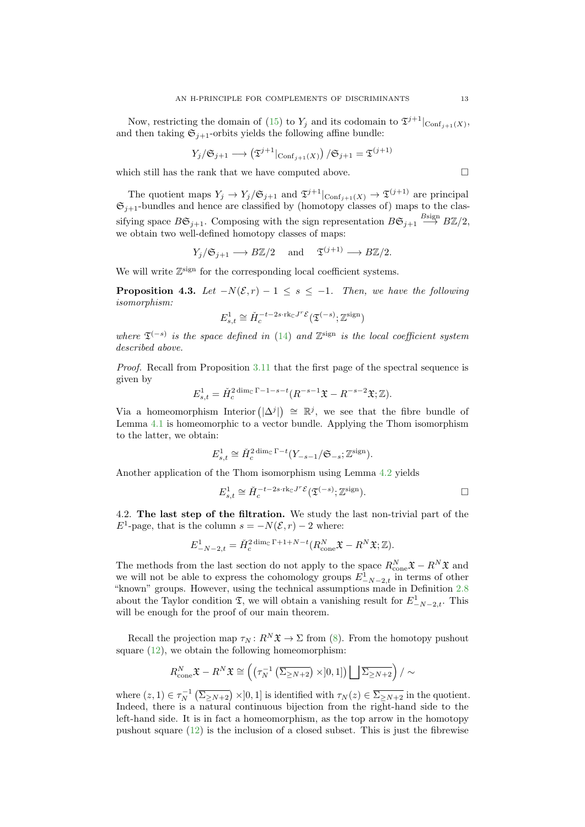Now, restricting the domain of [\(15\)](#page-11-0) to  $Y_j$  and its codomain to  $\mathfrak{I}^{j+1}|_{\text{Conf}_{j+1}(X)}$ , and then taking  $\mathfrak{S}_{i+1}$ -orbits yields the following affine bundle:

$$
Y_j/\mathfrak{S}_{j+1} \longrightarrow (\mathfrak{T}^{j+1}|\text{Conf}_{j+1}(X)) / \mathfrak{S}_{j+1} = \mathfrak{T}^{(j+1)}
$$

which still has the rank that we have computed above.  $\hfill \Box$ 

E

The quotient maps  $Y_j \to Y_j/\mathfrak{S}_{j+1}$  and  $\mathfrak{I}^{j+1}|_{\text{Conf}_{j+1}(X)} \to \mathfrak{I}^{(j+1)}$  are principal  $\mathfrak{S}_{j+1}$ -bundles and hence are classified by (homotopy classes of) maps to the classifying space  $B\mathfrak{S}_{j+1}$ . Composing with the sign representation  $B\mathfrak{S}_{j+1} \stackrel{B{\text{sign}}}{\longrightarrow} B\mathbb{Z}/2$ , we obtain two well-defined homotopy classes of maps:

$$
Y_j/\mathfrak{S}_{j+1} \longrightarrow B\mathbb{Z}/2
$$
 and  $\mathfrak{T}^{(j+1)} \longrightarrow B\mathbb{Z}/2$ .

We will write  $\mathbb{Z}^{\text{sign}}$  for the corresponding local coefficient systems.

<span id="page-12-1"></span>**Proposition 4.3.** Let  $-N(\mathcal{E}, r) - 1 \leq s \leq -1$ . Then, we have the following isomorphism:

$$
E^1_{s,t} \cong \check{H}^{-t-2s\cdot\mathrm{rk}_\mathbb{C} J^r\mathcal{E}}_c\big(\mathfrak{T}^{(-s)};\mathbb{Z}^\mathrm{sign}\big)
$$

where  $\mathfrak{T}^{(-s)}$  is the space defined in [\(14\)](#page-11-1) and  $\mathbb{Z}^{\text{sign}}$  is the local coefficient system described above.

Proof. Recall from Proposition [3.11](#page-10-2) that the first page of the spectral sequence is given by

$$
E_{s,t}^1 = \check{H}_c^{2 \dim_{\mathbb{C}} \Gamma - 1 - s - t} (R^{-s-1} \mathfrak{X} - R^{-s-2} \mathfrak{X}; \mathbb{Z}).
$$

Via a homeomorphism Interior  $(|\Delta^j|) \cong \mathbb{R}^j$ , we see that the fibre bundle of Lemma [4.1](#page-11-2) is homeomorphic to a vector bundle. Applying the Thom isomorphism to the latter, we obtain:

$$
E_{s,t}^1 \cong \check{H}_c^{2 \dim_{\mathbb{C}} \Gamma - t} (Y_{-s-1}/\mathfrak{S}_{-s}; \mathbb{Z}^{\text{sign}}).
$$

Another application of the Thom isomorphism using Lemma [4.2](#page-11-3) yields

$$
E_{s,t}^1 \cong \check{H}_c^{-t-2s \cdot \text{rk}_{\mathbb{C}} J^r \mathcal{E}}(\mathfrak{T}^{(-s)}; \mathbb{Z}^{\text{sign}}).
$$

<span id="page-12-0"></span>4.2. The last step of the filtration. We study the last non-trivial part of the  $E^1$ -page, that is the column  $s = -N(\mathcal{E}, r) - 2$  where:

$$
E_{-N-2,t}^1 = \check{H}_c^{2 \dim_{\mathbb{C}} \Gamma + 1 + N - t} (R_{\text{cone}}^N \mathfrak{X} - R^N \mathfrak{X}; \mathbb{Z}).
$$

The methods from the last section do not apply to the space  $R_{\text{cone}}^N \mathfrak{X} - R^N \mathfrak{X}$  and we will not be able to express the cohomology groups  $E_{-N-2,t}^1$  in terms of other "known" groups. However, using the technical assumptions made in Definition [2.8](#page-4-2) about the Taylor condition  $\mathfrak{T}$ , we will obtain a vanishing result for  $E_{-N-2,t}^1$ . This will be enough for the proof of our main theorem.

Recall the projection map  $\tau_N : R^N \mathfrak{X} \to \Sigma$  from [\(8\)](#page-8-4). From the homotopy pushout square  $(12)$ , we obtain the following homeomorphism:

$$
R_{\text{cone}}^N \mathfrak{X} - R^N \mathfrak{X} \cong \left( \left( \tau_N^{-1} \left( \overline{\Sigma_{\geq N+2}} \right) \times ]0,1] \right) \bigsqcup \overline{\Sigma_{\geq N+2}} \right) / \sim
$$

where  $(z,1) \in \tau_N^{-1}(\overline{\Sigma_{\geq N+2}}) \times ]0,1]$  is identified with  $\tau_N(z) \in \overline{\Sigma_{\geq N+2}}$  in the quotient. Indeed, there is a natural continuous bijection from the right-hand side to the left-hand side. It is in fact a homeomorphism, as the top arrow in the homotopy pushout square [\(12\)](#page-9-0) is the inclusion of a closed subset. This is just the fibrewise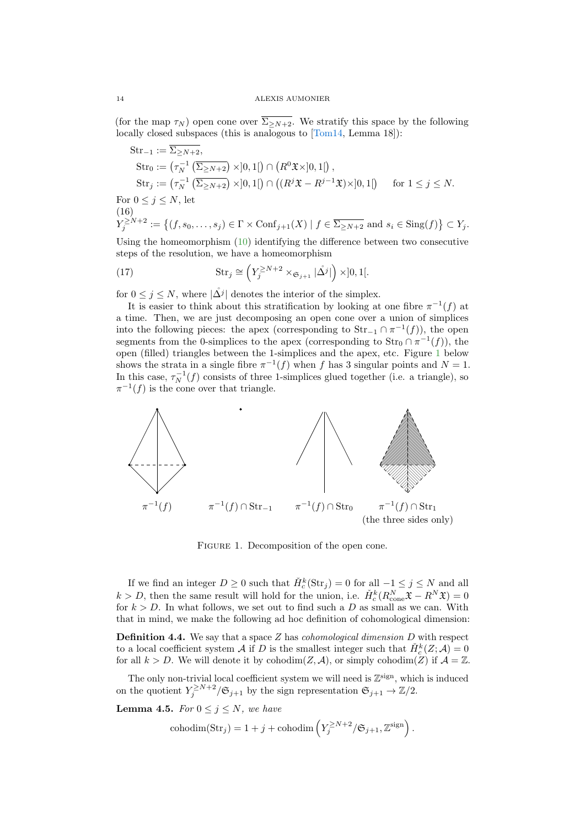(for the map  $\tau_N$ ) open cone over  $\overline{\Sigma_{\geq N+2}}$ . We stratify this space by the following locally closed subspaces (this is analogous to [\[Tom14,](#page-37-1) Lemma 18]):

$$
\begin{aligned} \text{Str}_{-1} &:= \overline{\Sigma_{\geq N+2}}, \\ \text{Str}_0 &:= \left(\tau_N^{-1} \left(\overline{\Sigma_{\geq N+2}}\right) \times ]0,1[ \right) \cap \left(R^0 \mathfrak{X} \times ]0,1[ \right), \\ \text{Str}_j &:= \left(\tau_N^{-1} \left(\overline{\Sigma_{\geq N+2}}\right) \times ]0,1[ \right) \cap \left( \left(R^j \mathfrak{X} - R^{j-1} \mathfrak{X}\right) \times ]0,1[ \right) \quad \text{ for } 1 \leq j \leq N. \end{aligned}
$$

For  $0 \leq j \leq N$ , let (16)

$$
Y_j^{\geq N+2} := \left\{ (f, s_0, \dots, s_j) \in \Gamma \times \text{Conf}_{j+1}(X) \mid f \in \overline{\Sigma_{\geq N+2}} \text{ and } s_i \in \text{Sing}(f) \right\} \subset Y_j.
$$

Using the homeomorphism [\(10\)](#page-9-3) identifying the difference between two consecutive steps of the resolution, we have a homeomorphism

<span id="page-13-1"></span>(17) 
$$
\operatorname{Str}_j \cong \left(Y_j^{\geq N+2} \times_{\mathfrak{S}_{j+1}} |\mathring{\Delta}^j|\right) \times ]0,1[.
$$

for  $0 \leq j \leq N$ , where  $|\mathring{\Delta j}|$  denotes the interior of the simplex.

It is easier to think about this stratification by looking at one fibre  $\pi^{-1}(f)$  at a time. Then, we are just decomposing an open cone over a union of simplices into the following pieces: the apex (corresponding to  $\text{Str}_{-1} \cap \pi^{-1}(f)$ ), the open segments from the 0-simplices to the apex (corresponding to  $\text{Str}_0 \cap \pi^{-1}(f)$ ), the open (filled) triangles between the 1-simplices and the apex, etc. Figure [1](#page-13-0) below shows the strata in a single fibre  $\pi^{-1}(f)$  when f has 3 singular points and  $N=1$ . In this case,  $\tau_N^{-1}(f)$  consists of three 1-simplices glued together (i.e. a triangle), so  $\pi^{-1}(f)$  is the cone over that triangle.

<span id="page-13-0"></span>

Figure 1. Decomposition of the open cone.

If we find an integer  $D \ge 0$  such that  $\check{H}_c^k(\text{Str}_j) = 0$  for all  $-1 \le j \le N$  and all  $k > D$ , then the same result will hold for the union, i.e.  $\check{H}_c^k(R_{\text{cone}}^N \mathfrak{X} - R^N \mathfrak{X}) = 0$ for  $k > D$ . In what follows, we set out to find such a D as small as we can. With that in mind, we make the following ad hoc definition of cohomological dimension:

**Definition 4.4.** We say that a space  $Z$  has *cohomological dimension*  $D$  with respect to a local coefficient system A if D is the smallest integer such that  $\check{H}_c^k(Z; A) = 0$ for all  $k > D$ . We will denote it by cohodim(Z, A), or simply cohodim(Z) if  $\mathcal{A} = \mathbb{Z}$ .

The only non-trivial local coefficient system we will need is  $\mathbb{Z}^{\text{sign}}$ , which is induced on the quotient  $Y_j^{\geq N+2}/\mathfrak{S}_{j+1}$  by the sign representation  $\mathfrak{S}_{j+1} \to \mathbb{Z}/2$ .

<span id="page-13-2"></span>**Lemma 4.5.** For  $0 \leq j \leq N$ , we have

$$
\operatorname{cohodim}(\operatorname{Str}_j) = 1 + j + \operatorname{cohodim}\left(Y_j^{\ge N+2} / \mathfrak{S}_{j+1}, \mathbb{Z}^{\operatorname{sign}}\right).
$$

<span id="page-13-3"></span>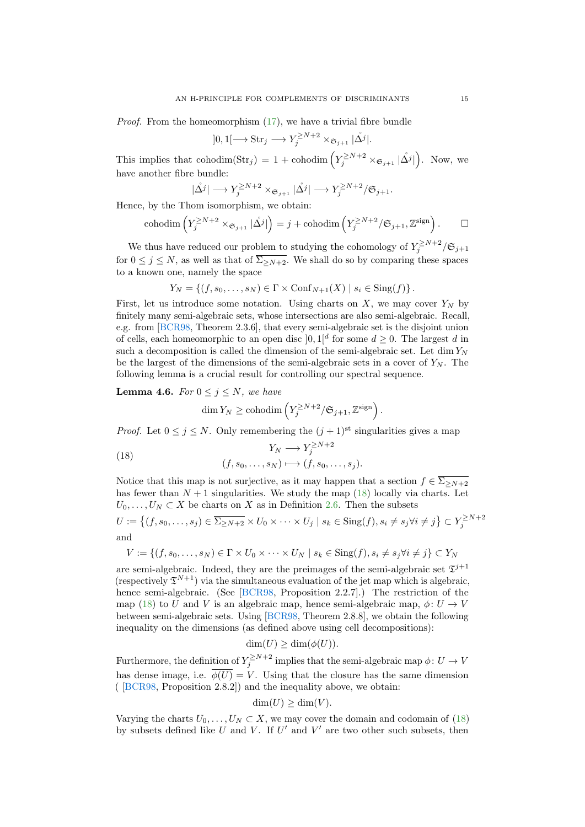<span id="page-14-2"></span>Proof. From the homeomorphism [\(17\)](#page-13-1), we have a trivial fibre bundle

$$
]0,1[\longrightarrow \text{Str}_j\longrightarrow Y_j^{\geq N+2}\times_{\mathfrak{S}_{j+1}}|\mathring{\Delta^j}|.
$$

This implies that cohodim( $\text{Str}_j$ ) = 1 + cohodim  $\left(Y_j^{\geq N+2} \times_{\mathfrak{S}_{j+1}} |\mathring{\Delta}^j|\right)$ . Now, we have another fibre bundle:

$$
|\mathring{\Delta^j}| \longrightarrow Y_j^{\ge N+2} \times_{\mathfrak{S}_{j+1}} |\mathring{\Delta^j}| \longrightarrow Y_j^{\ge N+2} / \mathfrak{S}_{j+1}.
$$

Hence, by the Thom isomorphism, we obtain:

$$
\operatorname{cohodim}\left(Y_j^{\geq N+2} \times_{\mathfrak{S}_{j+1}} |\mathring{\Delta}^j|\right) = j + \operatorname{cohodim}\left(Y_j^{\geq N+2} / \mathfrak{S}_{j+1}, \mathbb{Z}^{\operatorname{sign}}\right). \qquad \Box
$$

We thus have reduced our problem to studying the cohomology of  $Y_j^{\ge N+2}/\mathfrak{S}_{j+1}$ for  $0 \leq j \leq N$ , as well as that of  $\overline{\Sigma_{>N+2}}$ . We shall do so by comparing these spaces to a known one, namely the space

$$
Y_N = \{ (f, s_0, \dots, s_N) \in \Gamma \times \text{Conf}_{N+1}(X) \mid s_i \in \text{Sing}(f) \}.
$$

First, let us introduce some notation. Using charts on  $X$ , we may cover  $Y_N$  by finitely many semi-algebraic sets, whose intersections are also semi-algebraic. Recall, e.g. from [\[BCR98,](#page-36-6) Theorem 2.3.6], that every semi-algebraic set is the disjoint union of cells, each homeomorphic to an open disc  $]0,1]^d$  for some  $d\geq 0$ . The largest d in such a decomposition is called the dimension of the semi-algebraic set. Let  $\dim Y_N$ be the largest of the dimensions of the semi-algebraic sets in a cover of  $Y_N$ . The following lemma is a crucial result for controlling our spectral sequence.

<span id="page-14-1"></span>**Lemma 4.6.** For  $0 \leq j \leq N$ , we have

$$
\dim Y_N \ge \text{cohodim}\left(Y_j^{\ge N+2}/\mathfrak{S}_{j+1}, \mathbb{Z}^{\text{sign}}\right).
$$

*Proof.* Let  $0 \leq j \leq N$ . Only remembering the  $(j + 1)$ <sup>st</sup> singularities gives a map

<span id="page-14-0"></span>(18) 
$$
Y_N \longrightarrow Y_j^{\geq N+2}
$$

$$
(f, s_0, \dots, s_N) \longmapsto (f, s_0, \dots, s_j).
$$

Notice that this map is not surjective, as it may happen that a section  $f \in \overline{\Sigma_{\geq N+2}}$ has fewer than  $N + 1$  singularities. We study the map [\(18\)](#page-14-0) locally via charts. Let  $U_0, \ldots, U_N \subset X$  be charts on X as in Definition [2.6.](#page-4-0) Then the subsets

$$
U := \left\{ (f, s_0, \dots, s_j) \in \overline{\Sigma_{\ge N+2}} \times U_0 \times \dots \times U_j \mid s_k \in \text{Sing}(f), s_i \ne s_j \forall i \ne j \right\} \subset Y_j^{\ge N+2}
$$
 and

$$
V := \{ (f, s_0, \dots, s_N) \in \Gamma \times U_0 \times \dots \times U_N \mid s_k \in \text{Sing}(f), s_i \neq s_j \forall i \neq j \} \subset Y_N
$$

are semi-algebraic. Indeed, they are the preimages of the semi-algebraic set  $\mathfrak{T}^{j+1}$ (respectively  $\mathfrak{T}^{N+1}$ ) via the simultaneous evaluation of the jet map which is algebraic, hence semi-algebraic. (See [\[BCR98,](#page-36-6) Proposition 2.2.7].) The restriction of the map [\(18\)](#page-14-0) to U and V is an algebraic map, hence semi-algebraic map,  $\phi: U \to V$ between semi-algebraic sets. Using [\[BCR98,](#page-36-6) Theorem 2.8.8], we obtain the following inequality on the dimensions (as defined above using cell decompositions):

$$
\dim(U) \ge \dim(\phi(U)).
$$

Furthermore, the definition of  $Y_j^{\ge N+2}$  implies that the semi-algebraic map  $\phi: U \to V$ has dense image, i.e.  $\overline{\phi(U)} = V$ . Using that the closure has the same dimension ( [\[BCR98,](#page-36-6) Proposition 2.8.2]) and the inequality above, we obtain:

$$
\dim(U) \ge \dim(V).
$$

Varying the charts  $U_0, \ldots, U_N \subset X$ , we may cover the domain and codomain of [\(18\)](#page-14-0) by subsets defined like  $U$  and  $V$ . If  $U'$  and  $V'$  are two other such subsets, then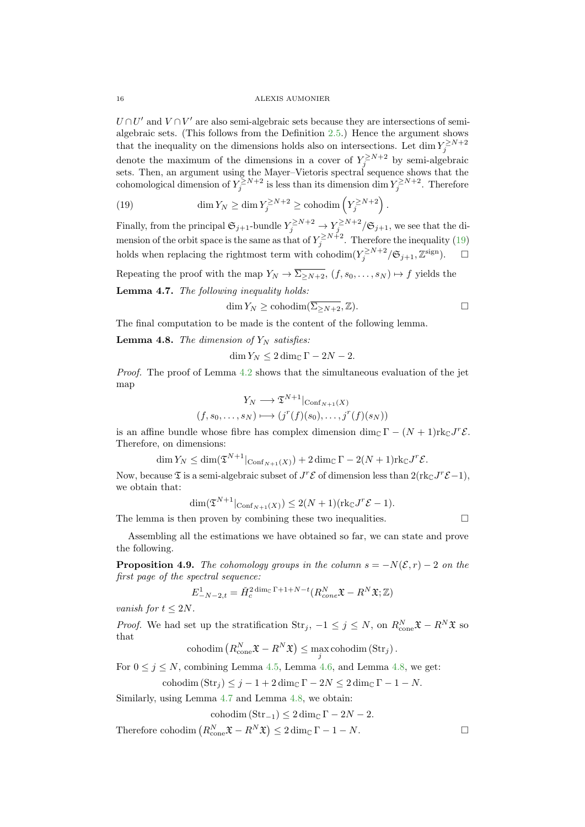$U \cap U'$  and  $V \cap V'$  are also semi-algebraic sets because they are intersections of semialgebraic sets. (This follows from the Definition [2.5.](#page-3-2)) Hence the argument shows that the inequality on the dimensions holds also on intersections. Let  $\dim Y_j^{\geq N+2}$ denote the maximum of the dimensions in a cover of  $Y_j^{\geq N+2}$  by semi-algebraic sets. Then, an argument using the Mayer–Vietoris spectral sequence shows that the cohomological dimension of  $Y_j^{\ge N+2}$  is less than its dimension dim  $Y_j^{\ge N+2}$ . Therefore

<span id="page-15-0"></span>(19) 
$$
\dim Y_N \ge \dim Y_j^{\ge N+2} \ge \text{cohodim}\left(Y_j^{\ge N+2}\right).
$$

Finally, from the principal  $\mathfrak{S}_{j+1}$ -bundle  $Y_j^{\ge N+2} \to Y_j^{\ge N+2}/\mathfrak{S}_{j+1}$ , we see that the dimension of the orbit space is the same as that of  $Y_j^{\ge N+2}$ . Therefore the inequality [\(19\)](#page-15-0) holds when replacing the rightmost term with cohodim $(Y_j^{\ge N+2}/\mathfrak{S}_{j+1}, \mathbb{Z}^{\text{sign}})$ .  $\Box$ 

Repeating the proof with the map  $Y_N \to \overline{\Sigma_{>N+2}}$ ,  $(f, s_0, \ldots, s_N) \mapsto f$  yields the

<span id="page-15-2"></span>Lemma 4.7. The following inequality holds:

$$
\qquad \qquad \Box
$$

The final computation to be made is the content of the following lemma.

<span id="page-15-1"></span>**Lemma 4.8.** The dimension of  $Y_N$  satisfies:

$$
\dim Y_N \le 2\dim_{\mathbb{C}} \Gamma - 2N - 2.
$$

dim  $Y_N \geq \text{cohodim}(\overline{\Sigma_{>N+2}}, \mathbb{Z}).$ 

Proof. The proof of Lemma [4.2](#page-11-3) shows that the simultaneous evaluation of the jet map

$$
Y_N \longrightarrow \mathfrak{T}^{N+1} |_{\text{Conf}_{N+1}(X)}
$$

$$
(f, s_0, \dots, s_N) \longmapsto (j^r(f)(s_0), \dots, j^r(f)(s_N))
$$

is an affine bundle whose fibre has complex dimension dim<sub>C</sub>  $\Gamma - (N+1)$ rk<sub>C</sub>J<sup>r</sup>  $\mathcal{E}$ . Therefore, on dimensions:

$$
\dim Y_N \le \dim(\mathfrak{T}^{N+1}|\mathrm{Conf}_{N+1}(X)) + 2\dim_{\mathbb{C}}\Gamma - 2(N+1)\mathrm{rk}_{\mathbb{C}}J^r\mathcal{E}.
$$

Now, because  $\mathfrak T$  is a semi-algebraic subset of  $J^r\mathcal E$  of dimension less than  $2(\text{rk}_{\mathbb C}J^r\mathcal E-1)$ , we obtain that:

$$
\dim(\mathfrak{T}^{N+1}|\mathrm{Conf}_{N+1}(X)) \le 2(N+1)(\mathrm{rk}_{\mathbb{C}}J^r\mathcal{E}-1).
$$

The lemma is then proven by combining these two inequalities.  $\Box$ 

Assembling all the estimations we have obtained so far, we can state and prove the following.

<span id="page-15-3"></span>**Proposition 4.9.** The cohomology groups in the column  $s = -N(\mathcal{E}, r) - 2$  on the first page of the spectral sequence:

$$
E_{-N-2,t}^1 = \check{H}_c^{2 \dim_{\mathbb{C}} \Gamma + 1 + N - t} (R_{cone}^N \mathfrak{X} - R^N \mathfrak{X}; \mathbb{Z})
$$

vanish for  $t \leq 2N$ .

*Proof.* We had set up the stratification  $\text{Str}_j$ ,  $-1 \leq j \leq N$ , on  $R_{\text{cone}}^N \mathfrak{X} - R^N \mathfrak{X}$  so that

$$
\operatorname{cohodim}\left(R^N_{\operatorname{cone}}\mathfrak{X} - R^N \mathfrak{X}\right) \leq \max_j \operatorname{cohodim}\left(\operatorname{Str}_j\right).
$$

For  $0 \le j \le N$ , combining Lemma [4.5,](#page-13-2) Lemma [4.6,](#page-14-1) and Lemma [4.8,](#page-15-1) we get:

$$
\text{cohodim} (\text{Str}_j) \le j - 1 + 2 \dim_{\mathbb{C}} \Gamma - 2N \le 2 \dim_{\mathbb{C}} \Gamma - 1 - N.
$$

Similarly, using Lemma [4.7](#page-15-2) and Lemma [4.8,](#page-15-1) we obtain:

$$
\mathrm{cohodim}\left(\mathrm{Str}_{-1}\right) \le 2 \dim_{\mathbb{C}} \Gamma - 2N - 2.
$$

Therefore cohodim  $(R_{\text{cone}}^N \mathfrak{X} - R^N \mathfrak{X}) \leq 2 \dim_{\mathbb{C}} \Gamma - 1 - N.$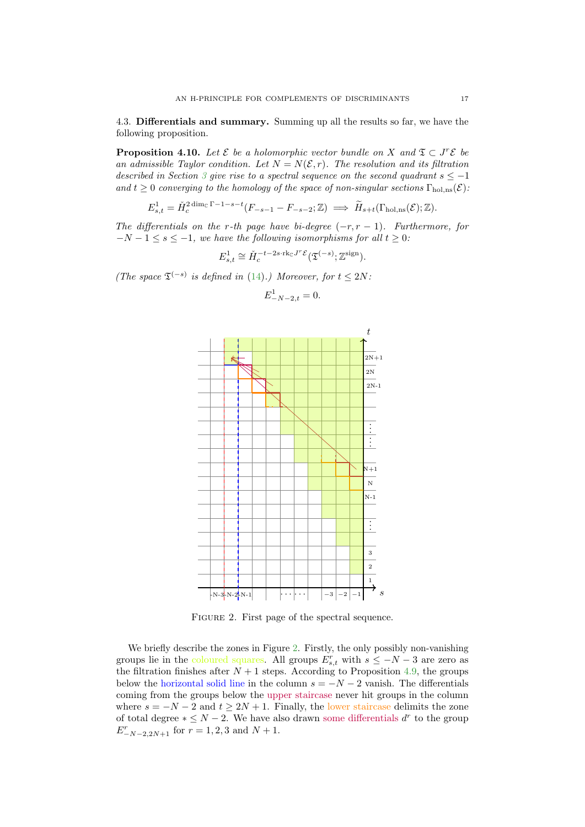4.3. Differentials and summary. Summing up all the results so far, we have the following proposition.

<span id="page-16-1"></span>**Proposition 4.10.** Let  $\mathcal{E}$  be a holomorphic vector bundle on X and  $\mathcal{I} \subset J^r\mathcal{E}$  be an admissible Taylor condition. Let  $N = N(\mathcal{E}, r)$ . The resolution and its filtration described in Section [3](#page-5-1) give rise to a spectral sequence on the second quadrant  $s \leq -1$ and  $t \geq 0$  converging to the homology of the space of non-singular sections  $\Gamma_{\text{hol,ns}}(\mathcal{E})$ :

$$
E_{s,t}^1 = \check{H}_c^{2 \dim_{\mathbb{C}} \Gamma - 1 - s - t} (F_{-s-1} - F_{-s-2}; \mathbb{Z}) \implies \widetilde{H}_{s+t}(\Gamma_{\text{hol},\text{ns}}(\mathcal{E}); \mathbb{Z}).
$$

The differentials on the r-th page have bi-degree  $(-r, r - 1)$ . Furthermore, for  $-N-1 \leq s \leq -1$ , we have the following isomorphisms for all  $t \geq 0$ :

$$
E^1_{s,t} \cong \check{H}^{-t-2s\cdot\mathrm{rk}_\mathbb{C} J^r\mathcal{E}}_c(\mathfrak{T}^{(-s)};\mathbb{Z}^\mathrm{sign}).
$$

<span id="page-16-0"></span>(The space  $\mathfrak{T}^{(-s)}$  is defined in [\(14\)](#page-11-1).) Moreover, for  $t \leq 2N$ .

$$
E_{-N-2,t}^1 = 0.
$$



FIGURE 2. First page of the spectral sequence.

We briefly describe the zones in Figure [2.](#page-16-0) Firstly, the only possibly non-vanishing groups lie in the coloured squares. All groups  $E_{s,t}^r$  with  $s \leq -N-3$  are zero as the filtration finishes after  $N + 1$  steps. According to Proposition [4.9,](#page-15-3) the groups below the horizontal solid line in the column  $s = -N - 2$  vanish. The differentials coming from the groups below the upper staircase never hit groups in the column where  $s = -N - 2$  and  $t \geq 2N + 1$ . Finally, the lower staircase delimits the zone of total degree  $* \leq N - 2$ . We have also drawn some differentials  $d^r$  to the group  $E_{-N-2,2N+1}^{r}$  for  $r=1,2,3$  and  $N+1$ .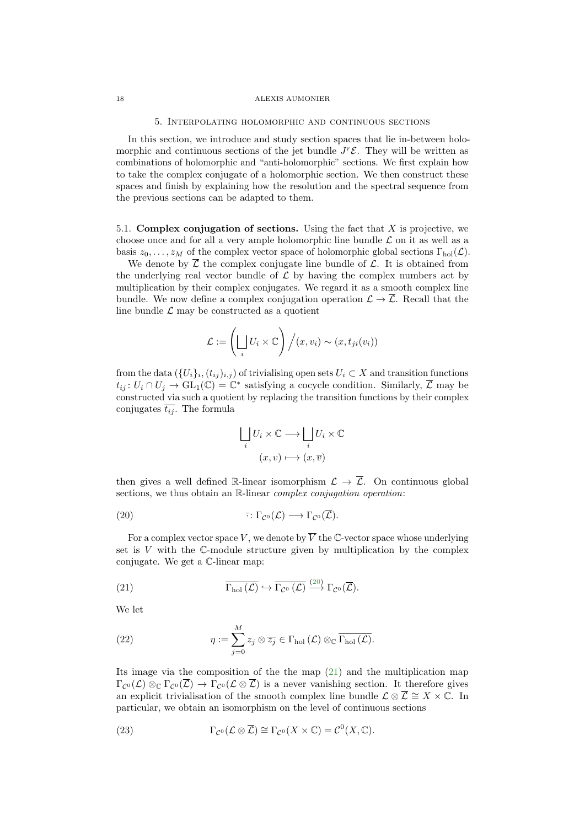#### 5. Interpolating holomorphic and continuous sections

<span id="page-17-0"></span>In this section, we introduce and study section spaces that lie in-between holomorphic and continuous sections of the jet bundle  $J^r\mathcal{E}$ . They will be written as combinations of holomorphic and "anti-holomorphic" sections. We first explain how to take the complex conjugate of a holomorphic section. We then construct these spaces and finish by explaining how the resolution and the spectral sequence from the previous sections can be adapted to them.

5.1. Complex conjugation of sections. Using the fact that  $X$  is projective, we choose once and for all a very ample holomorphic line bundle  $\mathcal L$  on it as well as a basis  $z_0, \ldots, z_M$  of the complex vector space of holomorphic global sections  $\Gamma_{hol}(\mathcal{L})$ .

We denote by  $\overline{\mathcal{L}}$  the complex conjugate line bundle of  $\mathcal{L}$ . It is obtained from the underlying real vector bundle of  $\mathcal L$  by having the complex numbers act by multiplication by their complex conjugates. We regard it as a smooth complex line bundle. We now define a complex conjugation operation  $\mathcal{L} \to \overline{\mathcal{L}}$ . Recall that the line bundle  $\mathcal L$  may be constructed as a quotient

$$
\mathcal{L} := \left(\bigsqcup_i U_i \times \mathbb{C}\right) / (x, v_i) \sim (x, t_{ji}(v_i))
$$

from the data  $(\{U_i\}_i, (t_{ij})_{i,j})$  of trivialising open sets  $U_i \subset X$  and transition functions  $t_{ij}$ :  $U_i \cap U_j \to GL_1(\mathbb{C}) = \mathbb{C}^*$  satisfying a cocycle condition. Similarly,  $\overline{\mathcal{L}}$  may be constructed via such a quotient by replacing the transition functions by their complex conjugates  $\overline{t_{ij}}$ . The formula

<span id="page-17-1"></span>
$$
\bigsqcup_{i} U_{i} \times \mathbb{C} \longrightarrow \bigsqcup_{i} U_{i} \times \mathbb{C}
$$

$$
(x, v) \longmapsto (x, \overline{v})
$$

then gives a well defined R-linear isomorphism  $\mathcal{L} \to \overline{\mathcal{L}}$ . On continuous global sections, we thus obtain an R-linear *complex conjugation operation*:

(20) 
$$
\overline{\cdot} : \Gamma_{\mathcal{C}^0}(\mathcal{L}) \longrightarrow \Gamma_{\mathcal{C}^0}(\overline{\mathcal{L}}).
$$

For a complex vector space V, we denote by  $\overline{V}$  the C-vector space whose underlying set is  $V$  with the  $\mathbb{C}$ -module structure given by multiplication by the complex conjugate. We get a C-linear map:

<span id="page-17-2"></span>(21) 
$$
\overline{\Gamma_{\text{hol}}(\mathcal{L})} \hookrightarrow \overline{\Gamma_{\mathcal{C}^0}(\mathcal{L})} \stackrel{(20)}{\longrightarrow} \Gamma_{\mathcal{C}^0}(\overline{\mathcal{L}}).
$$

We let

<span id="page-17-4"></span>(22) 
$$
\eta := \sum_{j=0}^{M} z_j \otimes \overline{z_j} \in \Gamma_{hol}(\mathcal{L}) \otimes_{\mathbb{C}} \overline{\Gamma_{hol}(\mathcal{L})}.
$$

Its image via the composition of the the map  $(21)$  and the multiplication map  $\Gamma_{\mathcal{C}^0}(\mathcal{L}) \otimes_{\mathbb{C}} \Gamma_{\mathcal{C}^0}(\overline{\mathcal{L}}) \to \Gamma_{\mathcal{C}^0}(\mathcal{L} \otimes \overline{\mathcal{L}})$  is a never vanishing section. It therefore gives an explicit trivialisation of the smooth complex line bundle  $\mathcal{L} \otimes \overline{\mathcal{L}} \cong X \times \mathbb{C}$ . In particular, we obtain an isomorphism on the level of continuous sections

<span id="page-17-3"></span>(23) 
$$
\Gamma_{\mathcal{C}^0}(\mathcal{L}\otimes \overline{\mathcal{L}})\cong \Gamma_{\mathcal{C}^0}(X\times \mathbb{C})=\mathcal{C}^0(X,\mathbb{C}).
$$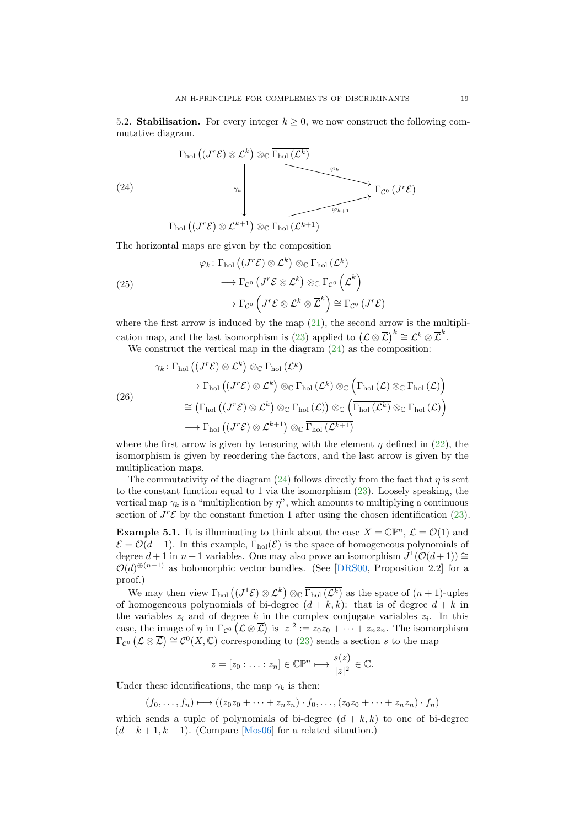<span id="page-18-4"></span>5.2. Stabilisation. For every integer  $k \geq 0$ , we now construct the following commutative diagram.

<span id="page-18-0"></span>(24)  
\n
$$
\Gamma_{hol}((J^{r}\mathcal{E}) \otimes \mathcal{L}^{k}) \otimes_{\mathbb{C}} \overline{\Gamma_{hol}(\mathcal{L}^{k})}
$$
\n
$$
\downarrow \qquad \qquad \downarrow \qquad \qquad \downarrow \qquad \qquad \downarrow \qquad \qquad \downarrow
$$
\n
$$
\Gamma_{hol}((J^{r}\mathcal{E}) \otimes \mathcal{L}^{k+1}) \otimes_{\mathbb{C}} \overline{\Gamma_{hol}(\mathcal{L}^{k+1})}
$$

The horizontal maps are given by the composition

<span id="page-18-1"></span>(25)  
\n
$$
\varphi_k \colon \Gamma_{\text{hol}} \left( (J^r \mathcal{E}) \otimes \mathcal{L}^k \right) \otimes_{\mathbb{C}} \overline{\Gamma_{\text{hol}} \left( \mathcal{L}^k \right)}
$$
\n
$$
\longrightarrow \Gamma_{\mathcal{C}^0} \left( J^r \mathcal{E} \otimes \mathcal{L}^k \right) \otimes_{\mathbb{C}} \Gamma_{\mathcal{C}^0} \left( \overline{\mathcal{L}}^k \right)
$$
\n
$$
\longrightarrow \Gamma_{\mathcal{C}^0} \left( J^r \mathcal{E} \otimes \mathcal{L}^k \otimes \overline{\mathcal{L}}^k \right) \cong \Gamma_{\mathcal{C}^0} \left( J^r \mathcal{E} \right)
$$

where the first arrow is induced by the map  $(21)$ , the second arrow is the multipli-cation map, and the last isomorphism is [\(23\)](#page-17-3) applied to  $(\mathcal{L} \otimes \overline{\mathcal{L}})^k \cong \mathcal{L}^k \otimes \overline{\mathcal{L}}^k$ .

We construct the vertical map in the diagram  $(24)$  as the composition:

<span id="page-18-3"></span>
$$
\gamma_k \colon \Gamma_{\text{hol}}\left((J^r\mathcal{E}) \otimes \mathcal{L}^k\right) \otimes_{\mathbb{C}} \overline{\Gamma_{\text{hol}}\left(\mathcal{L}^k\right)}
$$

$$
\longrightarrow \Gamma_{\text{hol}}\left((J^r\mathcal{E}) \otimes \mathcal{L}^k\right) \otimes_{\mathbb{C}} \overline{\Gamma_{\text{hol}}\left(\mathcal{L}^k\right)} \otimes_{\mathbb{C}} \left(\Gamma_{\text{hol}}\left(\mathcal{L}\right) \otimes_{\mathbb{C}} \overline{\Gamma_{\text{hol}}\left(\mathcal{L}\right)}\right)
$$

$$
\cong \left(\Gamma_{\text{hol}}\left((J^r\mathcal{E}) \otimes \mathcal{L}^k\right) \otimes_{\mathbb{C}} \Gamma_{\text{hol}}\left(\mathcal{L}\right)\right) \otimes_{\mathbb{C}} \left(\overline{\Gamma_{\text{hol}}\left(\mathcal{L}^k\right)} \otimes_{\mathbb{C}} \overline{\Gamma_{\text{hol}}\left(\mathcal{L}\right)}\right)
$$

$$
\longrightarrow \Gamma_{\text{hol}}\left((J^r\mathcal{E}) \otimes \mathcal{L}^{k+1}\right) \otimes_{\mathbb{C}} \overline{\Gamma_{\text{hol}}\left(\mathcal{L}^{k+1}\right)}
$$

where the first arrow is given by tensoring with the element  $\eta$  defined in [\(22\)](#page-17-4), the isomorphism is given by reordering the factors, and the last arrow is given by the multiplication maps.

The commutativity of the diagram  $(24)$  follows directly from the fact that *n* is sent to the constant function equal to 1 via the isomorphism [\(23\)](#page-17-3). Loosely speaking, the vertical map  $\gamma_k$  is a "multiplication by  $\eta$ ", which amounts to multiplying a continuous section of  $J^r\mathcal{E}$  by the constant function 1 after using the chosen identification [\(23\)](#page-17-3).

<span id="page-18-2"></span>**Example 5.1.** It is illuminating to think about the case  $X = \mathbb{CP}^n$ ,  $\mathcal{L} = \mathcal{O}(1)$  and  $\mathcal{E} = \mathcal{O}(d+1)$ . In this example,  $\Gamma_{hol}(\mathcal{E})$  is the space of homogeneous polynomials of degree  $d+1$  in  $n+1$  variables. One may also prove an isomorphism  $J^1(\mathcal{O}(d+1)) \cong$  $\mathcal{O}(d)^{\oplus (n+1)}$  as holomorphic vector bundles. (See [\[DRS00,](#page-36-9) Proposition 2.2] for a proof.)

We may then view  $\Gamma_{hol}((J^1 \mathcal{E}) \otimes \mathcal{L}^k) \otimes_{\mathbb{C}} \overline{\Gamma_{hol}(\mathcal{L}^k)}$  as the space of  $(n+1)$ -uples of homogeneous polynomials of bi-degree  $(d + k, k)$ : that is of degree  $d + k$  in the variables  $z_i$  and of degree k in the complex conjugate variables  $\overline{z_i}$ . In this case, the image of  $\eta$  in  $\Gamma_{\mathcal{C}^0}(\mathcal{L}\otimes\overline{\mathcal{L}})$  is  $|z|^2:=z_0\overline{z_0}+\cdots+z_n\overline{z_n}$ . The isomorphism  $\Gamma_{\mathcal{C}^0}(\mathcal{L}\otimes \overline{\mathcal{L}})\cong \mathcal{C}^0(X,\mathbb{C})$  corresponding to [\(23\)](#page-17-3) sends a section s to the map

$$
z = [z_0 : \ldots : z_n] \in \mathbb{C}\mathbb{P}^n \longmapsto \frac{s(z)}{|z|^2} \in \mathbb{C}.
$$

Under these identifications, the map  $\gamma_k$  is then:

$$
(f_0, \ldots, f_n) \longmapsto ((z_0\overline{z_0} + \cdots + z_n\overline{z_n}) \cdot f_0, \ldots, (z_0\overline{z_0} + \cdots + z_n\overline{z_n}) \cdot f_n)
$$

which sends a tuple of polynomials of bi-degree  $(d + k, k)$  to one of bi-degree  $(d + k + 1, k + 1)$ . (Compare [\[Mos06\]](#page-36-7) for a related situation.)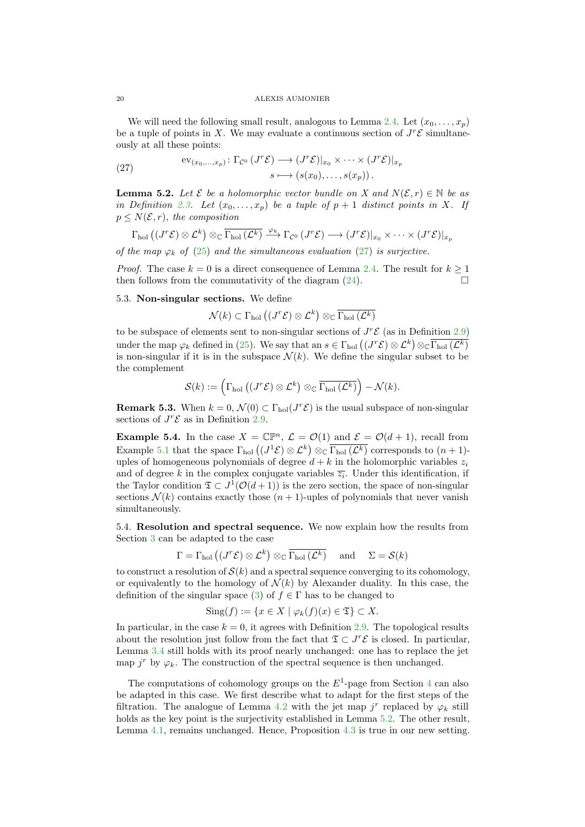We will need the following small result, analogous to Lemma [2.4.](#page-3-1) Let  $(x_0, \ldots, x_p)$ be a tuple of points in X. We may evaluate a continuous section of  $J^r\mathcal{E}$  simultaneously at all these points:

<span id="page-19-0"></span>(27) 
$$
\operatorname{ev}_{(x_0,\ldots,x_p)}: \Gamma_{\mathcal{C}^0}(J^r\mathcal{E}) \longrightarrow (J^r\mathcal{E})|_{x_0} \times \cdots \times (J^r\mathcal{E})|_{x_p}
$$

$$
s \longmapsto (s(x_0),\ldots,s(x_p)).
$$

<span id="page-19-1"></span>**Lemma 5.2.** Let  $\mathcal{E}$  be a holomorphic vector bundle on X and  $N(\mathcal{E}, r) \in \mathbb{N}$  be as in Definition [2.3.](#page-2-1) Let  $(x_0, \ldots, x_p)$  be a tuple of  $p + 1$  distinct points in X. If  $p \leq N(\mathcal{E}, r)$ , the composition

$$
\Gamma_{\text{hol}}\left((J^r\mathcal{E})\otimes\mathcal{L}^k\right)\otimes_{\mathbb{C}}\overline{\Gamma_{\text{hol}}\left(\mathcal{L}^k\right)}\xrightarrow{\varphi_k}\Gamma_{\mathcal{C}^0}\left(J^r\mathcal{E}\right)\longrightarrow\left(J^r\mathcal{E}\right)|_{x_0}\times\cdots\times\left(J^r\mathcal{E}\right)|_{x_p}
$$

of the map  $\varphi_k$  of [\(25\)](#page-18-1) and the simultaneous evaluation [\(27\)](#page-19-0) is surjective.

*Proof.* The case  $k = 0$  is a direct consequence of Lemma [2.4.](#page-3-1) The result for  $k \ge 1$ then follows from the commutativity of the diagram  $(24)$ .

# 5.3. Non-singular sections. We define

$$
\mathcal{N}(k) \subset \Gamma_{\text{hol}}\left( (J^r \mathcal{E}) \otimes \mathcal{L}^k \right) \otimes_{\mathbb{C}} \overline{\Gamma_{\text{hol}}\left( \mathcal{L}^k \right)}
$$

to be subspace of elements sent to non-singular sections of  $J^r\mathcal{E}$  (as in Definition [2.9\)](#page-4-1) under the map  $\varphi_k$  defined in [\(25\)](#page-18-1). We say that an  $s \in \Gamma_{hol}((J^r\mathcal{E})\otimes \mathcal{L}^k)\otimes_{\mathbb{C}} \overline{\Gamma_{hol}(\mathcal{L}^k)}$ is non-singular if it is in the subspace  $\mathcal{N}(k)$ . We define the singular subset to be the complement

$$
\mathcal{S}(k) := \left(\Gamma_{\text{hol}}\left((J^r\mathcal{E})\otimes \mathcal{L}^k\right)\otimes_{\mathbb{C}}\overline{\Gamma_{\text{hol}}\left(\mathcal{L}^k\right)}\right) - \mathcal{N}(k).
$$

**Remark 5.3.** When  $k = 0$ ,  $\mathcal{N}(0) \subset \Gamma_{hol}(J^r\mathcal{E})$  is the usual subspace of non-singular sections of  $J^r\mathcal{E}$  as in Definition [2.9.](#page-4-1)

**Example 5.4.** In the case  $X = \mathbb{CP}^n$ ,  $\mathcal{L} = \mathcal{O}(1)$  and  $\mathcal{E} = \mathcal{O}(d+1)$ , recall from Example [5.1](#page-18-2) that the space  $\Gamma_{hol}((J^1 \mathcal{E}) \otimes \mathcal{L}^k) \otimes_{\mathbb{C}} \overline{\Gamma_{hol}(\mathcal{L}^k)}$  corresponds to  $(n+1)$ uples of homogeneous polynomials of degree  $d + k$  in the holomorphic variables  $z_i$ and of degree k in the complex conjugate variables  $\overline{z_i}$ . Under this identification, if the Taylor condition  $\mathfrak{T} \subset J^1(\mathcal{O}(d+1))$  is the zero section, the space of non-singular sections  $\mathcal{N}(k)$  contains exactly those  $(n + 1)$ -uples of polynomials that never vanish simultaneously.

<span id="page-19-2"></span>5.4. Resolution and spectral sequence. We now explain how the results from Section [3](#page-5-1) can be adapted to the case

$$
\Gamma = \Gamma_{\text{hol}} \left( (J^r \mathcal{E}) \otimes \mathcal{L}^k \right) \otimes_{\mathbb{C}} \overline{\Gamma_{\text{hol}} \left( \mathcal{L}^k \right)} \quad \text{ and } \quad \Sigma = \mathcal{S}(k)
$$

to construct a resolution of  $\mathcal{S}(k)$  and a spectral sequence converging to its cohomology, or equivalently to the homology of  $\mathcal{N}(k)$  by Alexander duality. In this case, the definition of the singular space [\(3\)](#page-5-2) of  $f \in \Gamma$  has to be changed to

$$
Sing(f) := \{ x \in X \mid \varphi_k(f)(x) \in \mathfrak{T} \} \subset X.
$$

In particular, in the case  $k = 0$ , it agrees with Definition [2.9.](#page-4-1) The topological results about the resolution just follow from the fact that  $\mathfrak{T} \subset J^r\mathcal{E}$  is closed. In particular, Lemma [3.4](#page-8-1) still holds with its proof nearly unchanged: one has to replace the jet map  $j^r$  by  $\varphi_k$ . The construction of the spectral sequence is then unchanged.

The computations of cohomology groups on the  $E^1$ -page from Section [4](#page-10-0) can also be adapted in this case. We first describe what to adapt for the first steps of the filtration. The analogue of Lemma [4.2](#page-11-3) with the jet map  $j^r$  replaced by  $\varphi_k$  still holds as the key point is the surjectivity established in Lemma [5.2.](#page-19-1) The other result, Lemma [4.1,](#page-11-2) remains unchanged. Hence, Proposition [4.3](#page-12-1) is true in our new setting.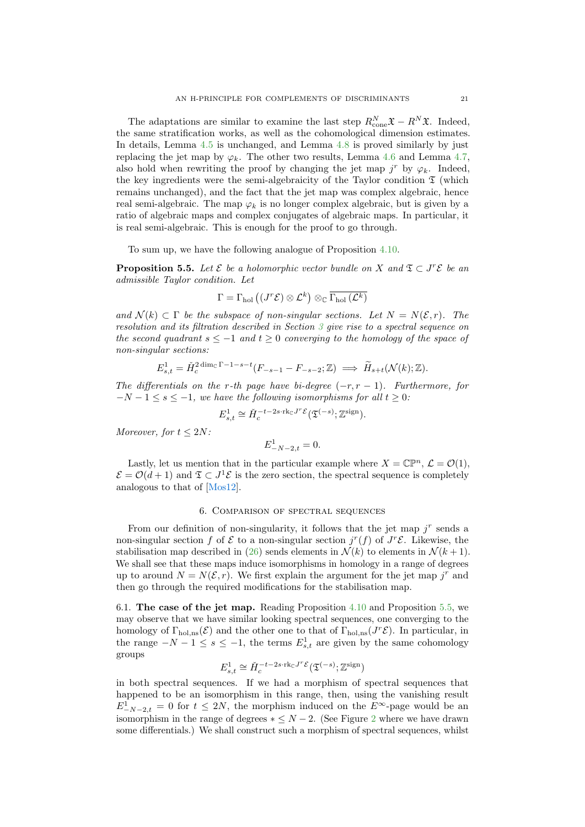<span id="page-20-2"></span>The adaptations are similar to examine the last step  $R_{\text{cone}}^N \mathfrak{X} - R^N \mathfrak{X}$ . Indeed, the same stratification works, as well as the cohomological dimension estimates. In details, Lemma [4.5](#page-13-2) is unchanged, and Lemma [4.8](#page-15-1) is proved similarly by just replacing the jet map by  $\varphi_k$ . The other two results, Lemma [4.6](#page-14-1) and Lemma [4.7,](#page-15-2) also hold when rewriting the proof by changing the jet map  $j^r$  by  $\varphi_k$ . Indeed, the key ingredients were the semi-algebraicity of the Taylor condition  $\mathfrak T$  (which remains unchanged), and the fact that the jet map was complex algebraic, hence real semi-algebraic. The map  $\varphi_k$  is no longer complex algebraic, but is given by a ratio of algebraic maps and complex conjugates of algebraic maps. In particular, it is real semi-algebraic. This is enough for the proof to go through.

To sum up, we have the following analogue of Proposition [4.10.](#page-16-1)

<span id="page-20-1"></span>**Proposition 5.5.** Let  $\mathcal{E}$  be a holomorphic vector bundle on X and  $\mathfrak{T} \subset J^r\mathcal{E}$  be an admissible Taylor condition. Let

$$
\Gamma = \Gamma_{\mathrm{hol}}\left( (J^r\mathcal{E}) \otimes \mathcal{L}^k \right) \otimes_{\mathbb{C}} \overline{\Gamma_{\mathrm{hol}}\left( \mathcal{L}^k \right)}
$$

and  $\mathcal{N}(k) \subset \Gamma$  be the subspace of non-singular sections. Let  $N = N(\mathcal{E}, r)$ . The resolution and its filtration described in Section [3](#page-5-1) give rise to a spectral sequence on the second quadrant  $s \leq -1$  and  $t \geq 0$  converging to the homology of the space of non-singular sections:

$$
E_{s,t}^1 = \check{H}_c^{2 \dim_{\mathbb{C}} \Gamma - 1 - s - t} (F_{-s-1} - F_{-s-2}; \mathbb{Z}) \implies \widetilde{H}_{s+t}(\mathcal{N}(k); \mathbb{Z}).
$$

The differentials on the r-th page have bi-degree  $(-r, r - 1)$ . Furthermore, for  $-N-1 \leq s \leq -1$ , we have the following isomorphisms for all  $t \geq 0$ :

$$
E_{s,t}^1 \cong \check{H}_c^{-t-2s\cdot \mathrm{rk}_{\mathbb{C}}J^r\mathcal{E}}(\mathfrak{T}^{(-s)};\mathbb{Z}^{\mathrm{sign}}).
$$

Moreover, for  $t \leq 2N$ :

$$
E_{-N-2,t}^1 = 0.
$$

Lastly, let us mention that in the particular example where  $X = \mathbb{CP}^n$ ,  $\mathcal{L} = \mathcal{O}(1)$ ,  $\mathcal{E} = \mathcal{O}(d+1)$  and  $\mathfrak{T} \subset J^1\mathcal{E}$  is the zero section, the spectral sequence is completely analogous to that of [\[Mos12\]](#page-36-8).

# 6. Comparison of spectral sequences

<span id="page-20-0"></span>From our definition of non-singularity, it follows that the jet map  $j<sup>r</sup>$  sends a non-singular section f of  $\mathcal E$  to a non-singular section  $j^r(f)$  of  $J^r\mathcal E$ . Likewise, the stabilisation map described in [\(26\)](#page-18-3) sends elements in  $\mathcal{N}(k)$  to elements in  $\mathcal{N}(k+1)$ . We shall see that these maps induce isomorphisms in homology in a range of degrees up to around  $N = N(\mathcal{E}, r)$ . We first explain the argument for the jet map j<sup>r</sup> and then go through the required modifications for the stabilisation map.

6.1. The case of the jet map. Reading Proposition [4.10](#page-16-1) and Proposition [5.5,](#page-20-1) we may observe that we have similar looking spectral sequences, one converging to the homology of  $\Gamma_{hol,ns}(\mathcal{E})$  and the other one to that of  $\Gamma_{hol,ns}(J^r\mathcal{E})$ . In particular, in the range  $-N-1 \leq s \leq -1$ , the terms  $E_{s,t}^1$  are given by the same cohomology groups

$$
E_{s,t}^1 \cong \check{H}_c^{-t-2s\cdot \mathrm{rk}_{\mathbb{C}}J^r\mathcal{E}}(\mathfrak{T}^{(-s)};\mathbb{Z}^{\mathrm{sign}})
$$

in both spectral sequences. If we had a morphism of spectral sequences that happened to be an isomorphism in this range, then, using the vanishing result  $E_{-N-2,t}^1 = 0$  for  $t \le 2N$ , the morphism induced on the  $E^{\infty}$ -page would be an isomorphism in the range of degrees  $* \leq N-2$  $* \leq N-2$ . (See Figure 2 where we have drawn some differentials.) We shall construct such a morphism of spectral sequences, whilst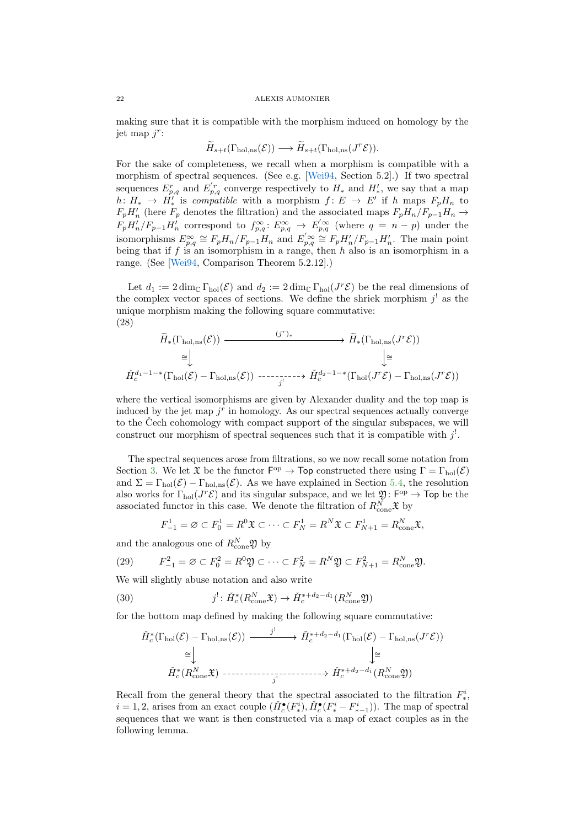<span id="page-21-3"></span>making sure that it is compatible with the morphism induced on homology by the jet map  $j^r$ :

$$
\widetilde{H}_{s+t}(\Gamma_{\text{hol},\text{ns}}(\mathcal{E})) \longrightarrow \widetilde{H}_{s+t}(\Gamma_{\text{hol},\text{ns}}(J^r\mathcal{E})).
$$

For the sake of completeness, we recall when a morphism is compatible with a morphism of spectral sequences. (See e.g. [\[Wei94,](#page-37-6) Section 5.2].) If two spectral sequences  $E_{p,q}^r$  and  $E_{p,q}^{'r}$  converge respectively to  $H_*$  and  $H'_*$ , we say that a map  $h: H_* \to \dot{H}'_*$  is compatible with a morphism  $f: E \to E'$  if h maps  $F_p H_n$  to  $F_pH'_n$  (here  $F_p$  denotes the filtration) and the associated maps  $F_pH_n/F_{p-1}H_n \rightarrow$  $F_pH'_n/F_{p-1}H'_n$  correspond to  $f_{p,q}^{\infty} : E_{p,q}^{\infty} \to E'_{p,q}$  (where  $q = n - p$ ) under the isomorphisms  $E_{p,q}^{\infty} \cong F_p H_n / F_{p-1} H_n$  and  $E_{p,q}^{\prime \infty} \cong F_p H_n / F_{p-1} H_n'$ . The main point being that if f is an isomorphism in a range, then h also is an isomorphism in a range. (See [\[Wei94,](#page-37-6) Comparison Theorem 5.2.12].)

Let  $d_1 := 2 \dim_{\mathbb{C}} \Gamma_{hol}(\mathcal{E})$  and  $d_2 := 2 \dim_{\mathbb{C}} \Gamma_{hol}(J^r \mathcal{E})$  be the real dimensions of the complex vector spaces of sections. We define the shriek morphism  $j^!$  as the unique morphism making the following square commutative: (28)

<span id="page-21-1"></span>
$$
\widetilde{H}_{*}(\Gamma_{\text{hol},\text{ns}}(\mathcal{E})) \longrightarrow \widetilde{H}_{*}(\Gamma_{\text{hol},\text{ns}}(J^{r}\mathcal{E}))
$$
\n
$$
\cong \downarrow \qquad \qquad \downarrow \cong
$$
\n
$$
\check{H}_{c}^{d_{1}-1-*}(\Gamma_{\text{hol}}(\mathcal{E})-\Gamma_{\text{hol},\text{ns}}(\mathcal{E})) \longrightarrow \check{H}_{c}^{d_{2}-1-*}(\Gamma_{\text{hol}}(J^{r}\mathcal{E})-\Gamma_{\text{hol},\text{ns}}(J^{r}\mathcal{E}))
$$

where the vertical isomorphisms are given by Alexander duality and the top map is induced by the jet map  $j<sup>r</sup>$  in homology. As our spectral sequences actually converge to the Cech cohomology with compact support of the singular subspaces, we will construct our morphism of spectral sequences such that it is compatible with  $j^!$ .

The spectral sequences arose from filtrations, so we now recall some notation from Section [3.](#page-5-1) We let  $\mathfrak{X}$  be the functor  $\mathsf{F}^{\mathrm{op}} \to \mathsf{Top}$  constructed there using  $\Gamma = \Gamma_{\mathrm{hol}}(\mathcal{E})$ and  $\Sigma = \Gamma_{hol}(\mathcal{E}) - \Gamma_{hol,ns}(\mathcal{E})$ . As we have explained in Section [5.4,](#page-19-2) the resolution also works for  $\Gamma_{hol}(J^r\mathcal{E})$  and its singular subspace, and we let  $\mathfrak{Y}:\mathsf{F}^{op}\to\mathsf{Top}$  be the associated functor in this case. We denote the filtration of  $R_{\text{cone}}^N \mathfrak{X}$  by

<span id="page-21-2"></span>
$$
F_{-1}^1 = \varnothing \subset F_0^1 = R^0 \mathfrak{X} \subset \cdots \subset F_N^1 = R^N \mathfrak{X} \subset F_{N+1}^1 = R_{\text{cone}}^N \mathfrak{X},
$$

and the analogous one of  $R_{\text{cone}}^N \mathfrak{Y}$  by

(29) 
$$
F_{-1}^2 = \varnothing \subset F_0^2 = R^0 \mathfrak{Y} \subset \cdots \subset F_N^2 = R^N \mathfrak{Y} \subset F_{N+1}^2 = R_{\text{cone}}^N \mathfrak{Y}.
$$

We will slightly abuse notation and also write

(30) 
$$
j^! \colon \check{H}_c^*(R^N_{\text{cone}}\mathfrak{X}) \to \check{H}_c^{*+d_2-d_1}(R^N_{\text{cone}}\mathfrak{Y})
$$

for the bottom map defined by making the following square commutative:

<span id="page-21-0"></span>
$$
\check{H}_c^*(\Gamma_{\text{hol}}(\mathcal{E}) - \Gamma_{\text{hol},\text{ns}}(\mathcal{E})) \xrightarrow{\qquad j^!} \check{H}_c^{*+d_2-d_1}(\Gamma_{\text{hol}}(\mathcal{E}) - \Gamma_{\text{hol},\text{ns}}(J^r\mathcal{E}))
$$
\n
$$
\cong \downarrow \qquad \qquad \downarrow \cong
$$
\n
$$
\check{H}_c^*(R_{\text{cone}}^N \mathfrak{X}) \xrightarrow{\qquad \qquad j^!} \cdots \cdots \cdots \cdots \otimes \check{H}_c^{*+d_2-d_1}(R_{\text{cone}}^N \mathfrak{Y})
$$

Recall from the general theory that the spectral associated to the filtration  $F^i_*$ ,  $i = 1, 2$ , arises from an exact couple  $(\check{H}_c^{\bullet}(F_*^i), \check{H}_c^{\bullet}(F_*^i - F_{*-1}^i))$ . The map of spectral sequences that we want is then constructed via a map of exact couples as in the following lemma.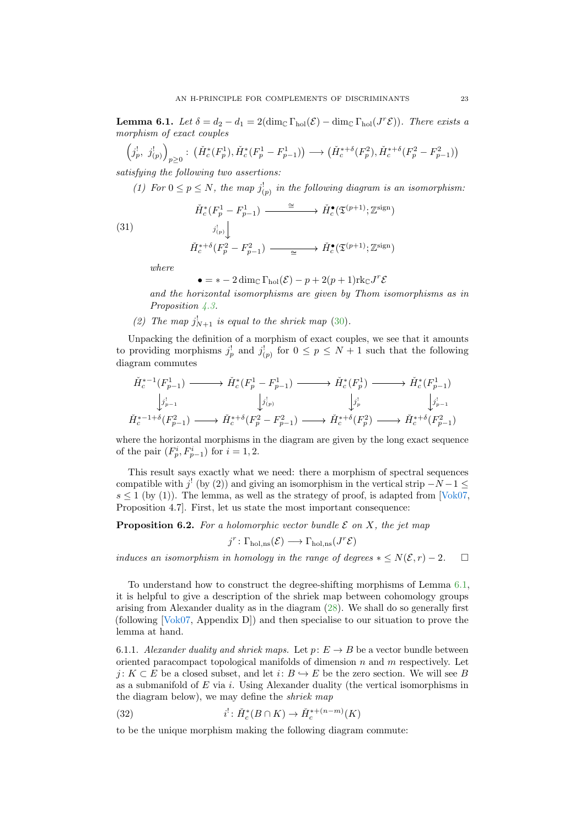<span id="page-22-3"></span><span id="page-22-0"></span>**Lemma 6.1.** Let  $\delta = d_2 - d_1 = 2(\dim_{\mathbb{C}} \Gamma_{\text{hol}}(\mathcal{E}) - \dim_{\mathbb{C}} \Gamma_{\text{hol}}(J^r\mathcal{E}))$ . There exists a morphism of exact couples

$$
\left(j_p^!,\ j_{(p)}^!,\ j_{(p)}^!\right)_{p\geq 0}:\ \left(\check{H}_c^*(F_p^1),\check{H}_c^*(F_p^1-F_{p-1}^1)\right)\longrightarrow\left(\check{H}_c^{*+\delta}(F_p^2),\check{H}_c^{*+\delta}(F_p^2-F_{p-1}^2)\right)
$$

satisfying the following two assertions:

(1) For  $0 \le p \le N$ , the map  $j_{(p)}^!$  in the following diagram is an isomorphism:

(31)  
\n
$$
\begin{array}{ccc}\n\check{H}_c^*(F_p^1 - F_{p-1}^1) & \xrightarrow{\cong} & \check{H}_c^{\bullet}(\mathfrak{T}^{(p+1)}; \mathbb{Z}^{\text{sign}}) \\
& & & j_{(p)}^! \downarrow \\
\check{H}_c^{*+\delta}(F_p^2 - F_{p-1}^2) & \xrightarrow{\cong} & \check{H}_c^{\bullet}(\mathfrak{T}^{(p+1)}; \mathbb{Z}^{\text{sign}})\n\end{array}
$$

where

$$
\bullet = * - 2 \dim_{\mathbb{C}} \Gamma_{hol}(\mathcal{E}) - p + 2(p+1) \text{rk}_{\mathbb{C}} J^r \mathcal{E}
$$

and the horizontal isomorphisms are given by Thom isomorphisms as in Proposition [4.3.](#page-12-1)

(2) The map  $j_{N+1}^!$  is equal to the shriek map [\(30\)](#page-21-0).

Unpacking the definition of a morphism of exact couples, we see that it amounts to providing morphisms  $j_p^!$  and  $j_{(p)}^!$  for  $0 \leq p \leq N+1$  such that the following diagram commutes

$$
\check{H}_c^{*-1}(F_{p-1}^1) \longrightarrow \check{H}_c^*(F_p^1 - F_{p-1}^1) \longrightarrow \check{H}_c^*(F_p^1) \longrightarrow \check{H}_c^*(F_{p-1}^1)
$$
\n
$$
\downarrow j_{p-1}^1 \qquad \qquad \downarrow j_{(p)}^1 \qquad \qquad \downarrow j_p^1 \qquad \qquad \downarrow j_p^1
$$
\n
$$
\check{H}_c^{*-1+\delta}(F_{p-1}^2) \longrightarrow \check{H}_c^{*+\delta}(F_p^2 - F_{p-1}^2) \longrightarrow \check{H}_c^{*+\delta}(F_p^2) \longrightarrow \check{H}_c^{*+\delta}(F_{p-1}^2)
$$

where the horizontal morphisms in the diagram are given by the long exact sequence of the pair  $(F_p^i, F_{p-1}^i)$  for  $i = 1, 2$ .

This result says exactly what we need: there a morphism of spectral sequences compatible with  $j'$  (by (2)) and giving an isomorphism in the vertical strip  $-N-1 \leq$  $s \leq 1$  (by (1)). The lemma, as well as the strategy of proof, is adapted from [\[Vok07,](#page-37-5) Proposition 4.7]. First, let us state the most important consequence:

<span id="page-22-2"></span>**Proposition 6.2.** For a holomorphic vector bundle  $\mathcal E$  on  $X$ , the jet map

$$
j^r \colon \Gamma_{\text{hol},\text{ns}}(\mathcal{E}) \longrightarrow \Gamma_{\text{hol},\text{ns}}(J^r\mathcal{E})
$$

induces an isomorphism in homology in the range of degrees  $* \leq N(\mathcal{E}, r) - 2$ .  $\Box$ 

To understand how to construct the degree-shifting morphisms of Lemma [6.1,](#page-22-0) it is helpful to give a description of the shriek map between cohomology groups arising from Alexander duality as in the diagram [\(28\)](#page-21-1). We shall do so generally first (following [\[Vok07,](#page-37-5) Appendix D]) and then specialise to our situation to prove the lemma at hand.

6.1.1. Alexander duality and shriek maps. Let  $p: E \to B$  be a vector bundle between oriented paracompact topological manifolds of dimension n and  $m$  respectively. Let  $j: K \subset E$  be a closed subset, and let  $i: B \hookrightarrow E$  be the zero section. We will see B as a submanifold of  $E$  via  $i$ . Using Alexander duality (the vertical isomorphisms in the diagram below), we may define the shriek map

<span id="page-22-1"></span>(32) 
$$
i^{!} : \check{H}_c^*(B \cap K) \to \check{H}_c^{*+(n-m)}(K)
$$

to be the unique morphism making the following diagram commute: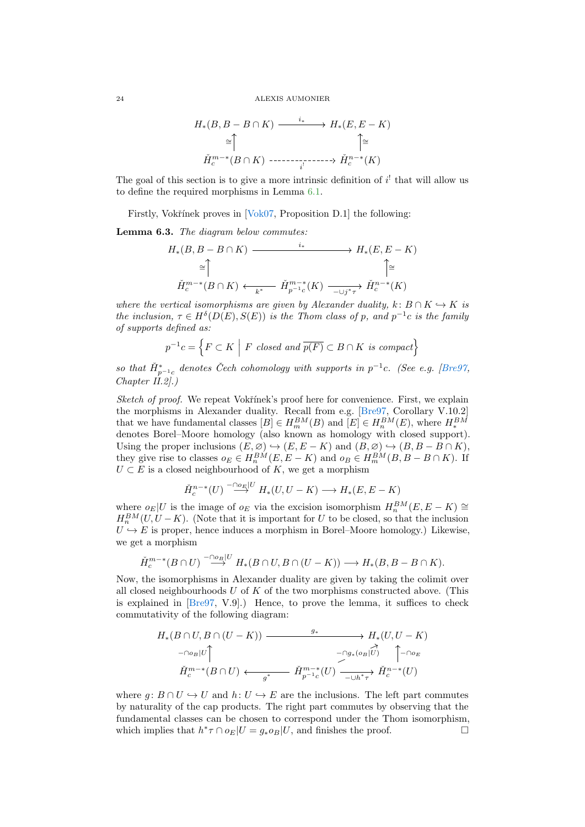<span id="page-23-1"></span>
$$
H_*(B, B - B \cap K) \xrightarrow{i_*} H_*(E, E - K)
$$
  
\n
$$
\cong \uparrow \qquad \qquad \uparrow \cong
$$
  
\n
$$
\check{H}_c^{m-*}(B \cap K) \xrightarrow{i_*} \check{H}_c^{n-*}(K)
$$

The goal of this section is to give a more intrinsic definition of  $i^!$  that will allow us to define the required morphisms in Lemma [6.1.](#page-22-0)

Firstly, Vokřínek proves in  $[**Vok07**,$  Proposition D.1 $]$  the following:

<span id="page-23-0"></span>Lemma 6.3. The diagram below commutes:

$$
H_*(B, B - B \cap K) \longrightarrow H_*(E, E - K)
$$
  
\n
$$
\cong \uparrow \qquad \qquad \uparrow \cong
$$
  
\n
$$
\check{H}_c^{m-*}(B \cap K) \longleftarrow \check{H}_{p^{-1}c}^{m-*}(K) \longrightarrow \check{H}_c^{n-*}(K)
$$

where the vertical isomorphisms are given by Alexander duality,  $k: B \cap K \hookrightarrow K$  is the inclusion,  $\tau \in H^{\delta}(D(E), S(E))$  is the Thom class of p, and  $p^{-1}c$  is the family of supports defined as:

$$
p^{-1}c = \left\{ F \subset K \mid F \text{ closed and } \overline{p(F)} \subset B \cap K \text{ is compact} \right\}
$$

so that  $H_{p^{-1}c}^*$  denotes Čech cohomology with supports in  $p^{-1}c$ . (See e.g. [\[Bre97,](#page-36-3)  $Chapter II.2$ .)

Sketch of proof. We repeat Vokřínek's proof here for convenience. First, we explain the morphisms in Alexander duality. Recall from e.g. [\[Bre97,](#page-36-3) Corollary V.10.2] that we have fundamental classes  $[B] \in H_m^{BM}(B)$  and  $[E] \in H_n^{BM}(E)$ , where  $H_*^{BM}$  denotes Borel–Moore homology (also known as homology with closed support). Using the proper inclusions  $(E, \emptyset) \hookrightarrow (E, E - K)$  and  $(B, \emptyset) \hookrightarrow (B, B - B \cap K)$ , they give rise to classes  $o_E \in H_n^{BM}(E, E - K)$  and  $o_B \in H_m^{BM}(B, B - B \cap K)$ . If  $U \subset E$  is a closed neighbourhood of K, we get a morphism

$$
\check{H}_c^{n-*}(U) \stackrel{-\cap o_E|U}{\longrightarrow} H_*(U, U - K) \longrightarrow H_*(E, E - K)
$$

where  $o_E|U$  is the image of  $o_E$  via the excision isomorphism  $H_n^{BM}(E, E - K) \cong$  $H_n^{BM}(U, U - K)$ . (Note that it is important for U to be closed, so that the inclusion  $U \hookrightarrow E$  is proper, hence induces a morphism in Borel–Moore homology.) Likewise, we get a morphism

$$
\check{H}_c^{m-*}(B\cap U) \stackrel{-\cap o_B|U}{\longrightarrow} H_*(B\cap U, B\cap (U-K)) \longrightarrow H_*(B, B-B\cap K).
$$

Now, the isomorphisms in Alexander duality are given by taking the colimit over all closed neighbourhoods  $U$  of  $K$  of the two morphisms constructed above. (This is explained in [\[Bre97,](#page-36-3) V.9].) Hence, to prove the lemma, it suffices to check commutativity of the following diagram:

$$
H_*(B \cap U, B \cap (U - K)) \xrightarrow{\qquad g_*} H_*(U, U - K)
$$
  
\n
$$
\xrightarrow{-\cap o_B |U}
$$
  
\n
$$
\check{H}_c^{m-*}(B \cap U) \xleftarrow{\qquad \qquad g^*} \check{H}_{p^{-1}c}^{m-*}(U) \xrightarrow{\qquad \qquad \nearrow} \check{H}_c^{n-*}(U)
$$

where g:  $B \cap U \hookrightarrow U$  and  $h: U \hookrightarrow E$  are the inclusions. The left part commutes by naturality of the cap products. The right part commutes by observing that the fundamental classes can be chosen to correspond under the Thom isomorphism, which implies that  $h^*\tau \cap o_E|U = g_*o_B|U$ , and finishes the proof.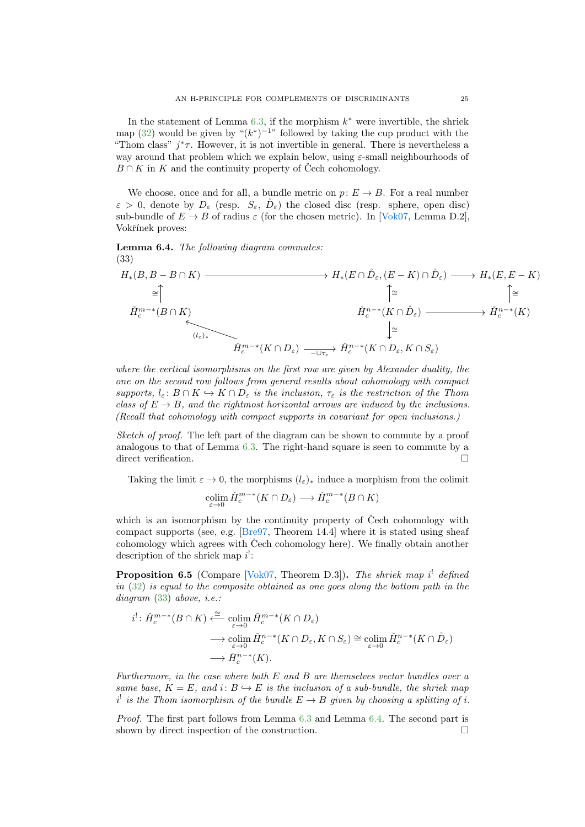<span id="page-24-3"></span>In the statement of Lemma  $6.3$ , if the morphism  $k^*$  were invertible, the shriek map [\(32\)](#page-22-1) would be given by " $(k^*)^{-1}$ " followed by taking the cup product with the "Thom class"  $j^*\tau$ . However, it is not invertible in general. There is nevertheless a way around that problem which we explain below, using  $\varepsilon$ -small neighbourhoods of  $B \cap K$  in K and the continuity property of Čech cohomology.

We choose, once and for all, a bundle metric on  $p: E \to B$ . For a real number  $\varepsilon > 0$ , denote by  $D_{\varepsilon}$  (resp.  $S_{\varepsilon}$ ,  $\mathring{D}_{\varepsilon}$ ) the closed disc (resp. sphere, open disc) sub-bundle of  $E \to B$  of radius  $\varepsilon$  (for the chosen metric). In [\[Vok07,](#page-37-5) Lemma D.2], Vokřínek proves:

<span id="page-24-1"></span>Lemma 6.4. The following diagram commutes: (33)

<span id="page-24-0"></span>
$$
H_*(B, B - B \cap K) \longrightarrow H_*(E \cap \mathring{D}_{\varepsilon}, (E - K) \cap \mathring{D}_{\varepsilon}) \longrightarrow H_*(E, E - K)
$$
  
\n
$$
\cong \uparrow \qquad \qquad \uparrow \cong \qquad \qquad \uparrow \cong \qquad \qquad \uparrow \cong \qquad \qquad \downarrow
$$
  
\n
$$
\check{H}_c^{m-*}(B \cap K) \qquad \qquad \downarrow \cong \qquad \qquad \check{H}_c^{n-*}(K \cap \mathring{D}_{\varepsilon}) \longrightarrow \check{H}_c^{n-*}(K) \qquad \qquad \downarrow \cong \qquad \qquad \downarrow
$$
  
\n
$$
\check{H}_c^{m-*}(K \cap D_{\varepsilon}) \longrightarrow \check{H}_c^{n-*}(K \cap D_{\varepsilon}, K \cap S_{\varepsilon})
$$

where the vertical isomorphisms on the first row are given by Alexander duality, the one on the second row follows from general results about cohomology with compact supports,  $l_{\varepsilon}: B \cap K \hookrightarrow K \cap D_{\varepsilon}$  is the inclusion,  $\tau_{\varepsilon}$  is the restriction of the Thom class of  $E \to B$ , and the rightmost horizontal arrows are induced by the inclusions. (Recall that cohomology with compact supports in covariant for open inclusions.)

Sketch of proof. The left part of the diagram can be shown to commute by a proof analogous to that of Lemma [6.3.](#page-23-0) The right-hand square is seen to commute by a direct verification.  $\hfill \square$ 

Taking the limit  $\varepsilon \to 0$ , the morphisms  $(l_{\varepsilon})_*$  induce a morphism from the colimit

$$
\operatornamewithlimits{colim}_{\varepsilon \to 0} \check{H}^{m-*}_c(K \cap D_{\varepsilon}) \longrightarrow \check{H}^{m-*}_c(B \cap K)
$$

which is an isomorphism by the continuity property of Čech cohomology with compact supports (see, e.g. [\[Bre97,](#page-36-3) Theorem 14.4] where it is stated using sheaf cohomology which agrees with Čech cohomology here). We finally obtain another description of the shriek map  $i^!$ :

<span id="page-24-2"></span>**Proposition 6.5** (Compare [\[Vok07,](#page-37-5) Theorem D.3]). The shriek map i<sup>1</sup> defined in  $(32)$  is equal to the composite obtained as one goes along the bottom path in the  $diagram (33) above, i.e.:$  $diagram (33) above, i.e.:$  $diagram (33) above, i.e.:$ 

$$
i^{!} \colon \check{H}_{c}^{m-*}(B \cap K) \stackrel{\cong}{\longleftarrow} \operatorname*{colim}_{\varepsilon \to 0} \check{H}_{c}^{m-*}(K \cap D_{\varepsilon})
$$

$$
\longrightarrow \operatorname*{colim}_{\varepsilon \to 0} \check{H}_{c}^{n-*}(K \cap D_{\varepsilon}, K \cap S_{\varepsilon}) \cong \operatorname*{colim}_{\varepsilon \to 0} \check{H}_{c}^{n-*}(K \cap \mathring{D}_{\varepsilon})
$$

$$
\longrightarrow \check{H}_{c}^{n-*}(K).
$$

Furthermore, in the case where both E and B are themselves vector bundles over a same base,  $K = E$ , and  $i: B \hookrightarrow E$  is the inclusion of a sub-bundle, the shriek map  $i^{\text{!`}}$  is the Thom isomorphism of the bundle  $E \to B$  given by choosing a splitting of i.

Proof. The first part follows from Lemma [6.3](#page-23-0) and Lemma [6.4.](#page-24-1) The second part is shown by direct inspection of the construction.  $\Box$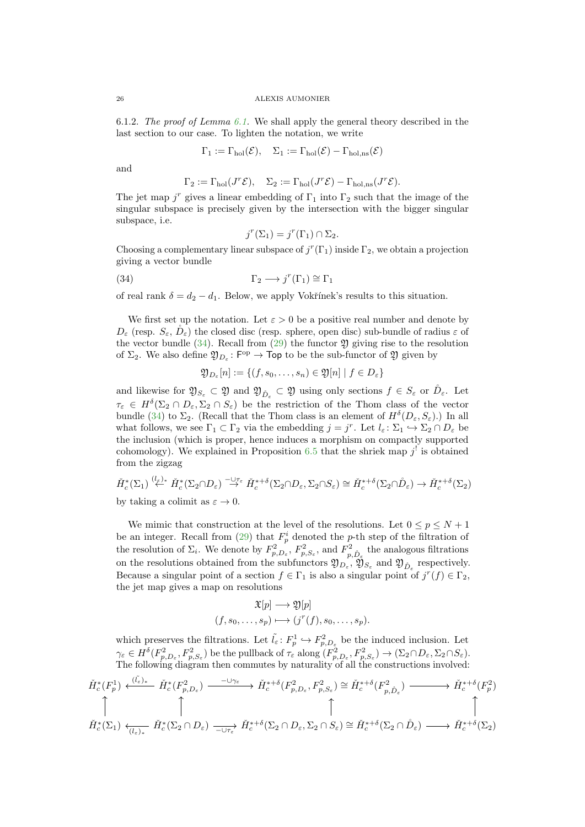6.1.2. The proof of Lemma [6.1.](#page-22-0) We shall apply the general theory described in the last section to our case. To lighten the notation, we write

$$
\Gamma_1 := \Gamma_{hol}(\mathcal{E}), \quad \Sigma_1 := \Gamma_{hol}(\mathcal{E}) - \Gamma_{hol,ns}(\mathcal{E})
$$

and

$$
\Gamma_2 := \Gamma_{hol}(J^r \mathcal{E}), \quad \Sigma_2 := \Gamma_{hol}(J^r \mathcal{E}) - \Gamma_{hol,ns}(J^r \mathcal{E}).
$$

The jet map  $j^r$  gives a linear embedding of  $\Gamma_1$  into  $\Gamma_2$  such that the image of the singular subspace is precisely given by the intersection with the bigger singular subspace, i.e.

<span id="page-25-0"></span>
$$
j^{r}(\Sigma_1) = j^{r}(\Gamma_1) \cap \Sigma_2.
$$

Choosing a complementary linear subspace of  $j^{r}(\Gamma_1)$  inside  $\Gamma_2$ , we obtain a projection giving a vector bundle

(34) 
$$
\Gamma_2 \longrightarrow j^r(\Gamma_1) \cong \Gamma_1
$$

of real rank  $\delta = d_2 - d_1$ . Below, we apply Vokřínek's results to this situation.

We first set up the notation. Let  $\varepsilon > 0$  be a positive real number and denote by  $D_{\varepsilon}$  (resp.  $S_{\varepsilon}$ ,  $\check{D}_{\varepsilon}$ ) the closed disc (resp. sphere, open disc) sub-bundle of radius  $\varepsilon$  of the vector bundle  $(34)$ . Recall from  $(29)$  the functor  $\mathfrak{Y}$  giving rise to the resolution of  $\Sigma_2$ . We also define  $\mathfrak{Y}_{D_{\varepsilon}}: \mathsf{F}^{\mathrm{op}} \to \mathsf{Top}$  to be the sub-functor of  $\mathfrak Y$  given by

 $\mathfrak{Y}_{D_{\varepsilon}}[n]:=\{(f,s_0,\ldots,s_n)\in \mathfrak{Y}[n]\mid f\in D_{\varepsilon}\}$ 

and likewise for  $\mathfrak{Y}_{S_{\varepsilon}} \subset \mathfrak{Y}$  and  $\mathfrak{Y}_{\mathring{D}_{\varepsilon}} \subset \mathfrak{Y}$  using only sections  $f \in S_{\varepsilon}$  or  $\mathring{D}_{\varepsilon}$ . Let  $\tau_{\varepsilon} \in H^{\delta}(\Sigma_2 \cap D_{\varepsilon}, \Sigma_2 \cap S_{\varepsilon})$  be the restriction of the Thom class of the vector bundle [\(34\)](#page-25-0) to  $\Sigma_2$ . (Recall that the Thom class is an element of  $H^{\delta}(D_{\varepsilon}, S_{\varepsilon})$ .) In all what follows, we see  $\Gamma_1 \subset \Gamma_2$  via the embedding  $j = j^r$ . Let  $l_{\varepsilon} : \Sigma_1 \hookrightarrow \Sigma_2 \cap D_{\varepsilon}$  be the inclusion (which is proper, hence induces a morphism on compactly supported cohomology). We explained in Proposition [6.5](#page-24-2) that the shriek map  $j^!$  is obtained from the zigzag

$$
\check{H}_c^*(\Sigma_1) \stackrel{\langle \ell_{\varepsilon} \rangle_*}{\leftarrow} \check{H}_c^*(\Sigma_2 \cap D_{\varepsilon}) \stackrel{-\cup \tau_{\varepsilon}}{\rightarrow} \check{H}_c^{*+\delta}(\Sigma_2 \cap D_{\varepsilon}, \Sigma_2 \cap S_{\varepsilon}) \cong \check{H}_c^{*+\delta}(\Sigma_2 \cap \mathring{D}_{\varepsilon}) \rightarrow \check{H}_c^{*+\delta}(\Sigma_2)
$$

by taking a colimit as  $\varepsilon \to 0$ .

We mimic that construction at the level of the resolutions. Let  $0 \le p \le N+1$ be an integer. Recall from [\(29\)](#page-21-2) that  $F_p^i$  denoted the p-th step of the filtration of the resolution of  $\Sigma_i$ . We denote by  $F_{p,D_{\varepsilon}}^2$ ,  $F_{p,S_{\varepsilon}}^2$ , and  $F_{p,\hat{D}_{\varepsilon}}^2$  the analogous filtrations on the resolutions obtained from the subfunctors  $\mathfrak{Y}_{D_{\varepsilon}}, \mathfrak{Y}_{S_{\varepsilon}}$  and  $\mathfrak{Y}_{\mathring{D}_{\varepsilon}}$  respectively. Because a singular point of a section  $f \in \Gamma_1$  is also a singular point of  $j^r(f) \in \Gamma_2$ , the jet map gives a map on resolutions

$$
\mathfrak{X}[p] \longrightarrow \mathfrak{Y}[p]
$$

$$
(f, s_0, \dots, s_p) \longmapsto (j^r(f), s_0, \dots, s_p).
$$

which preserves the filtrations. Let  $\tilde{l}_{\varepsilon} \colon F_p^1 \hookrightarrow F_{p,D_{\varepsilon}}^2$  be the induced inclusion. Let  $\gamma_{\varepsilon} \in H^{\delta}(F_{p,D_{\varepsilon}}^2, F_{p,S_{\varepsilon}}^2)$  be the pullback of  $\tau_{\varepsilon}$  along  $(F_{p,D_{\varepsilon}}^2, F_{p,S_{\varepsilon}}^2) \to (\Sigma_2 \cap D_{\varepsilon}, \Sigma_2 \cap S_{\varepsilon}).$ The following diagram then commutes by naturality of all the constructions involved:

$$
\check{H}_{c}^{*}(F_{p}^{1}) \xleftarrow{(\tilde{l}_{\varepsilon})_{*}} \check{H}_{c}^{*}(F_{p,D_{\varepsilon}}^{2}) \xrightarrow{-\cup\gamma_{\varepsilon}} \check{H}_{c}^{*+ \delta}(F_{p,D_{\varepsilon}}^{2}, F_{p,S_{\varepsilon}}^{2}) \cong \check{H}_{c}^{*+ \delta}(F_{p,D_{\varepsilon}}^{2}) \longrightarrow \check{H}_{c}^{*+ \delta}(F_{p}^{2})
$$
\n
$$
\uparrow \qquad \qquad \uparrow
$$
\n
$$
\check{H}_{c}^{*}(\Sigma_{1}) \xleftarrow{\tilde{l}_{\varepsilon})_{*}} \check{H}_{c}^{*}(\Sigma_{2} \cap D_{\varepsilon}) \xrightarrow{-\cup\tau_{\varepsilon}} \check{H}_{c}^{*+ \delta}(\Sigma_{2} \cap D_{\varepsilon}, \Sigma_{2} \cap S_{\varepsilon}) \cong \check{H}_{c}^{*+ \delta}(\Sigma_{2} \cap \mathring{D}_{\varepsilon}) \longrightarrow \check{H}_{c}^{*+ \delta}(\Sigma_{2})
$$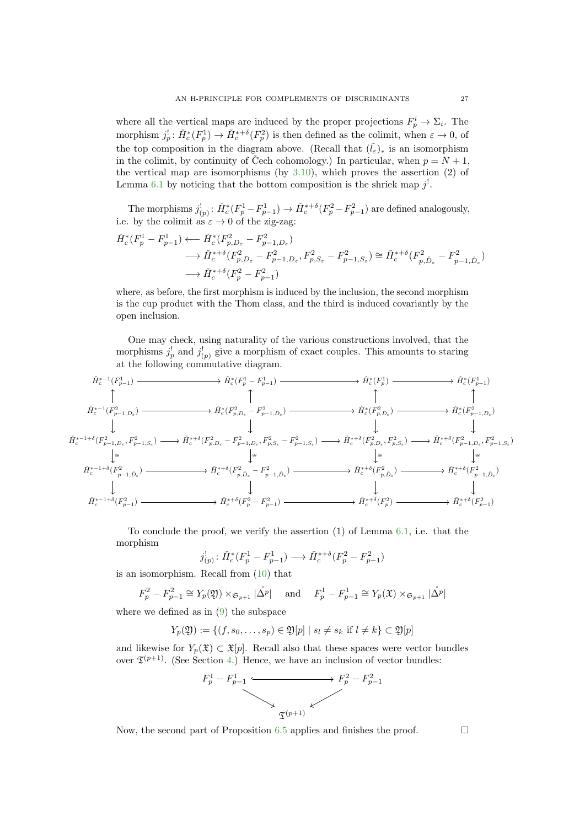where all the vertical maps are induced by the proper projections  $F_p^i \to \Sigma_i$ . The morphism  $j_p^! \colon \check{H}_c^*(F_p^1) \to \check{H}_c^{*+\delta}(F_p^2)$  is then defined as the colimit, when  $\varepsilon \to 0$ , of the top composition in the diagram above. (Recall that  $(\tilde{l}_{\varepsilon})_*$  is an isomorphism in the colimit, by continuity of Čech cohomology.) In particular, when  $p = N + 1$ , the vertical map are isomorphisms (by [3.10\)](#page-10-1), which proves the assertion (2) of Lemma [6.1](#page-22-0) by noticing that the bottom composition is the shriek map  $j^!$ .

The morphisms  $j'_{(p)}$ :  $\check{H}_c^*(F_p^1 - F_{p-1}^1) \to \check{H}_c^{*+\delta}(F_p^2 - F_{p-1}^2)$  are defined analogously, i.e. by the colimit as  $\varepsilon \to 0$  of the zig-zag:

$$
\check{H}_c^*(F_p^1 - F_{p-1}^1) \longleftarrow \check{H}_c^*(F_{p, D_\varepsilon}^2 - F_{p-1, D_\varepsilon}^2) \n\longrightarrow \check{H}_c^{*+\delta}(F_{p, D_\varepsilon}^2 - F_{p-1, D_\varepsilon}^2, F_{p, S_\varepsilon}^2 - F_{p-1, S_\varepsilon}^2) \cong \check{H}_c^{*+\delta}(F_{p, \mathring{D}_\varepsilon}^2 - F_{p-1, \mathring{D}_\varepsilon}^2) \n\longrightarrow \check{H}_c^{*+\delta}(F_p^2 - F_{p-1}^2)
$$

where, as before, the first morphism is induced by the inclusion, the second morphism is the cup product with the Thom class, and the third is induced covariantly by the open inclusion.

One may check, using naturality of the various constructions involved, that the morphisms  $j_p^!$  and  $j_{(p)}^!$  give a morphism of exact couples. This amounts to staring at the following commutative diagram.

$$
\check{H}_{c}^{*-1}(F_{p-1}^{1}) \longrightarrow \check{H}_{c}^{*}(F_{p}^{1} - F_{p-1}^{1}) \longrightarrow \check{H}_{c}^{*}(F_{p}^{1}) \longrightarrow \check{H}_{c}^{*}(F_{p-1}^{1})
$$
\n
$$
\uparrow \uparrow \uparrow \uparrow
$$
\n
$$
\check{H}_{c}^{*-1}(F_{p-1,D_{\varepsilon}}^{2}) \longrightarrow \check{H}_{c}^{*}(F_{p,D_{\varepsilon}}^{2} - F_{p-1,D_{\varepsilon}}^{2}) \longrightarrow \check{H}_{c}^{*}(F_{p,D_{\varepsilon}}^{2}) \longrightarrow \check{H}_{c}^{*}(F_{p,D_{\varepsilon}}^{2}) \longrightarrow \check{H}_{c}^{*}(F_{p-1,D_{\varepsilon}}^{2})
$$
\n
$$
\downarrow \downarrow \downarrow
$$
\n
$$
\check{H}_{c}^{*-1+\delta}(F_{p-1,D_{\varepsilon}}^{2}, F_{p-1,S_{\varepsilon}}^{2}) \longrightarrow \check{H}_{c}^{*+\delta}(F_{p,D_{\varepsilon}}^{2} - F_{p-1,D_{\varepsilon}}^{2}, F_{p,S_{\varepsilon}}^{2} - F_{p-1,S_{\varepsilon}}^{2}) \longrightarrow \check{H}_{c}^{*+\delta}(F_{p,D_{\varepsilon}}^{2}, F_{p,S_{\varepsilon}}^{2}) \longrightarrow \check{H}_{c}^{*+\delta}(F_{p-1,D_{\varepsilon}}^{2}, F_{p-1,S_{\varepsilon}}^{2})
$$
\n
$$
\downarrow \downarrow \downarrow \downarrow
$$
\n
$$
\check{H}_{c}^{*-1+\delta}(F_{p-1}^{2}) \longrightarrow \check{H}_{c}^{*+\delta}(F_{p,D_{\varepsilon}}^{2} - F_{p-1,D_{\varepsilon}}^{2}) \longrightarrow \check{H}_{c}^{*+\delta}(F_{p,D_{\varepsilon}}^{2}) \longrightarrow \check{H}_{c}^{*+\delta}(F_{p,D_{\varepsilon}}^{2}) \longrightarrow \check{H}_{c}^{*+\delta}(F_{p-1,D_{\varepsilon}}^{2})
$$
\n
$$
\downarrow \downarrow \downarrow
$$
\n
$$
\check{H}_{c}^{*-1+\delta}(F_{p-1}^{2}) \longrightarrow \check{H}_{c}^{*+\delta}(F_{p}^{2} - F_{p-1}^{2}) \longrightarrow \check{H}_{c}^{*+\delta
$$

To conclude the proof, we verify the assertion (1) of Lemma [6.1,](#page-22-0) i.e. that the morphism

$$
j'_{(p)}
$$
:  $\check{H}_c^*(F_p^1 - F_{p-1}^1) \longrightarrow \check{H}_c^{*+\delta}(F_p^2 - F_{p-1}^2)$ 

is an isomorphism. Recall from [\(10\)](#page-9-3) that

$$
F_p^2 - F_{p-1}^2 \cong Y_p(\mathfrak{Y}) \times_{\mathfrak{S}_{p+1}} |\mathring{\Delta}^p| \quad \text{and} \quad F_p^1 - F_{p-1}^1 \cong Y_p(\mathfrak{X}) \times_{\mathfrak{S}_{p+1}} |\mathring{\Delta}^p|
$$

where we defined as in [\(9\)](#page-9-2) the subspace

$$
Y_p(\mathfrak{Y}) := \{ (f, s_0, \dots, s_p) \in \mathfrak{Y}[p] \mid s_l \neq s_k \text{ if } l \neq k \} \subset \mathfrak{Y}[p]
$$

and likewise for  $Y_p(\mathfrak{X}) \subset \mathfrak{X}[p]$ . Recall also that these spaces were vector bundles over  $\mathfrak{T}^{(p+1)}$ . (See Section [4.](#page-10-0)) Hence, we have an inclusion of vector bundles:



Now, the second part of Proposition [6.5](#page-24-2) applies and finishes the proof.  $\Box$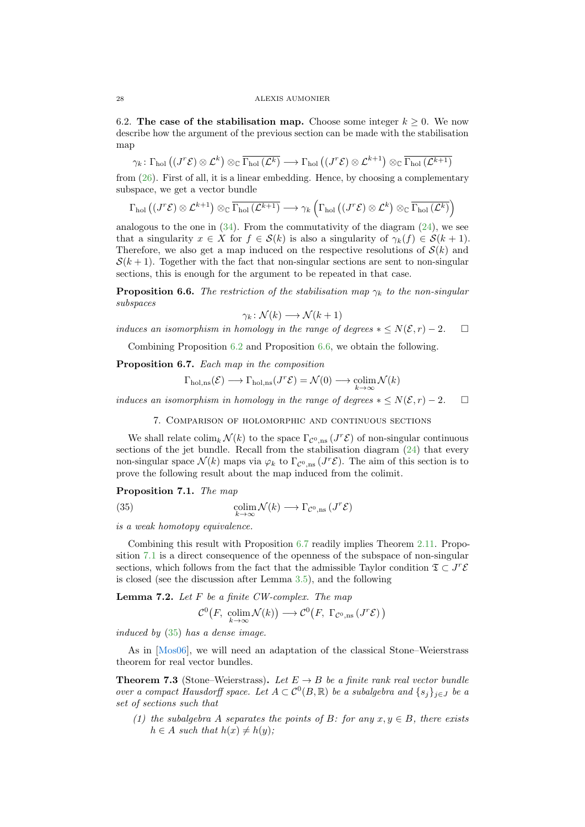6.2. The case of the stabilisation map. Choose some integer  $k \geq 0$ . We now describe how the argument of the previous section can be made with the stabilisation map

$$
\gamma_k \colon \Gamma_{\hbox{\scriptsize hol}}\left( (J^r{\mathcal E}) \otimes {\mathcal L}^k \right) \otimes_{{\mathbb C}} \overline{\Gamma_{\hbox{\scriptsize hol}}\left( {\mathcal L}^k \right)} \longrightarrow \Gamma_{\hbox{\scriptsize hol}}\left( (J^r{\mathcal E}) \otimes {\mathcal L}^{k+1} \right) \otimes_{{\mathbb C}} \overline{\Gamma_{\hbox{\scriptsize hol}}\left( {\mathcal L}^{k+1} \right)}
$$

from  $(26)$ . First of all, it is a linear embedding. Hence, by choosing a complementary subspace, we get a vector bundle

$$
\Gamma_{\text{hol}}\left((J^r\mathcal{E})\otimes\mathcal{L}^{k+1}\right)\otimes_{\mathbb{C}}\overline{\Gamma_{\text{hol}}\left(\mathcal{L}^{k+1}\right)}\longrightarrow\gamma_{k}\left(\Gamma_{\text{hol}}\left((J^r\mathcal{E})\otimes\mathcal{L}^{k}\right)\otimes_{\mathbb{C}}\overline{\Gamma_{\text{hol}}\left(\mathcal{L}^{k}\right)}\right)
$$

analogous to the one in  $(34)$ . From the commutativity of the diagram  $(24)$ , we see that a singularity  $x \in X$  for  $f \in \mathcal{S}(k)$  is also a singularity of  $\gamma_k(f) \in \mathcal{S}(k+1)$ . Therefore, we also get a map induced on the respective resolutions of  $\mathcal{S}(k)$  and  $S(k+1)$ . Together with the fact that non-singular sections are sent to non-singular sections, this is enough for the argument to be repeated in that case.

<span id="page-27-1"></span>**Proposition 6.6.** The restriction of the stabilisation map  $\gamma_k$  to the non-singular subspaces

$$
\gamma_k \colon \mathcal{N}(k) \longrightarrow \mathcal{N}(k+1)
$$

induces an isomorphism in homology in the range of degrees  $* \leq N(\mathcal{E}, r) - 2$ .  $\Box$ 

Combining Proposition [6.2](#page-22-2) and Proposition [6.6,](#page-27-1) we obtain the following.

<span id="page-27-2"></span>Proposition 6.7. Each map in the composition

$$
\Gamma_{\text{hol,ns}}(\mathcal{E}) \longrightarrow \Gamma_{\text{hol,ns}}(J^r\mathcal{E}) = \mathcal{N}(0) \longrightarrow \underset{k \to \infty}{\text{colim}} \mathcal{N}(k)
$$

<span id="page-27-0"></span>induces an isomorphism in homology in the range of degrees  $*\leq N(\mathcal{E}, r) - 2$ .  $\square$ 

<span id="page-27-4"></span>7. Comparison of holomorphic and continuous sections

We shall relate  $\text{colim}_k \mathcal{N}(k)$  to the space  $\Gamma_{\mathcal{C}^0,\text{ns}}(J^r\mathcal{E})$  of non-singular continuous sections of the jet bundle. Recall from the stabilisation diagram  $(24)$  that every non-singular space  $\mathcal{N}(k)$  maps via  $\varphi_k$  to  $\Gamma_{\mathcal{C}^0,\text{ns}}(J^r\mathcal{E})$ . The aim of this section is to prove the following result about the map induced from the colimit.

<span id="page-27-3"></span>Proposition 7.1. The map

(35) 
$$
\underset{k \to \infty}{\text{colim}} \mathcal{N}(k) \longrightarrow \Gamma_{\mathcal{C}^0,\text{ns}}\left(J^r \mathcal{E}\right)
$$

is a weak homotopy equivalence.

Combining this result with Proposition [6.7](#page-27-2) readily implies Theorem [2.11.](#page-5-0) Proposition [7.1](#page-27-3) is a direct consequence of the openness of the subspace of non-singular sections, which follows from the fact that the admissible Taylor condition  $\mathfrak{T} \subset J^r \mathcal{E}$ is closed (see the discussion after Lemma [3.5\)](#page-8-0), and the following

<span id="page-27-5"></span>**Lemma 7.2.** Let  $F$  be a finite CW-complex. The map

$$
\mathcal{C}^0(F, \ \underset{k\to\infty}{\text{colim}} \mathcal{N}(k)) \longrightarrow \mathcal{C}^0(F, \ \Gamma_{\mathcal{C}^0, \text{ns}}(J^r\mathcal{E}))
$$

induced by [\(35\)](#page-27-4) has a dense image.

As in [\[Mos06\]](#page-36-7), we will need an adaptation of the classical Stone–Weierstrass theorem for real vector bundles.

<span id="page-27-6"></span>**Theorem 7.3** (Stone–Weierstrass). Let  $E \rightarrow B$  be a finite rank real vector bundle over a compact Hausdorff space. Let  $A \subset \mathcal{C}^0(B,\mathbb{R})$  be a subalgebra and  $\{s_j\}_{j\in J}$  be a set of sections such that

(1) the subalgebra A separates the points of B: for any  $x, y \in B$ , there exists  $h \in A$  such that  $h(x) \neq h(y)$ ;

<span id="page-27-7"></span>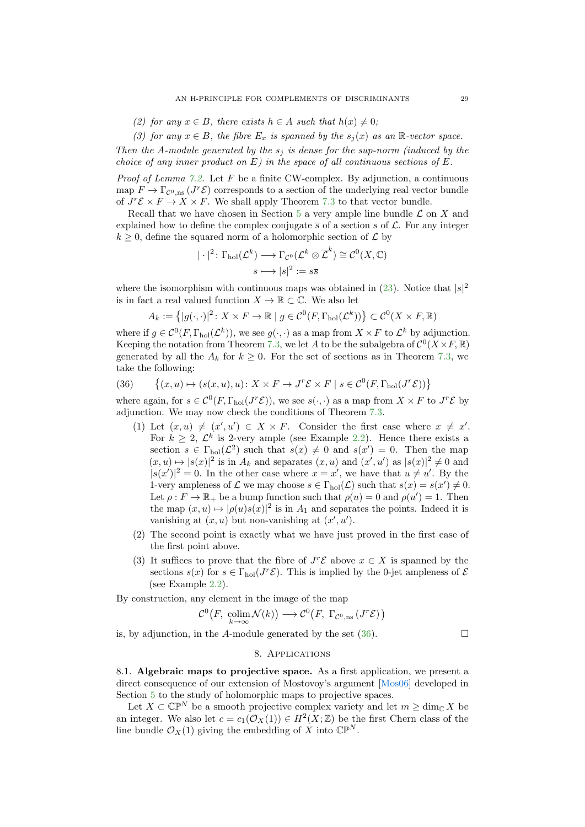<span id="page-28-2"></span>(2) for any  $x \in B$ , there exists  $h \in A$  such that  $h(x) \neq 0$ ;

(3) for any  $x \in B$ , the fibre  $E_x$  is spanned by the  $s_i(x)$  as an R-vector space.

Then the A-module generated by the  $s_i$  is dense for the sup-norm (induced by the choice of any inner product on  $E$ ) in the space of all continuous sections of  $E$ .

*Proof of Lemma [7.2.](#page-27-5)* Let F be a finite CW-complex. By adjunction, a continuous map  $F \to \Gamma_{\mathcal{C}^0,\text{ns}}(J^r\mathcal{E})$  corresponds to a section of the underlying real vector bundle of  $J^r \mathcal{E} \times F \to X \times F$ . We shall apply Theorem [7.3](#page-27-6) to that vector bundle.

Recall that we have chosen in Section [5](#page-17-0) a very ample line bundle  $\mathcal L$  on X and explained how to define the complex conjugate  $\bar{s}$  of a section s of  $\mathcal{L}$ . For any integer  $k \geq 0$ , define the squared norm of a holomorphic section of  $\mathcal{L}$  by

$$
|\cdot|^2 \colon \Gamma_{\text{hol}}(\mathcal{L}^k) \longrightarrow \Gamma_{\mathcal{C}^0}(\mathcal{L}^k \otimes \overline{\mathcal{L}}^k) \cong \mathcal{C}^0(X, \mathbb{C})
$$

$$
s \longmapsto |s|^2 := s\overline{s}
$$

where the isomorphism with continuous maps was obtained in  $(23)$ . Notice that  $|s|^2$ is in fact a real valued function  $X \to \mathbb{R} \subset \mathbb{C}$ . We also let

$$
A_k := \left\{ |g(\cdot, \cdot)|^2 \colon X \times F \to \mathbb{R} \mid g \in C^0(F, \Gamma_{\text{hol}}(\mathcal{L}^k)) \right\} \subset C^0(X \times F, \mathbb{R})
$$

where if  $g \in \mathcal{C}^0(F, \Gamma_{hol}(\mathcal{L}^k))$ , we see  $g(\cdot, \cdot)$  as a map from  $X \times F$  to  $\mathcal{L}^k$  by adjunction. Keeping the notation from Theorem [7.3,](#page-27-6) we let A to be the subalgebra of  $\mathcal{C}^0(X \times F, \mathbb{R})$ generated by all the  $A_k$  for  $k \geq 0$ . For the set of sections as in Theorem [7.3,](#page-27-6) we take the following:

<span id="page-28-1"></span>(36) 
$$
\{(x, u) \mapsto (s(x, u), u) \colon X \times F \to J^r \mathcal{E} \times F \mid s \in C^0(F, \Gamma_{hol}(J^r \mathcal{E}))\}
$$

where again, for  $s \in C^0(F, \Gamma_{hol}(J^r\mathcal{E}))$ , we see  $s(\cdot, \cdot)$  as a map from  $X \times F$  to  $J^r\mathcal{E}$  by adjunction. We may now check the conditions of Theorem [7.3.](#page-27-6)

- (1) Let  $(x, u) \neq (x', u') \in X \times F$ . Consider the first case where  $x \neq x'$ . For  $k \geq 2$ ,  $\mathcal{L}^k$  is 2-very ample (see Example [2.2\)](#page-2-2). Hence there exists a section  $s \in \Gamma_{hol}(\mathcal{L}^2)$  such that  $s(x) \neq 0$  and  $s(x') = 0$ . Then the map  $(x, u) \mapsto |s(x)|^2$  is in  $A_k$  and separates  $(x, u)$  and  $(x', u')$  as  $|s(x)|^2 \neq 0$  and  $|s(x')|^2 = 0$ . In the other case where  $x = x'$ , we have that  $u \neq u'$ . By the 1-very ampleness of  $\mathcal L$  we may choose  $s \in \Gamma_{hol}(\mathcal L)$  such that  $s(x) = s(x') \neq 0$ . Let  $\rho: F \to \mathbb{R}_+$  be a bump function such that  $\rho(u) = 0$  and  $\rho(u') = 1$ . Then the map  $(x, u) \mapsto |\rho(u)s(x)|^2$  is in  $A_1$  and separates the points. Indeed it is vanishing at  $(x, u)$  but non-vanishing at  $(x', u')$ .
- (2) The second point is exactly what we have just proved in the first case of the first point above.
- (3) It suffices to prove that the fibre of  $J^r\mathcal{E}$  above  $x \in X$  is spanned by the sections  $s(x)$  for  $s \in \Gamma_{hol}(J^r\mathcal{E})$ . This is implied by the 0-jet ampleness of  $\mathcal E$ (see Example [2.2\)](#page-2-2).

By construction, any element in the image of the map

$$
\mathcal{C}^0(F, \operatorname{colim}_{k \to \infty} \mathcal{N}(k)) \longrightarrow \mathcal{C}^0(F, \Gamma_{\mathcal{C}^0, \text{ns}}(J^r\mathcal{E}))
$$

<span id="page-28-0"></span>is, by adjunction, in the A-module generated by the set  $(36)$ .

# 8. Applications

8.1. Algebraic maps to projective space. As a first application, we present a direct consequence of our extension of Mostovoy's argument [\[Mos06\]](#page-36-7) developed in Section [5](#page-17-0) to the study of holomorphic maps to projective spaces.

Let  $X \subset \mathbb{CP}^N$  be a smooth projective complex variety and let  $m \geq \dim_{\mathbb{C}} X$  be an integer. We also let  $c = c_1(\mathcal{O}_X(1)) \in H^2(X;\mathbb{Z})$  be the first Chern class of the line bundle  $\mathcal{O}_X(1)$  giving the embedding of X into  $\mathbb{CP}^N$ .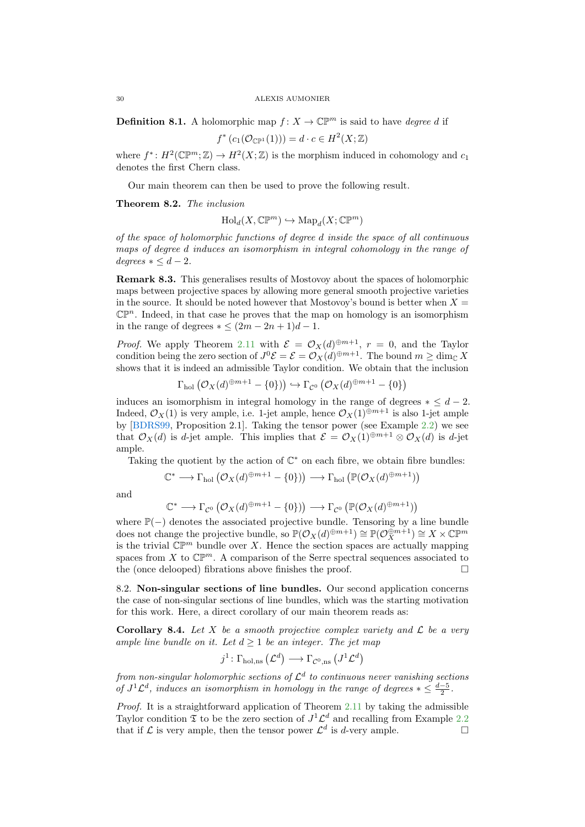<span id="page-29-1"></span>**Definition 8.1.** A holomorphic map  $f: X \to \mathbb{C}P^m$  is said to have *degree d* if

$$
f^*(c_1(\mathcal{O}_{\mathbb{CP}^1}(1))) = d \cdot c \in H^2(X; \mathbb{Z})
$$

where  $f^*: H^2(\mathbb{CP}^m; \mathbb{Z}) \to H^2(X; \mathbb{Z})$  is the morphism induced in cohomology and  $c_1$ denotes the first Chern class.

Our main theorem can then be used to prove the following result.

Theorem 8.2. The inclusion

$$
\operatorname{Hol}_d(X,\mathbb{CP}^m) \hookrightarrow \operatorname{Map}_d(X;\mathbb{CP}^m)
$$

of the space of holomorphic functions of degree d inside the space of all continuous maps of degree d induces an isomorphism in integral cohomology in the range of  $degrees * \leq d-2.$ 

Remark 8.3. This generalises results of Mostovoy about the spaces of holomorphic maps between projective spaces by allowing more general smooth projective varieties in the source. It should be noted however that Mostovoy's bound is better when  $X =$  $\mathbb{CP}^n$ . Indeed, in that case he proves that the map on homology is an isomorphism in the range of degrees  $* \leq (2m - 2n + 1)d - 1$ .

*Proof.* We apply Theorem [2.11](#page-5-0) with  $\mathcal{E} = \mathcal{O}_X(d)^{\oplus m+1}$ ,  $r = 0$ , and the Taylor condition being the zero section of  $J^0 \mathcal{E} = \mathcal{E} = \mathcal{O}_X(d)^{\oplus m+1}$ . The bound  $m \ge \dim_{\mathbb{C}} X$ shows that it is indeed an admissible Taylor condition. We obtain that the inclusion

$$
\Gamma_{hol}(\mathcal{O}_X(d)^{\oplus m+1} - \{0\}) \rightarrow \Gamma_{\mathcal{C}^0}(\mathcal{O}_X(d)^{\oplus m+1} - \{0\})
$$

induces an isomorphism in integral homology in the range of degrees  $* \leq d - 2$ . Indeed,  $\mathcal{O}_X(1)$  is very ample, i.e. 1-jet ample, hence  $\mathcal{O}_X(1) \oplus m+1$  is also 1-jet ample by [\[BDRS99,](#page-36-4) Proposition 2.1]. Taking the tensor power (see Example [2.2\)](#page-2-2) we see that  $\mathcal{O}_X(d)$  is d-jet ample. This implies that  $\mathcal{E} = \mathcal{O}_X(1)^{\oplus m+1} \otimes \mathcal{O}_X(d)$  is d-jet ample.

Taking the quotient by the action of  $\mathbb{C}^*$  on each fibre, we obtain fibre bundles:

$$
\mathbb{C}^* \longrightarrow \Gamma_{\text{hol}}\left(\mathcal{O}_X(d)^{\oplus m+1}-\{0\}\right)\right) \longrightarrow \Gamma_{\text{hol}}\left(\mathbb{P}(\mathcal{O}_X(d)^{\oplus m+1})\right)
$$

and

$$
\mathbb{C}^* \longrightarrow \Gamma_{\mathcal{C}^0} \left( \mathcal{O}_X(d)^{\oplus m+1} - \{0\} \right) \longrightarrow \Gamma_{\mathcal{C}^0} \left( \mathbb{P}(\mathcal{O}_X(d)^{\oplus m+1}) \right)
$$

where  $\mathbb{P}(-)$  denotes the associated projective bundle. Tensoring by a line bundle does not change the projective bundle, so  $\mathbb{P}(\mathcal{O}_X(d)^{\oplus m+1}) \cong \mathbb{P}(\mathcal{O}_X^{\oplus m+1}) \cong X \times \mathbb{C}\mathbb{P}^m$ is the trivial  $\mathbb{CP}^m$  bundle over X. Hence the section spaces are actually mapping spaces from X to  $\mathbb{CP}^m$ . A comparison of the Serre spectral sequences associated to the (once delooped) fibrations above finishes the proof.  $\Box$ 

8.2. Non-singular sections of line bundles. Our second application concerns the case of non-singular sections of line bundles, which was the starting motivation for this work. Here, a direct corollary of our main theorem reads as:

<span id="page-29-0"></span>**Corollary 8.4.** Let X be a smooth projective complex variety and  $\mathcal{L}$  be a very ample line bundle on it. Let  $d \geq 1$  be an integer. The jet map

$$
j^1\colon \Gamma_{\text{hol,ns}}\left(\mathcal{L}^d\right)\longrightarrow \Gamma_{\mathcal{C}^0,\text{ns}}\left(J^1\mathcal{L}^d\right)
$$

from non-singular holomorphic sections of  $\mathcal{L}^d$  to continuous never vanishing sections of  $J^1 \mathcal{L}^d$ , induces an isomorphism in homology in the range of degrees  $* \leq \frac{d-5}{2}$ .

Proof. It is a straightforward application of Theorem [2.11](#page-5-0) by taking the admissible Taylor condition  $\mathfrak T$  to be the zero section of  $J^1 \mathcal L^d$  and recalling from Example [2.2](#page-2-2) that if  $\mathcal L$  is very ample, then the tensor power  $\mathcal L^d$  is d-very ample.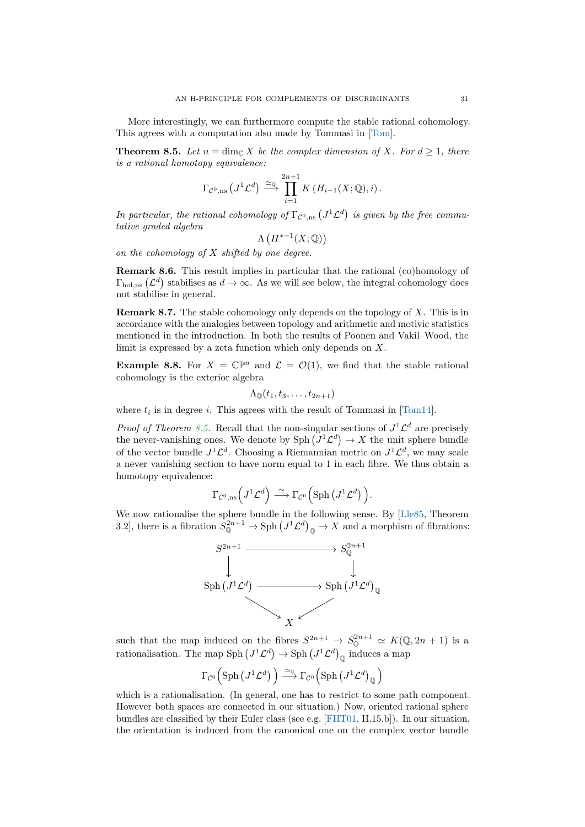<span id="page-30-2"></span>More interestingly, we can furthermore compute the stable rational cohomology. This agrees with a computation also made by Tommasi in [\[Tom\]](#page-37-2).

<span id="page-30-0"></span>**Theorem 8.5.** Let  $n = \dim_{\mathbb{C}} X$  be the complex dimension of X. For  $d \geq 1$ , there is a rational homotopy equivalence:

$$
\Gamma_{\mathcal{C}^0,\text{ns}}(J^1\mathcal{L}^d) \xrightarrow{\simeq_{\mathbb{Q}}} \prod_{i=1}^{2n+1} K(H_{i-1}(X;\mathbb{Q}),i).
$$

In particular, the rational cohomology of  $\Gamma_{\mathcal{C}^0,\text{ns}}(J^1\mathcal{L}^d)$  is given by the free commutative graded algebra

$$
\Lambda\left(H^{*-1}(X; \mathbb{Q})\right)
$$

on the cohomology of  $X$  shifted by one degree.

<span id="page-30-1"></span>Remark 8.6. This result implies in particular that the rational (co)homology of  $\Gamma_{hol,ns}(\mathcal{L}^d)$  stabilises as  $d \to \infty$ . As we will see below, the integral cohomology does not stabilise in general.

Remark 8.7. The stable cohomology only depends on the topology of X. This is in accordance with the analogies between topology and arithmetic and motivic statistics mentioned in the introduction. In both the results of Poonen and Vakil–Wood, the limit is expressed by a zeta function which only depends on X.

**Example 8.8.** For  $X = \mathbb{C}\mathbb{P}^n$  and  $\mathcal{L} = \mathcal{O}(1)$ , we find that the stable rational cohomology is the exterior algebra

$$
\Lambda_{\mathbb{Q}}(t_1,t_3,\ldots,t_{2n+1})
$$

where  $t_i$  is in degree i. This agrees with the result of Tommasi in [\[Tom14\]](#page-37-1).

*Proof of Theorem [8.5.](#page-30-0)* Recall that the non-singular sections of  $J^1 \mathcal{L}^d$  are precisely the never-vanishing ones. We denote by  $\text{Sph}(J^1\mathcal{L}^d) \to X$  the unit sphere bundle of the vector bundle  $J^1 \mathcal{L}^d$ . Choosing a Riemannian metric on  $J^1 \mathcal{L}^d$ , we may scale a never vanishing section to have norm equal to 1 in each fibre. We thus obtain a homotopy equivalence:

$$
\Gamma_{\mathcal{C}^0,\mathrm{ns}}\Big(J^1\mathcal{L}^d\Big) \stackrel{\simeq}{\longrightarrow} \Gamma_{\mathcal{C}^0}\Big(\mathrm{Sph}\left(J^1\mathcal{L}^d\right)\Big).
$$

We now rationalise the sphere bundle in the following sense. By [\[Lle85,](#page-36-10) Theorem 3.2], there is a fibration  $S^{2n+1}_{\mathbb{Q}} \to \text{Sph} (J^1 \mathcal{L}^d)_{\mathbb{Q}} \to X$  and a morphism of fibrations:



such that the map induced on the fibres  $S^{2n+1} \to S^{2n+1}_{\mathbb{Q}} \simeq K(\mathbb{Q}, 2n+1)$  is a rationalisation. The map  $\text{Sph}\left(J^1\mathcal{L}^d\right) \to \text{Sph}\left(J^1\mathcal{L}^d\right)_{\mathbb{Q}}$  induces a map

$$
\Gamma_{\mathcal{C}^0} \Big( \mathrm{Sph} \left( J^1 \mathcal{L}^d \right) \Big) \xrightarrow{\simeq_{\mathbb{Q}}} \Gamma_{\mathcal{C}^0} \Big( \mathrm{Sph} \left( J^1 \mathcal{L}^d \right)_{\mathbb{Q}} \Big)
$$

which is a rationalisation. (In general, one has to restrict to some path component. However both spaces are connected in our situation.) Now, oriented rational sphere bundles are classified by their Euler class (see e.g. [\[FHT01,](#page-36-11) II.15.b]). In our situation, the orientation is induced from the canonical one on the complex vector bundle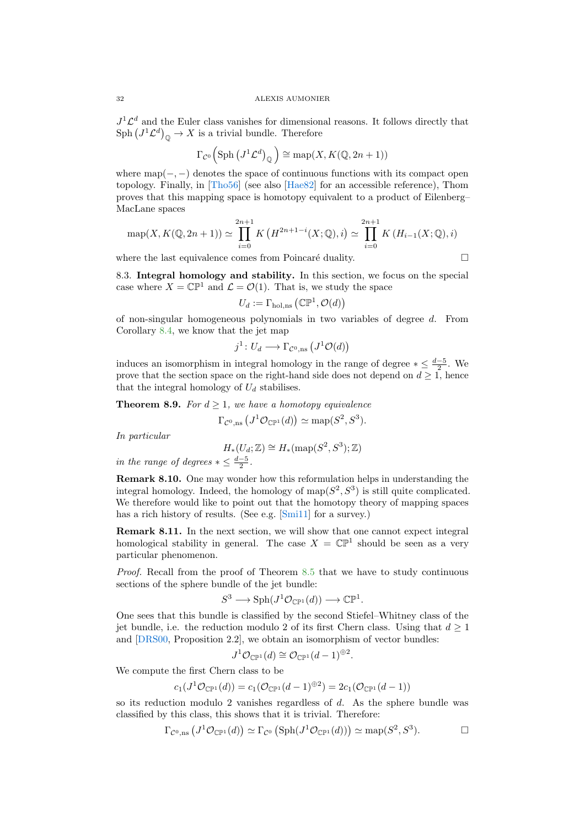$J^1 \mathcal{L}^d$  and the Euler class vanishes for dimensional reasons. It follows directly that  $\text{Sph}\left(J^1\mathcal{L}^d\right)_{\mathbb{Q}}\to X$  is a trivial bundle. Therefore

$$
\Gamma_{\mathcal{C}^0} \left( \text{Sph} \left( J^1 \mathcal{L}^d \right)_{\mathbb{Q}} \right) \cong \text{map}(X, K(\mathbb{Q}, 2n+1))
$$

where map( $-$ ,  $-$ ) denotes the space of continuous functions with its compact open topology. Finally, in [\[Tho56\]](#page-37-7) (see also [\[Hae82\]](#page-36-12) for an accessible reference), Thom proves that this mapping space is homotopy equivalent to a product of Eilenberg– MacLane spaces

$$
\operatorname{map}(X, K(\mathbb{Q}, 2n+1)) \simeq \prod_{i=0}^{2n+1} K\left(H^{2n+1-i}(X; \mathbb{Q}), i\right) \simeq \prod_{i=0}^{2n+1} K\left(H_{i-1}(X; \mathbb{Q}), i\right)
$$

where the last equivalence comes from Poincaré duality.

$$
\qquad \qquad \Box
$$

8.3. Integral homology and stability. In this section, we focus on the special case where  $X = \mathbb{CP}^1$  and  $\mathcal{L} = \mathcal{O}(1)$ . That is, we study the space

$$
U_d := \Gamma_{\text{hol},\text{ns}}\left(\mathbb{CP}^1, \mathcal{O}(d)\right)
$$

of non-singular homogeneous polynomials in two variables of degree d. From Corollary [8.4,](#page-29-0) we know that the jet map

$$
j^1: U_d \longrightarrow \Gamma_{\mathcal{C}^0,\text{ns}}(J^1\mathcal{O}(d))
$$

induces an isomorphism in integral homology in the range of degree  $*\leq \frac{d-5}{2}$ . We prove that the section space on the right-hand side does not depend on  $d \geq 1$ , hence that the integral homology of  $U_d$  stabilises.

**Theorem 8.9.** For  $d \geq 1$ , we have a homotopy equivalence

$$
\Gamma_{\mathcal{C}^0,\mathrm{ns}}\left(J^1\mathcal{O}_{\mathbb{CP}^1}(d)\right)\simeq \mathrm{map}(S^2,S^3).
$$

In particular

$$
H_*(U_d; \mathbb{Z}) \cong H_*(\mathrm{map}(S^2, S^3); \mathbb{Z})
$$

in the range of degrees  $*\leq \frac{d-5}{2}$ .

Remark 8.10. One may wonder how this reformulation helps in understanding the integral homology. Indeed, the homology of map $(S^2, S^3)$  is still quite complicated. We therefore would like to point out that the homotopy theory of mapping spaces has a rich history of results. (See e.g. [\[Smi11\]](#page-37-8) for a survey.)

Remark 8.11. In the next section, we will show that one cannot expect integral homological stability in general. The case  $X = \mathbb{CP}^1$  should be seen as a very particular phenomenon.

Proof. Recall from the proof of Theorem [8.5](#page-30-0) that we have to study continuous sections of the sphere bundle of the jet bundle:

$$
S^3 \longrightarrow \mathrm{Sph}(J^1\mathcal{O}_{\mathbb{CP}^1}(d)) \longrightarrow \mathbb{CP}^1.
$$

One sees that this bundle is classified by the second Stiefel–Whitney class of the jet bundle, i.e. the reduction modulo 2 of its first Chern class. Using that  $d \geq 1$ and [\[DRS00,](#page-36-9) Proposition 2.2], we obtain an isomorphism of vector bundles:

$$
J^1\mathcal{O}_{\mathbb{CP}^1}(d) \cong \mathcal{O}_{\mathbb{CP}^1}(d-1)^{\oplus 2}
$$

We compute the first Chern class to be

$$
c_1(J^1\mathcal{O}_{\mathbb{CP}^1}(d)) = c_1(\mathcal{O}_{\mathbb{CP}^1}(d-1)^{\oplus 2}) = 2c_1(\mathcal{O}_{\mathbb{CP}^1}(d-1))
$$

so its reduction modulo 2 vanishes regardless of  $d$ . As the sphere bundle was classified by this class, this shows that it is trivial. Therefore:

$$
\Gamma_{\mathcal{C}^0,\text{ns}}\left(J^1\mathcal{O}_{\mathbb{CP}^1}(d)\right) \simeq \Gamma_{\mathcal{C}^0}\left(\text{Sph}(J^1\mathcal{O}_{\mathbb{CP}^1}(d))\right) \simeq \text{map}(S^2, S^3). \square
$$

.

<span id="page-31-0"></span>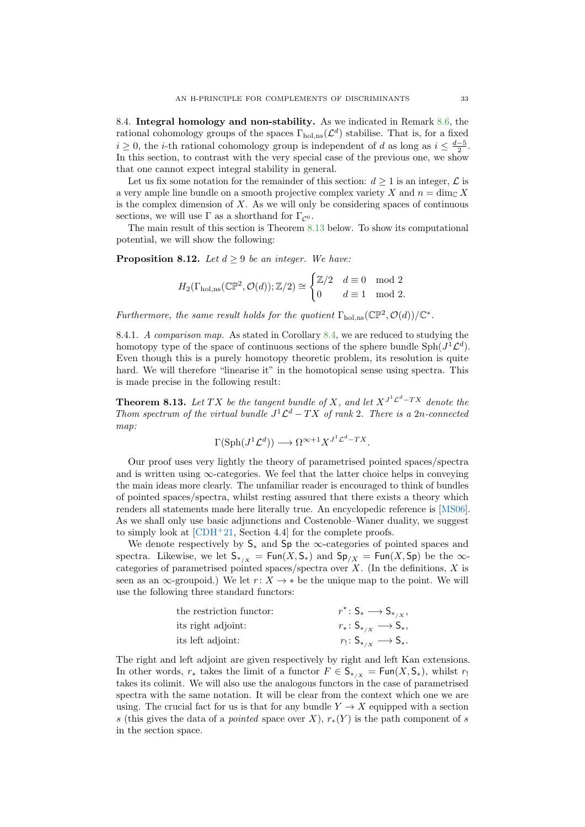<span id="page-32-2"></span>8.4. Integral homology and non-stability. As we indicated in Remark [8.6,](#page-30-1) the rational cohomology groups of the spaces  $\Gamma_{hol,ns}(\mathcal{L}^d)$  stabilise. That is, for a fixed  $i \geq 0$ , the *i*-th rational cohomology group is independent of d as long as  $i \leq \frac{d-5}{2}$ . In this section, to contrast with the very special case of the previous one, we show that one cannot expect integral stability in general.

Let us fix some notation for the remainder of this section:  $d \geq 1$  is an integer,  $\mathcal{L}$  is a very ample line bundle on a smooth projective complex variety X and  $n = \dim_{\mathbb{C}} X$ is the complex dimension of  $X$ . As we will only be considering spaces of continuous sections, we will use  $\Gamma$  as a shorthand for  $\Gamma_{\mathcal{C}^0}$ .

The main result of this section is Theorem [8.13](#page-32-0) below. To show its computational potential, we will show the following:

<span id="page-32-1"></span>**Proposition 8.12.** Let  $d > 9$  be an integer. We have:

$$
H_2(\Gamma_{\text{hol},\text{ns}}(\mathbb{CP}^2,\mathcal{O}(d));\mathbb{Z}/2) \cong \begin{cases} \mathbb{Z}/2 & d \equiv 0 \mod 2\\ 0 & d \equiv 1 \mod 2. \end{cases}
$$

Furthermore, the same result holds for the quotient  $\Gamma_{hol,ns}(\mathbb{CP}^2, \mathcal{O}(d))/\mathbb{C}^*$ .

8.4.1. A comparison map. As stated in Corollary [8.4,](#page-29-0) we are reduced to studying the homotopy type of the space of continuous sections of the sphere bundle  $\text{Sph}(J^1\mathcal{L}^d)$ . Even though this is a purely homotopy theoretic problem, its resolution is quite hard. We will therefore "linearise it" in the homotopical sense using spectra. This is made precise in the following result:

<span id="page-32-0"></span>**Theorem 8.13.** Let TX be the tangent bundle of X, and let  $X^{J^1\mathcal{L}^d - TX}$  denote the Thom spectrum of the virtual bundle  $J^1 \mathcal{L}^d - TX$  of rank 2. There is a 2n-connected map:

$$
\Gamma(\text{Sph}(J^1\mathcal{L}^d)) \longrightarrow \Omega^{\infty+1}X^{J^1\mathcal{L}^d - TX}.
$$

Our proof uses very lightly the theory of parametrised pointed spaces/spectra and is written using  $\infty$ -categories. We feel that the latter choice helps in conveying the main ideas more clearly. The unfamiliar reader is encouraged to think of bundles of pointed spaces/spectra, whilst resting assured that there exists a theory which renders all statements made here literally true. An encyclopedic reference is [\[MS06\]](#page-36-13). As we shall only use basic adjunctions and Costenoble–Waner duality, we suggest to simply look at  $[CDH^+21, Section 4.4]$  for the complete proofs.

We denote respectively by  $S_*$  and  $Sp$  the  $\infty$ -categories of pointed spaces and spectra. Likewise, we let  $S_{*/X} = \text{Fun}(X, S_*)$  and  $\text{Sp}_{/X} = \text{Fun}(X, \text{Sp})$  be the  $\infty$ categories of parametrised pointed spaces/spectra over  $X$ . (In the definitions,  $X$  is seen as an  $\infty$ -groupoid.) We let  $r: X \to *$  be the unique map to the point. We will use the following three standard functors:

| the restriction functor: | $r^* \colon \mathsf{S}_* \longrightarrow \mathsf{S}_{*_{/X}},$ |
|--------------------------|----------------------------------------------------------------|
| its right adjoint:       | $r_*: S_{*_{/X}} \longrightarrow S_*$                          |
| its left adjoint:        | $r_! \colon S_{*,x} \longrightarrow S_{*}.$                    |

The right and left adjoint are given respectively by right and left Kan extensions. In other words,  $r_*$  takes the limit of a functor  $F \in \mathsf{S}_{\ast/\mathsf{Y}} = \mathsf{Fun}(X,\mathsf{S}_{\ast})$ , whilst r takes its colimit. We will also use the analogous functors in the case of parametrised spectra with the same notation. It will be clear from the context which one we are using. The crucial fact for us is that for any bundle  $Y \to X$  equipped with a section s (this gives the data of a *pointed* space over X),  $r_*(Y)$  is the path component of s in the section space.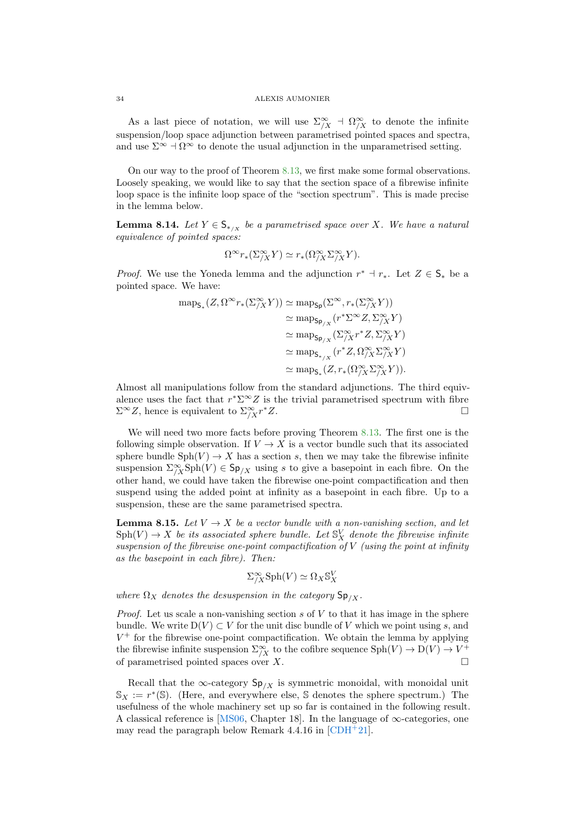As a last piece of notation, we will use  $\Sigma^\infty_{/X}$  +  $\Omega^\infty_{/X}$  to denote the infinite suspension/loop space adjunction between parametrised pointed spaces and spectra, and use  $\Sigma^{\infty} \dashv \Omega^{\infty}$  to denote the usual adjunction in the unparametrised setting.

On our way to the proof of Theorem [8.13,](#page-32-0) we first make some formal observations. Loosely speaking, we would like to say that the section space of a fibrewise infinite loop space is the infinite loop space of the "section spectrum". This is made precise in the lemma below.

<span id="page-33-0"></span>**Lemma 8.14.** Let  $Y \in \mathsf{S}_{\ast}$  be a parametrised space over X. We have a natural equivalence of pointed spaces:

$$
\Omega^{\infty} r_*(\Sigma^{\infty}_{/X} Y) \simeq r_*(\Omega^{\infty}_{/X} \Sigma^{\infty}_{/X} Y).
$$

*Proof.* We use the Yoneda lemma and the adjunction  $r^* \dashv r_*$ . Let  $Z \in \mathsf{S}_*$  be a pointed space. We have:

$$
\begin{aligned} \operatorname{map}_{\mathsf{S}_{*}}(Z,\Omega^{\infty} r_{*}(\Sigma_{/X}^{\infty} Y)) &\simeq \operatorname{map}_{\mathsf{Sp}}(\Sigma^{\infty}, r_{*}(\Sigma_{/X}^{\infty} Y)) \\ &\simeq \operatorname{map}_{\mathsf{Sp}_{/X}}(r^{*} \Sigma^{\infty} Z, \Sigma_{/X}^{\infty} Y) \\ &\simeq \operatorname{map}_{\mathsf{Sp}_{/X}}(\Sigma_{/X}^{\infty} r^{*} Z, \Sigma_{/X}^{\infty} Y) \\ &\simeq \operatorname{map}_{\mathsf{S}_{*}/X}(r^{*} Z, \Omega_{/X}^{\infty} \Sigma_{/X}^{\infty} Y) \\ &\simeq \operatorname{map}_{\mathsf{S}_{*}}(Z, r_{*}(\Omega_{/X}^{\infty} \Sigma_{/X}^{\infty} Y)). \end{aligned}
$$

Almost all manipulations follow from the standard adjunctions. The third equivalence uses the fact that  $r^* \Sigma^{\infty} Z$  is the trivial parametrised spectrum with fibre  $\Sigma^{\infty}Z$ , hence is equivalent to  $\Sigma^{\infty}_{/X}r$  $*Z$ .

We will need two more facts before proving Theorem [8.13.](#page-32-0) The first one is the following simple observation. If  $V \to X$  is a vector bundle such that its associated sphere bundle  $Sph(V) \rightarrow X$  has a section s, then we may take the fibrewise infinite suspension  $\sum_{i=1}^{\infty} Sph(V) \in Sp_{/X}$  using s to give a basepoint in each fibre. On the other hand, we could have taken the fibrewise one-point compactification and then suspend using the added point at infinity as a basepoint in each fibre. Up to a suspension, these are the same parametrised spectra.

<span id="page-33-1"></span>**Lemma 8.15.** Let  $V \rightarrow X$  be a vector bundle with a non-vanishing section, and let  $\mathrm{Sph}(V) \rightarrow X$  be its associated sphere bundle. Let  $\mathbb{S}^V_X$  denote the fibrewise infinite suspension of the fibrewise one-point compactification of  $V$  (using the point at infinity as the basepoint in each fibre). Then:

$$
\Sigma^\infty_{/X} \mathrm{Sph}(V) \simeq \Omega_X \mathbb{S}^V_X
$$

where  $\Omega_X$  denotes the desuspension in the category  $\mathsf{Sp}_{/X}$ .

*Proof.* Let us scale a non-vanishing section s of  $V$  to that it has image in the sphere bundle. We write  $D(V) \subset V$  for the unit disc bundle of V which we point using s, and  $V^+$  for the fibrewise one-point compactification. We obtain the lemma by applying the fibrewise infinite suspension  $\Sigma^\infty_{/X}$  to the cofibre sequence  $\mathrm{Sph}(V) \to \mathrm{D}(V) \to V^+$ of parametrised pointed spaces over X.

Recall that the ∞-category  $Sp_{/X}$  is symmetric monoidal, with monoidal unit  $\mathbb{S}_X := r^*(\mathbb{S})$ . (Here, and everywhere else, S denotes the sphere spectrum.) The usefulness of the whole machinery set up so far is contained in the following result. A classical reference is [\[MS06,](#page-36-13) Chapter 18]. In the language of  $\infty$ -categories, one may read the paragraph below Remark 4.4.16 in  $[CDH^+21]$ .

<span id="page-33-2"></span>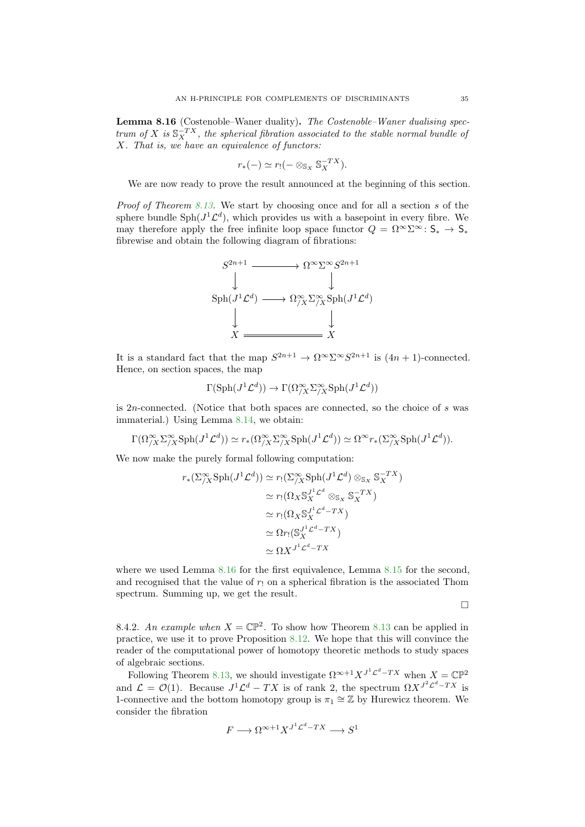<span id="page-34-0"></span>Lemma 8.16 (Costenoble–Waner duality). The Costenoble–Waner dualising spectrum of X is  $\mathbb{S}_{X}^{-TX}$ , the spherical fibration associated to the stable normal bundle of X. That is, we have an equivalence of functors:

$$
r_*(-) \simeq r_!(- \otimes_{\mathbb{S}_X} \mathbb{S}_X^{-TX}).
$$

We are now ready to prove the result announced at the beginning of this section.

Proof of Theorem [8.13.](#page-32-0) We start by choosing once and for all a section s of the sphere bundle  $\text{Sph}(J^1\mathcal{L}^d)$ , which provides us with a basepoint in every fibre. We may therefore apply the free infinite loop space functor  $Q = \Omega^{\infty} \Sigma^{\infty} \colon \mathsf{S}_{*} \to \mathsf{S}_{*}$ fibrewise and obtain the following diagram of fibrations:



It is a standard fact that the map  $S^{2n+1} \to \Omega^{\infty} \Sigma^{\infty} S^{2n+1}$  is  $(4n+1)$ -connected. Hence, on section spaces, the map

$$
\Gamma(\mathrm{Sph}(J^1\mathcal{L}^d)) \to \Gamma(\Omega^\infty_{/X} \Sigma^\infty_{/X} \mathrm{Sph}(J^1\mathcal{L}^d))
$$

is 2n-connected. (Notice that both spaces are connected, so the choice of s was immaterial.) Using Lemma [8.14,](#page-33-0) we obtain:

$$
\Gamma(\Omega^\infty_{/X} \Sigma^\infty_{/X} \mathrm{Sph}(J^1 \mathcal{L}^d)) \simeq r_*(\Omega^\infty_{/X} \Sigma^\infty_{/X} \mathrm{Sph}(J^1 \mathcal{L}^d)) \simeq \Omega^\infty r_*(\Sigma^\infty_{/X} \mathrm{Sph}(J^1 \mathcal{L}^d)).
$$

We now make the purely formal following computation:

$$
r_{*}(\Sigma_{/X}^{\infty} \text{Sph}(J^{1} \mathcal{L}^{d})) \simeq r_{!}(\Sigma_{/X}^{\infty} \text{Sph}(J^{1} \mathcal{L}^{d}) \otimes_{\mathbb{S}_{X}} \mathbb{S}_{X}^{-TX})
$$
  
\n
$$
\simeq r_{!}(\Omega_{X} \mathbb{S}_{X}^{J^{1} \mathcal{L}^{d}} \otimes_{\mathbb{S}_{X}} \mathbb{S}_{X}^{-TX})
$$
  
\n
$$
\simeq r_{!}(\Omega_{X} \mathbb{S}_{X}^{J^{1} \mathcal{L}^{d}} - TX)
$$
  
\n
$$
\simeq \Omega r_{!}(\mathbb{S}_{X}^{J^{1} \mathcal{L}^{d}} - TX)
$$
  
\n
$$
\simeq \Omega X^{J^{1} \mathcal{L}^{d}} - TX
$$

where we used Lemma [8.16](#page-34-0) for the first equivalence, Lemma [8.15](#page-33-1) for the second, and recognised that the value of  $r_1$  on a spherical fibration is the associated Thom spectrum. Summing up, we get the result.

 $\Box$ 

8.4.2. An example when  $X = \mathbb{CP}^2$ . To show how Theorem [8.13](#page-32-0) can be applied in practice, we use it to prove Proposition [8.12.](#page-32-1) We hope that this will convince the reader of the computational power of homotopy theoretic methods to study spaces of algebraic sections.

Following Theorem [8.13,](#page-32-0) we should investigate  $\Omega^{\infty+1} X^{J^1 \mathcal{L}^d - TX}$  when  $X = \mathbb{C} \mathbb{P}^2$ and  $\mathcal{L} = \mathcal{O}(1)$ . Because  $J^1 \mathcal{L}^d - TX$  is of rank 2, the spectrum  $\Omega X^{J^2 \mathcal{L}^d - TX}$  is 1-connective and the bottom homotopy group is  $\pi_1 \cong \mathbb{Z}$  by Hurewicz theorem. We consider the fibration

$$
F \longrightarrow \Omega^{\infty+1} X^{J^1 \mathcal{L}^d - TX} \longrightarrow S^1
$$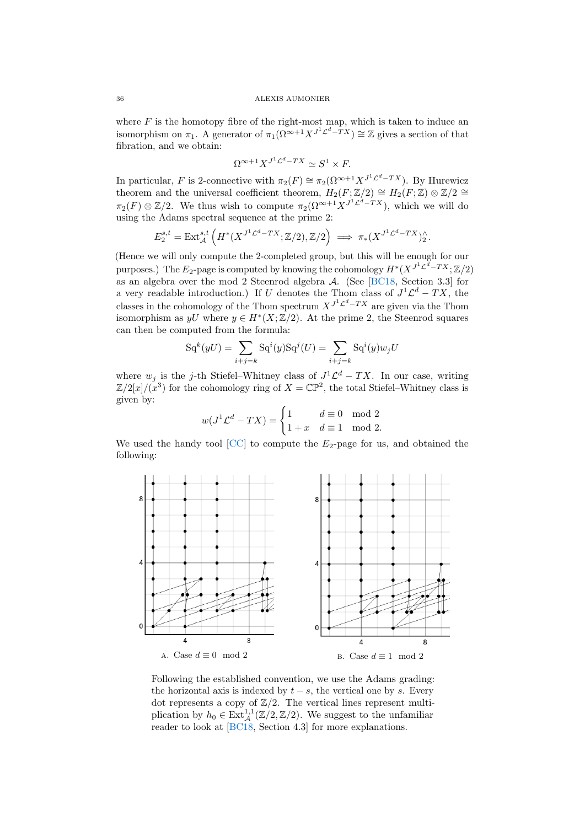<span id="page-35-0"></span>where  $F$  is the homotopy fibre of the right-most map, which is taken to induce an isomorphism on  $\pi_1$ . A generator of  $\pi_1(\Omega^{\infty+1}X^{J^1\mathcal{L}^d-TX}) \cong \mathbb{Z}$  gives a section of that fibration, and we obtain:

$$
\Omega^{\infty+1} X^{J^1 \mathcal{L}^d - TX} \simeq S^1 \times F.
$$

In particular, F is 2-connective with  $\pi_2(F) \cong \pi_2(\Omega^{\infty+1} X^{J^1 \mathcal{L}^d - TX})$ . By Hurewicz theorem and the universal coefficient theorem,  $H_2(F;\mathbb{Z}/2) \cong H_2(F;\mathbb{Z}) \otimes \mathbb{Z}/2 \cong$  $\pi_2(F) \otimes \mathbb{Z}/2$ . We thus wish to compute  $\pi_2(\Omega^{\infty+1} X^{J^1 \mathcal{L}^d - TX})$ , which we will do using the Adams spectral sequence at the prime 2:

$$
E_2^{s,t} = \text{Ext}_{\mathcal{A}}^{s,t} \left( H^*(X^{J^1 \mathcal{L}^d - TX}; \mathbb{Z}/2), \mathbb{Z}/2 \right) \implies \pi_*(X^{J^1 \mathcal{L}^d - TX})_2^{\wedge}.
$$

(Hence we will only compute the 2-completed group, but this will be enough for our purposes.) The  $E_2$ -page is computed by knowing the cohomology  $H^*(X^{J^1 \mathcal{L}^d - T X}; \mathbb{Z}/2)$ as an algebra over the mod 2 Steenrod algebra A. (See [\[BC18,](#page-36-15) Section 3.3] for a very readable introduction.) If U denotes the Thom class of  $J^1\mathcal{L}^d - TX$ , the classes in the cohomology of the Thom spectrum  $X^{J^1 \mathcal{L}^d - TX}$  are given via the Thom isomorphism as  $yU$  where  $y \in H^*(X;\mathbb{Z}/2)$ . At the prime 2, the Steenrod squares can then be computed from the formula:

$$
\mathrm{Sq}^k(yU) = \sum_{i+j=k} \mathrm{Sq}^i(y)\mathrm{Sq}^j(U) = \sum_{i+j=k} \mathrm{Sq}^i(y)w_jU
$$

where  $w_j$  is the j-th Stiefel–Whitney class of  $J^1 \mathcal{L}^d - TX$ . In our case, writing  $\mathbb{Z}/2[x]/(\mathbb{Z}^3)$  for the cohomology ring of  $X = \mathbb{CP}^2$ , the total Stiefel–Whitney class is given by:

$$
w(J1 \mathcal{L}d - TX) = \begin{cases} 1 & d \equiv 0 \mod 2 \\ 1 + x & d \equiv 1 \mod 2. \end{cases}
$$

We used the handy tool  $[CC]$  to compute the  $E_2$ -page for us, and obtained the following:



Following the established convention, we use the Adams grading: the horizontal axis is indexed by  $t - s$ , the vertical one by s. Every dot represents a copy of  $\mathbb{Z}/2$ . The vertical lines represent multiplication by  $h_0 \in \text{Ext}^{1,1}_{\mathcal{A}}(\mathbb{Z}/2,\mathbb{Z}/2)$ . We suggest to the unfamiliar reader to look at [\[BC18,](#page-36-15) Section 4.3] for more explanations.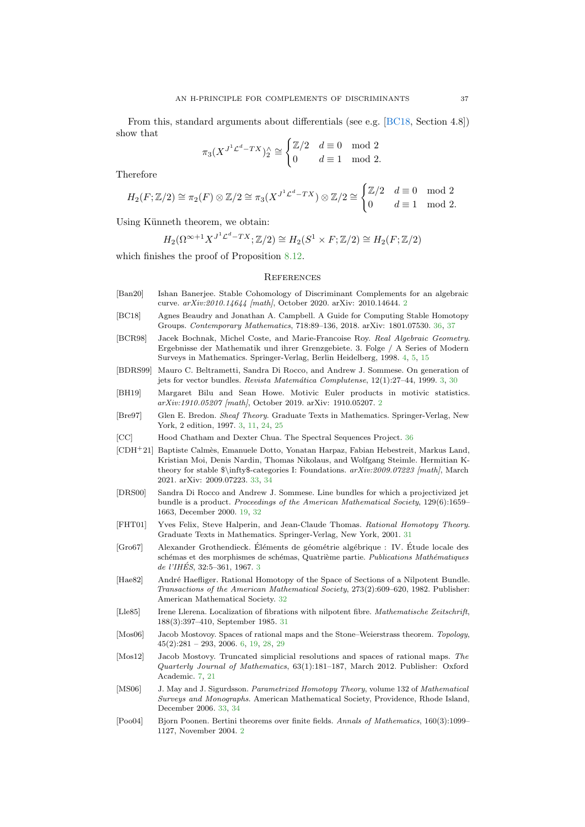<span id="page-36-17"></span>From this, standard arguments about differentials (see e.g. [\[BC18,](#page-36-15) Section 4.8]) show that

$$
\pi_3(X^{J^1 \mathcal{L}^d - TX})_2^{\wedge} \cong \begin{cases} \mathbb{Z}/2 & d \equiv 0 \mod 2 \\ 0 & d \equiv 1 \mod 2. \end{cases}
$$

Therefore

$$
H_2(F; \mathbb{Z}/2) \cong \pi_2(F) \otimes \mathbb{Z}/2 \cong \pi_3(X^{J^1 \mathcal{L}^d - TX}) \otimes \mathbb{Z}/2 \cong \begin{cases} \mathbb{Z}/2 & d \equiv 0 \mod 2\\ 0 & d \equiv 1 \mod 2. \end{cases}
$$

Using Künneth theorem, we obtain:

$$
H_2(\Omega^{\infty+1}X^{J^1\mathcal{L}^d - TX}; \mathbb{Z}/2) \cong H_2(S^1 \times F; \mathbb{Z}/2) \cong H_2(F; \mathbb{Z}/2)
$$

which finishes the proof of Proposition [8.12.](#page-32-1)

#### **REFERENCES**

- <span id="page-36-0"></span>[Ban20] Ishan Banerjee. Stable Cohomology of Discriminant Complements for an algebraic curve. arXiv:2010.14644 [math], October 2020. arXiv: 2010.14644. [2](#page-1-0)
- <span id="page-36-15"></span>[BC18] Agnes Beaudry and Jonathan A. Campbell. A Guide for Computing Stable Homotopy Groups. Contemporary Mathematics, 718:89–136, 2018. arXiv: 1801.07530. [36,](#page-35-0) [37](#page-36-17)
- <span id="page-36-6"></span>[BCR98] Jacek Bochnak, Michel Coste, and Marie-Francoise Roy. Real Algebraic Geometry. Ergebnisse der Mathematik und ihrer Grenzgebiete. 3. Folge / A Series of Modern Surveys in Mathematics. Springer-Verlag, Berlin Heidelberg, 1998. [4,](#page-3-3) [5,](#page-4-3) [15](#page-14-2)
- <span id="page-36-4"></span>[BDRS99] Mauro C. Beltrametti, Sandra Di Rocco, and Andrew J. Sommese. On generation of jets for vector bundles. Revista Matemática Complutense, 12(1):27-44, 1999. [3,](#page-2-3) [30](#page-29-1)
- <span id="page-36-2"></span>[BH19] Margaret Bilu and Sean Howe. Motivic Euler products in motivic statistics. arXiv:1910.05207 [math], October 2019. arXiv: 1910.05207. [2](#page-1-0)
- <span id="page-36-3"></span>[Bre97] Glen E. Bredon. Sheaf Theory. Graduate Texts in Mathematics. Springer-Verlag, New York, 2 edition, 1997. [3,](#page-2-3) [11,](#page-10-3) [24,](#page-23-1) [25](#page-24-3)

<span id="page-36-16"></span>[CC] Hood Chatham and Dexter Chua. The Spectral Sequences Project. [36](#page-35-0)

- <span id="page-36-14"></span>[CDH+21] Baptiste Calm`es, Emanuele Dotto, Yonatan Harpaz, Fabian Hebestreit, Markus Land, Kristian Moi, Denis Nardin, Thomas Nikolaus, and Wolfgang Steimle. Hermitian Ktheory for stable  $\in$  infty\$-categories I: Foundations.  $arXiv:2009.07223$  [math], March 2021. arXiv: 2009.07223. [33,](#page-32-2) [34](#page-33-2)
- <span id="page-36-9"></span>[DRS00] Sandra Di Rocco and Andrew J. Sommese. Line bundles for which a projectivized jet bundle is a product. Proceedings of the American Mathematical Society, 129(6):1659– 1663, December 2000. [19,](#page-18-4) [32](#page-31-0)
- <span id="page-36-11"></span>[FHT01] Yves Felix, Steve Halperin, and Jean-Claude Thomas. Rational Homotopy Theory. Graduate Texts in Mathematics. Springer-Verlag, New York, 2001. [31](#page-30-2)
- <span id="page-36-5"></span>[Gro67] Alexander Grothendieck. Éléments de géométrie algébrique : IV. Étude locale des schémas et des morphismes de schémas, Quatrième partie. Publications Mathématiques de l'IHÉS, [3](#page-2-3)2:5–361, 1967, 3
- <span id="page-36-12"></span>[Hae82] André Haefliger. Rational Homotopy of the Space of Sections of a Nilpotent Bundle. Transactions of the American Mathematical Society, 273(2):609–620, 1982. Publisher: American Mathematical Society. [32](#page-31-0)
- <span id="page-36-10"></span>[Lle85] Irene Llerena. Localization of fibrations with nilpotent fibre. Mathematische Zeitschrift, 188(3):397–410, September 1985. [31](#page-30-2)
- <span id="page-36-7"></span>[Mos06] Jacob Mostovoy. Spaces of rational maps and the Stone–Weierstrass theorem. Topology,  $45(2):281 - 293, 2006, 6, 19, 28, 29$  $45(2):281 - 293, 2006, 6, 19, 28, 29$  $45(2):281 - 293, 2006, 6, 19, 28, 29$  $45(2):281 - 293, 2006, 6, 19, 28, 29$  $45(2):281 - 293, 2006, 6, 19, 28, 29$  $45(2):281 - 293, 2006, 6, 19, 28, 29$  $45(2):281 - 293, 2006, 6, 19, 28, 29$  $45(2):281 - 293, 2006, 6, 19, 28, 29$
- <span id="page-36-8"></span>[Mos12] Jacob Mostovy. Truncated simplicial resolutions and spaces of rational maps. The Quarterly Journal of Mathematics, 63(1):181–187, March 2012. Publisher: Oxford Academic. [7,](#page-6-2) [21](#page-20-2)
- <span id="page-36-13"></span>[MS06] J. May and J. Sigurdsson. Parametrized Homotopy Theory, volume 132 of Mathematical Surveys and Monographs. American Mathematical Society, Providence, Rhode Island, December 2006. [33,](#page-32-2) [34](#page-33-2)
- <span id="page-36-1"></span>[Poo04] Bjorn Poonen. Bertini theorems over finite fields. Annals of Mathematics, 160(3):1099– 1127, November 2004. [2](#page-1-0)